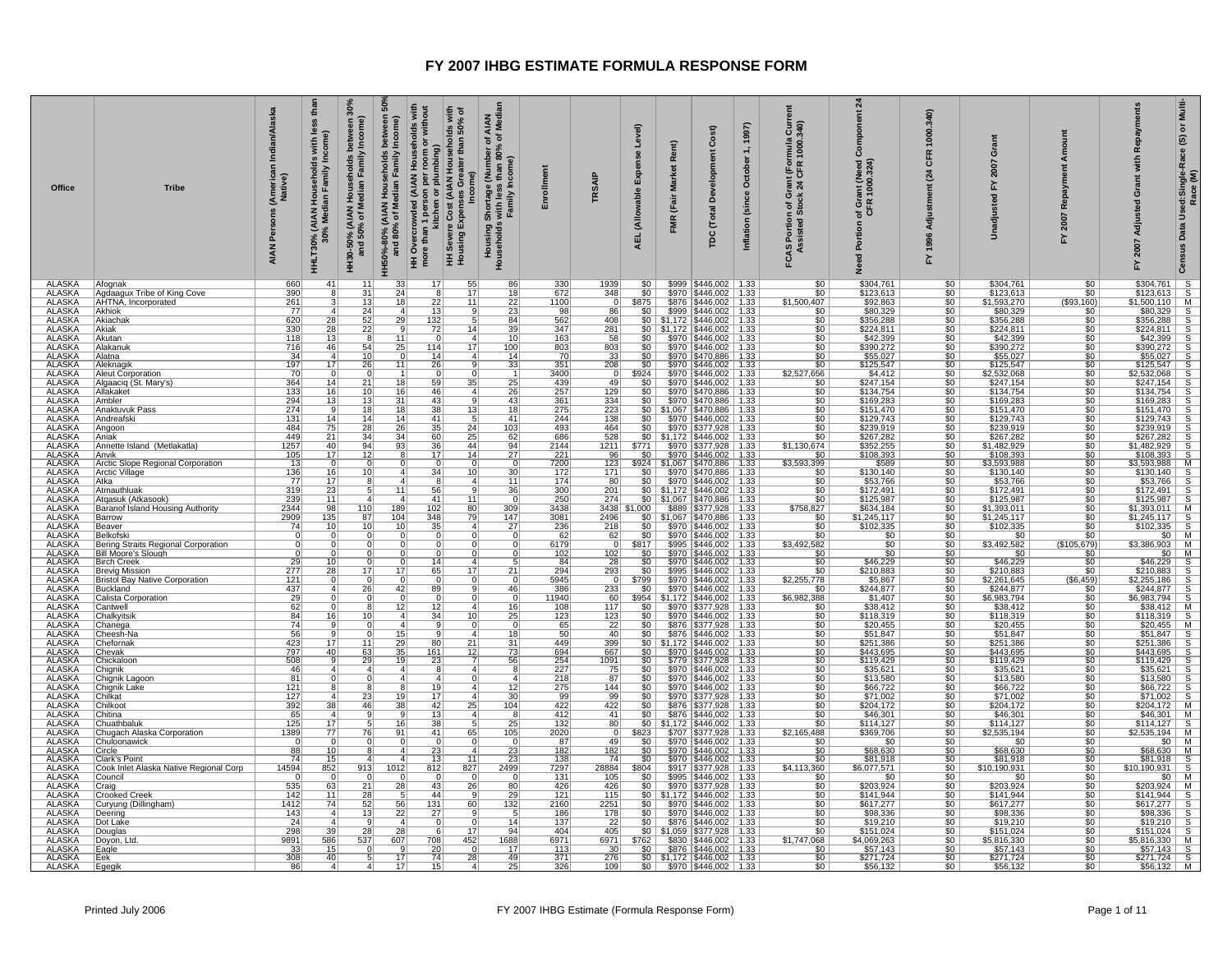| Office                         | <b>Tribe</b>                                        | Indian/Alaska<br>(American I<br>Native)<br>Persons<br><b>AIAN</b> | thar<br>less<br>ome)<br>with<br>I Households<br>Jian Family Inc<br>HHLT30% (AIAN I<br>30% Medi | between 3<br>/ Income)<br>HH30-50% (AIAN Households I<br>and 50% of Median Family | និ<br>between<br>HH50%-80% (AIAN Households<br>and 80% of Median Family | HH Overcrowded (AIAN Households with<br>more than 1 person per room or without<br>kitchen or plumbing)<br>HH Severe Cost (AIAN Households with<br>iseholds with<br>than 50% of<br>Greater<br>Income)<br>Expenses<br>HH Severe<br>Housing Ex | AIAN<br>f Mediar<br>৳<br>৳<br>(Number of<br>than 80%<br>Income)<br>than<br>, Shortage (<br>s with less<br>Family In<br>Housing S<br>Households v | Enrollmen                                                               | <b>TRSAIF</b>           | Level)<br>шî<br>(Allowable<br><b>AEL</b> | Rent)<br><b>Market</b><br>(Fair<br>FMR | Cost)<br>å<br>(Total<br>pc                                                                                                                                                                                                                                                                                                                                          | 1997)<br>$\div$<br>October<br>Inflation (since | $1 \, \text{Gurr}$<br>mula<br>1000.<br>rant (For<br>24 CFR<br>FCAS Portion of GI<br>Assisted Stock | $\boldsymbol{z}$<br>ponent<br>ant (Need)<br>1000.324)<br>of Gr<br>CFR<br>Portion<br>요 | 340<br>1000<br>CFR<br>(24)<br>Adjustm<br>1996<br>놊 | ö<br>2007<br>즚<br>nadiu         | <b>DUIT</b><br>å<br>Repay<br>2007<br>십 | Repayments<br>£<br>इ<br>ō<br>Adjusted<br>2007<br>놊                                                                                                                                                                                                                                                                                                                                            | Multi-<br>$\bf \bar{o}$<br>Data Used:Single-Race (S)<br>Race (M)<br>Census |
|--------------------------------|-----------------------------------------------------|-------------------------------------------------------------------|------------------------------------------------------------------------------------------------|-----------------------------------------------------------------------------------|-------------------------------------------------------------------------|---------------------------------------------------------------------------------------------------------------------------------------------------------------------------------------------------------------------------------------------|--------------------------------------------------------------------------------------------------------------------------------------------------|-------------------------------------------------------------------------|-------------------------|------------------------------------------|----------------------------------------|---------------------------------------------------------------------------------------------------------------------------------------------------------------------------------------------------------------------------------------------------------------------------------------------------------------------------------------------------------------------|------------------------------------------------|----------------------------------------------------------------------------------------------------|---------------------------------------------------------------------------------------|----------------------------------------------------|---------------------------------|----------------------------------------|-----------------------------------------------------------------------------------------------------------------------------------------------------------------------------------------------------------------------------------------------------------------------------------------------------------------------------------------------------------------------------------------------|----------------------------------------------------------------------------|
| <b>ALASKA</b><br><b>ALASKA</b> | Afognak                                             | 660<br>390                                                        | 41                                                                                             | 11<br>31                                                                          | 33<br>24                                                                | 17<br>55<br>17                                                                                                                                                                                                                              | 86<br>18                                                                                                                                         | 330<br>672                                                              | 1939<br>348             | 50<br>\$0                                |                                        | \$999   \$446,002   1.33<br>\$970   \$446,002   1.33                                                                                                                                                                                                                                                                                                                |                                                | $\overline{\$0}$<br>\$0                                                                            | \$304,761<br>\$123,613                                                                | \$0<br>\$0 <sub>1</sub>                            | \$304,761<br>\$123,613          | 50<br>\$0                              | $\begin{array}{r cc} \hline \$304,761 & S \\ \$123,613 & S \\ \$1,500,110 & M \\ \$80,329 & S \\ \$356,288 & S \\ \hline \end{array}$                                                                                                                                                                                                                                                         |                                                                            |
| <b>ALASKA</b>                  | Agdaagux Tribe of King Cove<br>AHTNA, Incorporated  | 261                                                               | 8                                                                                              | 13                                                                                | 18                                                                      | 8 <sup>2</sup><br>$\overline{22}$<br>11                                                                                                                                                                                                     | 22                                                                                                                                               | 1100                                                                    | $\overline{0}$          | \$875                                    |                                        | \$876   \$446,002   1.33                                                                                                                                                                                                                                                                                                                                            |                                                | \$1,500,407                                                                                        | \$92,863                                                                              | 50                                                 | \$1,593,270                     | $($ \$93,160) $ $                      |                                                                                                                                                                                                                                                                                                                                                                                               |                                                                            |
| ALASKA<br><b>ALASKA</b>        | Akhiok<br>Akiachak                                  | 77<br>620                                                         | $\vert$ 4                                                                                      | 24                                                                                | $\mathbf{A}$<br>29                                                      | 13<br>9<br>132                                                                                                                                                                                                                              | 23<br>84                                                                                                                                         | 98<br>562                                                               | 86<br>408               | \$0<br>\$0                               |                                        | \$999   \$446,002   1.33<br>$$1,172$ $$446,002$ 1.33                                                                                                                                                                                                                                                                                                                |                                                | <u>\$0</u><br>$\overline{50}$                                                                      | \$80,329<br>\$356,288                                                                 | \$0<br>\$0                                         | \$80,329<br>\$356,288           | \$0 l<br>\$0                           |                                                                                                                                                                                                                                                                                                                                                                                               |                                                                            |
| <b>ALASKA</b>                  | <b>Akiak</b>                                        | 330                                                               | $\frac{28}{28}$                                                                                | $\frac{52}{22}$                                                                   |                                                                         | $\overline{72}$<br>$\overline{14}$                                                                                                                                                                                                          | 39                                                                                                                                               | 347                                                                     | 281                     | 50                                       |                                        | $$1,172$ $$446,002$ 1.33                                                                                                                                                                                                                                                                                                                                            |                                                | $\overline{\$0}$                                                                                   | \$224,811                                                                             | \$0                                                | \$224,811                       | \$0                                    | \$330,266<br>\$224,811 S<br>\$42,399 S<br>\$390,272 S<br>\$55,027 S                                                                                                                                                                                                                                                                                                                           |                                                                            |
| ALASKA<br>ALASKA               | Akutan<br>Alakanuk                                  | 118<br>716                                                        | $\frac{13}{46}$                                                                                | 8<br>54                                                                           | $\frac{11}{25}$                                                         | $\overline{0}$<br>114<br>17                                                                                                                                                                                                                 | 10 <sup>1</sup><br>100                                                                                                                           | $\frac{163}{803}$                                                       | 58<br>803               |                                          |                                        | \$0 \$970 \$446,002 1.33<br>\$0 \$970 \$446,002 1.33<br>\$0 \$970 \$470,886 1.33                                                                                                                                                                                                                                                                                    |                                                | $\frac{$0}{$0}{$0}{$0$                                                                             | \$42,399<br>\$390,272                                                                 | $rac{$0}{$0}$                                      | \$42,399<br>\$390,272           | \$0<br>50                              |                                                                                                                                                                                                                                                                                                                                                                                               |                                                                            |
| <b>ALASKA</b>                  | Alatna                                              | 34                                                                | $\vert$ 4                                                                                      | 10                                                                                | $\Omega$                                                                | 14 <br>$\overline{4}$                                                                                                                                                                                                                       | 14                                                                                                                                               | 70                                                                      | 33                      |                                          |                                        |                                                                                                                                                                                                                                                                                                                                                                     |                                                |                                                                                                    | \$55,027                                                                              | 50                                                 | \$55,027                        | \$0                                    |                                                                                                                                                                                                                                                                                                                                                                                               |                                                                            |
| <b>ALASKA</b><br>ALASKA        | Aleknagik<br><b>Aleut Corporation</b>               | 197<br>70                                                         | 17<br>$\Omega$                                                                                 | 26<br>0                                                                           | 11                                                                      | 26<br>9                                                                                                                                                                                                                                     | 33                                                                                                                                               | 351<br>3400                                                             | 208                     | \$0<br>\$924                             |                                        | \$970 \$446,002 1.33                                                                                                                                                                                                                                                                                                                                                |                                                | $\overline{\$0}$<br>\$2,527,656                                                                    | \$125,547                                                                             | $rac{60}{60}$                                      | \$125,547<br>\$2,532,068        | \$0                                    | \$2,532,068                                                                                                                                                                                                                                                                                                                                                                                   |                                                                            |
| <b>ALASKA</b>                  | Algaaciq (St. Mary's)                               | 364                                                               | 14                                                                                             | $\overline{21}$                                                                   | $\overline{18}$                                                         | 59<br>35                                                                                                                                                                                                                                    | $\overline{25}$                                                                                                                                  | 439                                                                     | 49                      | 50                                       |                                        | \$970 \$446,002 1.33<br>\$970 \$446,002 1.33                                                                                                                                                                                                                                                                                                                        |                                                | $\overline{50}$                                                                                    | $$4,412$<br>$$247,154$                                                                |                                                    | \$247,154                       | $rac{1}{50}$                           |                                                                                                                                                                                                                                                                                                                                                                                               |                                                                            |
| <b>ALASKA</b>                  | Allakaket                                           | 133                                                               | 16                                                                                             | 10                                                                                | 16                                                                      | 46<br>$\overline{4}$                                                                                                                                                                                                                        | 26                                                                                                                                               | 257                                                                     | 129                     | $$0$                                     |                                        | \$970   \$470,886   1.33                                                                                                                                                                                                                                                                                                                                            |                                                | $\overline{50}$                                                                                    | \$134,754                                                                             | \$0                                                | \$134,754                       | \$0                                    |                                                                                                                                                                                                                                                                                                                                                                                               |                                                                            |
| <b>ALASKA</b><br>ALASKA        | Ambler<br>Anaktuvuk Pass                            | 294<br>274                                                        | 13 <br>9                                                                                       | 13<br>18                                                                          | $\overline{31}$<br>18                                                   | 43<br><b>q</b><br>38<br>13                                                                                                                                                                                                                  | 43<br>18                                                                                                                                         | 361<br>275                                                              | 334<br>223              | 50 <sub>1</sub>                          |                                        | $$970$ $$470,886$ 1.33                                                                                                                                                                                                                                                                                                                                              |                                                | $\overline{\$0}$                                                                                   | \$169,283<br>\$151,470                                                                | 50<br>\$0                                          | \$169,283<br>\$151,470          | 50<br>\$0                              | $\begin{array}{r} 50.027 \\ 852,537 \\ 2,532,068 \\ 814,154 \\ 814,154 \\ 8160,283 \\ 8151,476 \\ 8160,283 \\ 8151,470 \\ 8239,919 \\ 8267,282 \\ 8106,393 \\ 8160,393 \\ 8100,393 \\ 8100,393 \\ 8100,393 \\ 8100,393 \\ 8100,393 \\ 8100,393 \\ 8200,393 \\ 8300,393 \\ 8400,3$                                                                                                             |                                                                            |
| <b>ALASKA</b>                  | Andreafski                                          | 131                                                               | 14                                                                                             | 14                                                                                | 14                                                                      | 41                                                                                                                                                                                                                                          | 41                                                                                                                                               | 244                                                                     | 138                     |                                          |                                        | \$0 \$1,067 \$470,886 1.33<br>\$0 \$970 \$446,002 1.33<br>\$0 \$970 \$377,928 1.33                                                                                                                                                                                                                                                                                  |                                                | $rac{$0}{0}$<br>$rac{$0}{0}$                                                                       | \$129,743                                                                             | \$0                                                | \$129,743                       | 50                                     |                                                                                                                                                                                                                                                                                                                                                                                               |                                                                            |
| <b>ALASKA</b>                  | Angoon<br><b>IAniak</b>                             | 484<br>449                                                        | 75                                                                                             | 28<br>34                                                                          | 26                                                                      | $\overline{35}$<br>24<br>60<br>25                                                                                                                                                                                                           | $\overline{103}$                                                                                                                                 | 493<br>686                                                              | 464                     |                                          |                                        |                                                                                                                                                                                                                                                                                                                                                                     |                                                |                                                                                                    | \$239,919                                                                             | \$0                                                | \$239,919                       | 50<br>$$0$ $\vert$                     |                                                                                                                                                                                                                                                                                                                                                                                               |                                                                            |
| ALASKA<br>ALASKA               | Annette Island (Metlakatla)                         | 1257                                                              | $\frac{21}{40}$                                                                                | 94                                                                                | $\frac{34}{93}$                                                         | 36<br>44                                                                                                                                                                                                                                    | $\frac{62}{94}$                                                                                                                                  | 2144                                                                    | $\frac{528}{1211}$      | \$771                                    |                                        | \$0 \$1,172 \$446,002 1.33<br>71 \$970 \$377,928 1.33                                                                                                                                                                                                                                                                                                               |                                                | $\frac{$0}{\$1,130,674}$                                                                           | \$267,282<br>\$352,255                                                                | $\frac{$0}{$0}$                                    | \$267,282<br>\$1,482,929        | \$0                                    | \$1,482,929                                                                                                                                                                                                                                                                                                                                                                                   |                                                                            |
| <b>ALASKA</b>                  | <b>Anvik</b>                                        | 105                                                               | 17                                                                                             | 12                                                                                |                                                                         | 17 <sup>1</sup><br>14                                                                                                                                                                                                                       | 27                                                                                                                                               | 221                                                                     | 96                      |                                          |                                        | $\frac{$0}{$970}$ \$970 \$446,002 1.33                                                                                                                                                                                                                                                                                                                              |                                                | \$0                                                                                                | \$108,393                                                                             | 50                                                 | \$108,393                       | \$0                                    |                                                                                                                                                                                                                                                                                                                                                                                               |                                                                            |
| <b>ALASKA</b><br>ALASKA        | Arctic Slope Regional Corporation<br>Arctic Village | 13<br>136                                                         | $\overline{0}$<br>16                                                                           | - 0<br>10                                                                         |                                                                         | $\overline{0}$<br>$\Omega$<br>34<br>10                                                                                                                                                                                                      | $\overline{0}$                                                                                                                                   | 7200<br>172                                                             | 123<br>171              |                                          |                                        |                                                                                                                                                                                                                                                                                                                                                                     |                                                | \$3,593,399                                                                                        | \$589                                                                                 | $\frac{$0}{0}$                                     | \$3,593,988<br>\$130,140        | \$0<br>\$0                             |                                                                                                                                                                                                                                                                                                                                                                                               |                                                                            |
| <b>ALASKA</b>                  | <b>Atka</b>                                         | $\overline{77}$                                                   | $\overline{17}$                                                                                |                                                                                   |                                                                         |                                                                                                                                                                                                                                             | $\frac{30}{11}$                                                                                                                                  | 174                                                                     | 80                      |                                          |                                        | \$924 \$1,067 \$470,886 1.33<br>\$0 \$970 \$470,886 1.33<br>\$0 \$970 \$446,002 1.33                                                                                                                                                                                                                                                                                |                                                | $\frac{$0}{$0}$                                                                                    | $\frac{$130,140}{$53,766}$                                                            | 50                                                 | \$53,766                        | 50                                     |                                                                                                                                                                                                                                                                                                                                                                                               |                                                                            |
| <b>ALASKA</b><br><b>ALASKA</b> | Atmauthluak<br>Atgasuk (Atkasook)                   | 319<br>239                                                        | 23<br>11                                                                                       |                                                                                   | 11<br>-4                                                                | 56<br>9<br>41<br>11                                                                                                                                                                                                                         | 36<br>$\Omega$                                                                                                                                   | 300<br>250                                                              | 201<br>274              |                                          |                                        | $$0 \mid $1,172 \mid $446,002 \mid 1.33$                                                                                                                                                                                                                                                                                                                            |                                                | \$0<br>$\overline{\$0}$                                                                            | \$172,491<br>\$125,987                                                                | \$0                                                | \$172,491<br>\$125.987          | \$0<br>50                              |                                                                                                                                                                                                                                                                                                                                                                                               |                                                                            |
| <b>ALASKA</b>                  | Baranof Island Housing Authority                    | 2344                                                              | 98                                                                                             | 110                                                                               | 189                                                                     | 102<br>80                                                                                                                                                                                                                                   | 309                                                                                                                                              | 3438                                                                    | 34385                   | ,000                                     |                                        | $\frac{1}{30}$ $\frac{1}{31,067}$ $\frac{1}{3470,886}$ 1.33<br>000 \$889 \$377,928 1.33                                                                                                                                                                                                                                                                             |                                                | \$758,827                                                                                          | \$634,184                                                                             | $rac{1}{100}$                                      | \$1,393,011                     | \$0                                    |                                                                                                                                                                                                                                                                                                                                                                                               |                                                                            |
| <b>ALASKA</b>                  | Barrow                                              | 2909                                                              | 135                                                                                            | 87                                                                                | 104                                                                     | 348<br>79                                                                                                                                                                                                                                   | 147                                                                                                                                              | 3081                                                                    | 2496                    |                                          |                                        | \$0 \$1,067 \$470,886 1.33<br>\$0 \$970 \$446,002 1.33                                                                                                                                                                                                                                                                                                              |                                                | $rac{1}{100}$                                                                                      | \$1,245,117                                                                           | 50<br>\$0                                          | \$1,245,117                     | 50 <sub>1</sub>                        | \$1,593,988<br>\$3,593,988 M<br>\$130,140 S<br>\$53,766 S<br>\$172,491 S<br>\$125,987 S<br>\$1,393,011 M<br>\$1,245,117 S<br>\$102,335 S                                                                                                                                                                                                                                                      |                                                                            |
| <b>ALASKA</b>                  | Beaver<br>Belkofski                                 | 74                                                                | 10<br>$\mathbf 0$                                                                              | 10<br>0                                                                           | 10                                                                      | 35<br>$\overline{4}$<br>$\overline{0}$<br>$\Omega$                                                                                                                                                                                          | 27<br>$\overline{0}$                                                                                                                             | 236                                                                     | 218<br>62               |                                          |                                        |                                                                                                                                                                                                                                                                                                                                                                     |                                                |                                                                                                    | \$102,335                                                                             |                                                    | \$102,335<br>\$0                | \$0<br>50                              | $\begin{array}{r l l} \hline \texttt{\$9102,336$} & \texttt{\$85,336$} \\ \hline \texttt{\$93,366,903$} & \texttt{\$85,86,903$} & \texttt{M} & \texttt{M} \\ \hline \texttt{\$85,366,903$} & \texttt{\$85,903$} & \texttt{\$86,903$} & \texttt{M} \\ \hline \texttt{\$86,922$} & \texttt{\$225,8188$} & \texttt{\$244,877$} & \texttt{\$86,928$} & \texttt{\$8$                               |                                                                            |
| ALASKA<br>ALASKA               | Bering Straits Regional Corporation                 | $\Omega$                                                          | $\Omega$                                                                                       | 0                                                                                 |                                                                         | $\Omega$<br>$\Omega$                                                                                                                                                                                                                        | $\Omega$                                                                                                                                         | $\frac{62}{6179}$                                                       | $\Omega$                | $rac{$0}{$817}$                          |                                        | \$970 \$446,002 1.33<br>\$995 \$446,002 1.33                                                                                                                                                                                                                                                                                                                        |                                                | $\frac{$0}{\$3,492,582}$                                                                           | $\frac{$0}{$0}{$0}{$0 $$                                                              | $\frac{$0}{$0}$                                    | \$3,492,582                     | (\$105,679)                            |                                                                                                                                                                                                                                                                                                                                                                                               |                                                                            |
| <b>ALASKA</b><br>ALASKA        | <b>Bill Moore's Slough</b><br><b>Birch Creek</b>    | $\overline{0}$<br>29                                              | $\overline{0}$<br>10 <sup>1</sup>                                                              |                                                                                   |                                                                         | 14 <br>$\mathbf{4}$                                                                                                                                                                                                                         |                                                                                                                                                  | 102<br>84                                                               | 102<br>28               | 50 <sub>1</sub><br>\$0                   |                                        | \$970   \$446,002   1.33<br>\$970   \$446,002   1.33                                                                                                                                                                                                                                                                                                                |                                                | 50                                                                                                 | \$46,229                                                                              | 50<br>\$0                                          | 50<br>\$46,229                  | 50<br>$$0$ $ $                         |                                                                                                                                                                                                                                                                                                                                                                                               |                                                                            |
| <b>ALASKA</b>                  | <b>Brevig Mission</b>                               | $\frac{277}{121}$                                                 | 28                                                                                             | 17                                                                                | 17                                                                      | 65<br>17                                                                                                                                                                                                                                    | 21                                                                                                                                               | 294                                                                     | 293                     | \$0                                      | \$995                                  | \$446,002                                                                                                                                                                                                                                                                                                                                                           | 1.33                                           | $rac{1}{100}$                                                                                      | \$210,883                                                                             | \$0                                                | \$210,883                       | \$0                                    |                                                                                                                                                                                                                                                                                                                                                                                               |                                                                            |
| <b>ALASKA</b>                  | <b>Bristol Bay Native Corporation</b>               |                                                                   | $\overline{0}$                                                                                 | $\overline{0}$                                                                    | -0                                                                      | ०<br>$\overline{0}$                                                                                                                                                                                                                         | $\overline{0}$                                                                                                                                   | 5945                                                                    | $\overline{0}$          | \$799                                    |                                        | $$970$ $$446,002$ 1.33                                                                                                                                                                                                                                                                                                                                              |                                                | \$2,255,778                                                                                        | \$5,867                                                                               | \$0                                                | \$2,261,645                     | $($ \$6,459) $ $                       |                                                                                                                                                                                                                                                                                                                                                                                               |                                                                            |
| <b>ALASKA</b><br><b>ALASKA</b> | Buckland<br>Calista Corporation                     | 437<br>29                                                         | $\vert$<br>$\Omega$                                                                            | 26<br>- 0                                                                         | 42                                                                      | 89<br>9<br>$\Omega$                                                                                                                                                                                                                         | 46<br>0                                                                                                                                          | 386<br>11940                                                            | 233<br>-601             | \$0                                      |                                        | \$970   \$446,002   1.33                                                                                                                                                                                                                                                                                                                                            |                                                | \$0<br>\$6,982,388                                                                                 | \$244,877                                                                             | \$0                                                | \$244,877<br>\$6,983,794        | \$0                                    |                                                                                                                                                                                                                                                                                                                                                                                               |                                                                            |
| <b>ALASKA</b>                  | Cantwell                                            | 62                                                                |                                                                                                |                                                                                   | $\overline{12}$                                                         | $\frac{0}{12}$<br>$\overline{A}$                                                                                                                                                                                                            | 16                                                                                                                                               | 108                                                                     | 117                     |                                          |                                        | \$954 \$1,172 \$446,002 1.33<br>\$0 \$970 \$377,928 1.33                                                                                                                                                                                                                                                                                                            |                                                | \$0                                                                                                | $$1,407$<br>$$38,412$                                                                 | $rac{1}{100}$                                      | \$38,412                        | $rac{1}{50}$                           |                                                                                                                                                                                                                                                                                                                                                                                               |                                                                            |
| <b>ALASKA</b><br><b>ALASKA</b> | Chalkyitsik<br>Chanega                              | 84<br>$\overline{74}$                                             | 16<br>9                                                                                        | 10<br>$\Omega$                                                                    | -4                                                                      | 34<br>10<br>$\overline{9}$<br>$\Omega$                                                                                                                                                                                                      | 25<br>$\overline{0}$                                                                                                                             | 123<br>65                                                               | 123<br>22               | SO<br>50                                 |                                        | \$970   \$446,002   1.33<br>\$876 \$377,928 1.33                                                                                                                                                                                                                                                                                                                    |                                                | $\overline{\$0}$<br>$\overline{\$0}$                                                               | \$118,319<br>\$20,455                                                                 | \$0<br>\$0                                         | \$118,319<br>\$20,455           | \$0<br>\$0                             |                                                                                                                                                                                                                                                                                                                                                                                               |                                                                            |
| <b>ALASKA</b>                  | Cheesh-Na                                           | 56                                                                |                                                                                                |                                                                                   | 15                                                                      |                                                                                                                                                                                                                                             | 18                                                                                                                                               | 50                                                                      | 40                      | \$0                                      |                                        | \$876 \$446,002 1.33                                                                                                                                                                                                                                                                                                                                                |                                                |                                                                                                    | \$51,847                                                                              |                                                    | \$51,847                        |                                        |                                                                                                                                                                                                                                                                                                                                                                                               |                                                                            |
| <b>ALASKA</b><br><b>ALASKA</b> | Chefornak<br>Chevak                                 | 423<br>797                                                        | 17<br>40                                                                                       | 11<br>63                                                                          | 29<br>35                                                                | 21<br>80<br>161<br>12                                                                                                                                                                                                                       | 31<br>73                                                                                                                                         | 449<br>694                                                              | 399<br>667              |                                          |                                        | $$0 \mid $1,172 \mid $446,002 \mid 1.33$<br>$$0$ $$970$ $$446,002$ 1.33                                                                                                                                                                                                                                                                                             |                                                | $\frac{$0}{$0}{$0}{$0 $$                                                                           | \$251,386<br>\$443,695                                                                | $rac{60}{60}$                                      | \$251,386<br>\$443,695          | $rac{60}{60}$                          |                                                                                                                                                                                                                                                                                                                                                                                               |                                                                            |
| <b>ALASKA</b>                  | Chickaloon                                          | 508                                                               | 9                                                                                              | 29                                                                                | 19                                                                      | 23                                                                                                                                                                                                                                          | 56                                                                                                                                               |                                                                         | 1091                    |                                          |                                        | $$0$   \$779   \$377,928   1.33                                                                                                                                                                                                                                                                                                                                     |                                                |                                                                                                    | \$119,429                                                                             | \$0                                                | \$119,429                       | \$0                                    |                                                                                                                                                                                                                                                                                                                                                                                               |                                                                            |
| <b>ALASKA</b>                  | Chignik                                             | 46                                                                |                                                                                                | $\overline{4}$                                                                    |                                                                         | 8                                                                                                                                                                                                                                           | 8 <sup>1</sup>                                                                                                                                   | $\frac{254}{227}$                                                       | 75                      | 50                                       |                                        | \$970   \$446,002   1.33                                                                                                                                                                                                                                                                                                                                            |                                                | $\frac{$0}{0}$                                                                                     | \$35,621<br>\$13,580                                                                  | \$0                                                | \$35,621<br>\$13,580            | \$0                                    |                                                                                                                                                                                                                                                                                                                                                                                               |                                                                            |
| ALASKA<br><b>ALASKA</b>        | Chignik Lagoon<br>Chignik Lake                      | $\overline{81}$<br>121                                            | $\overline{0}$<br>8                                                                            | $\overline{0}$                                                                    |                                                                         | $\overline{4}$<br>19<br>$\overline{4}$                                                                                                                                                                                                      | $\overline{4}$<br>12                                                                                                                             | 218                                                                     | $\overline{87}$<br>144  | 50<br>\$0                                |                                        | \$970 \$446,002 1.33<br>\$970   \$446,002   1.33                                                                                                                                                                                                                                                                                                                    |                                                | $\overline{\$0}$<br>$\overline{50}$                                                                | \$66,722                                                                              | \$0<br>\$0                                         |                                 | 50<br>\$0                              |                                                                                                                                                                                                                                                                                                                                                                                               |                                                                            |
| <b>ALASKA</b>                  | Chilkat                                             | 127                                                               | 4                                                                                              | 23                                                                                | 19                                                                      | 17                                                                                                                                                                                                                                          | 30                                                                                                                                               | $\begin{array}{r}\n 275 \\  \hline\n 99 \\  \hline\n 422\n \end{array}$ | 99                      | <u>\$0  </u>                             |                                        | \$970 \$377,928 1.33<br>\$876 \$377,928 1.33                                                                                                                                                                                                                                                                                                                        |                                                | $rac{1}{100}$                                                                                      | \$71,002<br>\$204,172                                                                 | $rac{1}{100}$                                      | $\frac{$66,722}{$71,002}$       | \$0                                    |                                                                                                                                                                                                                                                                                                                                                                                               |                                                                            |
| <b>ALASKA</b>                  | Chilkoot                                            | 392                                                               | 38                                                                                             | 46                                                                                | 38                                                                      | 42<br>25                                                                                                                                                                                                                                    | 104                                                                                                                                              |                                                                         | 422<br>41               | 50 <sub>1</sub>                          |                                        |                                                                                                                                                                                                                                                                                                                                                                     |                                                |                                                                                                    |                                                                                       |                                                    |                                 | \$0                                    |                                                                                                                                                                                                                                                                                                                                                                                               |                                                                            |
| <b>ALASKA</b><br>ALASKA        | Chitina<br>Chuathbaluk                              | 65<br>125                                                         | $\vert$ 4<br>17                                                                                |                                                                                   | 16                                                                      | 13<br>38                                                                                                                                                                                                                                    | 25                                                                                                                                               | 412<br>132                                                              | 80                      | \$0                                      |                                        | \$876 \$446,002   1.33<br>$$0 \mid $1,172 \mid $446,002 \mid 1.33$                                                                                                                                                                                                                                                                                                  |                                                | $\frac{1}{50}$                                                                                     | \$46,301<br>\$114,127                                                                 | \$0<br>\$0                                         | \$46,301<br>\$114,127           | \$0<br>\$0                             | $$46,301$ M<br>$$114,127$ S<br>$$2,535,194$ M                                                                                                                                                                                                                                                                                                                                                 |                                                                            |
| <b>ALASKA</b>                  | Chugach Alaska Corporation                          | 1389                                                              | 77                                                                                             | 76                                                                                | 91                                                                      | 41<br>65                                                                                                                                                                                                                                    | $\overline{105}$                                                                                                                                 | 2020                                                                    | $\overline{0}$          | \$823                                    |                                        |                                                                                                                                                                                                                                                                                                                                                                     |                                                | \$2,165,488                                                                                        | \$369,706                                                                             | 50                                                 | \$2,535,194                     | 50                                     |                                                                                                                                                                                                                                                                                                                                                                                               |                                                                            |
| ALASKA<br><b>ALASKA</b>        | Chuloonawick<br>Circle                              | $\Omega$<br>88                                                    | $\Omega$<br>10                                                                                 | 0                                                                                 |                                                                         | $\overline{0}$<br>23                                                                                                                                                                                                                        | $\overline{23}$                                                                                                                                  | 87<br>182                                                               | 49<br>182               | $$0$  <br>50                             |                                        | $\begin{array}{r rrrr}\n\hline\n\text{9,17} & 194 \\ \hline\n\text{10,18} & 104 \\ \hline\n\text{10,18} & 104 \\ \hline\n\text{10,18} & 104 \\ \hline\n\text{10,18} & 104 \\ \hline\n\text{10,18} & 104 \\ \hline\n\text{10,18} & 104 \\ \hline\n\text{10,18} & 104 \\ \hline\n\text{10,18} & 104 \\ \hline\n\text{10,18} & 104 \\ \hline\n\text{10,18} & 104 \\ \$ |                                                | $rac{$0}{$0}$                                                                                      | $rac{$0}{68,630}$                                                                     | \$0<br>50                                          | \$0<br>\$68,630                 | \$0<br>50                              | $\frac{$0$ \times 0.000 \times 1000 \times 1000 \times 1000 \times 1000 \times 1000 \times 1000 \times 1000 \times 1000 \times 1000 \times 1000 \times 1000 \times 1000 \times 1000 \times 1000 \times 1000 \times 1000 \times 1000 \times 1000 \times 1000 \times 1000 \times 1000 \times 1000 \times 1000 \times 1000 \times 1000 \times 1000 \times 1000 \times 1000 \times 1000 \times 1$ |                                                                            |
| <b>ALASKA</b>                  | Clark's Point                                       | 74                                                                | 15                                                                                             |                                                                                   |                                                                         | 13<br>11                                                                                                                                                                                                                                    | 23                                                                                                                                               | 138                                                                     | 74                      | $$0$                                     |                                        | \$970   \$446,002   1.33                                                                                                                                                                                                                                                                                                                                            |                                                | \$0                                                                                                | \$81,918                                                                              | \$0                                                | \$81,918                        | \$0                                    | $\begin{array}{c cc}\n\hline\n\text{308,030} & \text{M} \\ \hline\n\text{381,918} & \text{S} \\ \text{N,190,931} & \text{S} \\ \hline\n\text{50} & \text{M} \\ \hline\n\end{array}$                                                                                                                                                                                                           |                                                                            |
| <b>ALASKA</b>                  | Cook Inlet Alaska Native Regional Corp              | 14594                                                             | 852<br>$\overline{0}$                                                                          | 913                                                                               | 1012                                                                    | 812<br>827<br>$\Omega$<br>$\overline{0}$                                                                                                                                                                                                    | 2499<br>$\Omega$                                                                                                                                 | 7297<br>131                                                             | 28884<br>105            | \$804 l                                  |                                        | $$917$ $$377,928$ 1.33<br>$$995$ $$446,002$ 1.33                                                                                                                                                                                                                                                                                                                    |                                                | \$4,113,360                                                                                        | \$6,077,571<br>\$0                                                                    | 50<br>$\overline{50}$                              | \$10,190,931<br>$\overline{50}$ | 50                                     | \$10,190,931                                                                                                                                                                                                                                                                                                                                                                                  |                                                                            |
| <b>ALASKA</b><br><b>ALASKA</b> | Council<br>Craig                                    |                                                                   | 63                                                                                             | $\Omega$<br>21                                                                    | 28                                                                      | 43<br>26                                                                                                                                                                                                                                    | 80 <sub>1</sub>                                                                                                                                  | 426                                                                     | 426                     | 50 <sub>1</sub>                          |                                        |                                                                                                                                                                                                                                                                                                                                                                     |                                                | $\overline{50}$<br>$\overline{\$0}$                                                                | \$203,924                                                                             |                                                    | \$203,924                       | 50                                     | 324 M<br>\$141,944 S<br>\$141,944 S<br>\$617,277 S<br>\$88,338 S<br>\$19,210 S<br>\$151,024 S<br>\$5,816,330 M<br>\$5,816,330 M<br>\$5,816,330 M<br>\$5,816,330 M                                                                                                                                                                                                                             |                                                                            |
| ALASKA                         | <b>Crooked Creek</b>                                | 535<br>142                                                        | 11                                                                                             | 28                                                                                |                                                                         | 44                                                                                                                                                                                                                                          | $\frac{29}{132}$                                                                                                                                 | 121                                                                     | 115                     |                                          |                                        | \$0 \$970 \$377,928 1.33<br>\$0 \$1,172 \$446,002 1.33                                                                                                                                                                                                                                                                                                              |                                                | $\frac{1}{50}$                                                                                     | \$141,944                                                                             | $\frac{$0}{0}$                                     | \$141,944                       | $\frac{$0}{0}$                         |                                                                                                                                                                                                                                                                                                                                                                                               |                                                                            |
| <b>ALASKA</b><br><b>ALASKA</b> | Curyung (Dillingham)<br>Deering                     | 1412<br>143                                                       | 74<br>$\vert$ 4                                                                                | 52<br>13                                                                          | 56<br>22                                                                | 131<br>60<br>27                                                                                                                                                                                                                             |                                                                                                                                                  | 2160<br>186                                                             | 2251<br>178             | 50 <sub>1</sub>                          |                                        | \$970   \$446,002   1.33<br>$$0$ $$970$ $$446,002$ 1.33                                                                                                                                                                                                                                                                                                             |                                                | $\overline{\$0}$                                                                                   | \$617,277                                                                             | 50<br>\$0                                          | \$617,277<br>\$98,336           | \$0<br>\$0                             |                                                                                                                                                                                                                                                                                                                                                                                               |                                                                            |
| <b>ALASKA</b>                  | Dot Lake                                            | 24                                                                | $\overline{a}$                                                                                 |                                                                                   |                                                                         | $\overline{0}$                                                                                                                                                                                                                              | 14                                                                                                                                               | 137                                                                     | 22                      | $$0$                                     |                                        | \$876 \$446,002 1.33                                                                                                                                                                                                                                                                                                                                                |                                                | $rac{1}{50}$                                                                                       | \$98,336<br>\$19,210                                                                  | \$0                                                | \$19,210                        | \$0                                    |                                                                                                                                                                                                                                                                                                                                                                                               |                                                                            |
| <b>ALASKA</b>                  | Douglas                                             | 298                                                               | 39                                                                                             | 28                                                                                | $\overline{28}$                                                         | 17                                                                                                                                                                                                                                          | 94                                                                                                                                               | 404                                                                     | 405                     |                                          |                                        | $$0 \mid $1,059 \mid $377,928 \mid 1.33$                                                                                                                                                                                                                                                                                                                            |                                                |                                                                                                    | \$151,024                                                                             | 50                                                 | \$151,024                       | 50                                     |                                                                                                                                                                                                                                                                                                                                                                                               |                                                                            |
| <b>ALASKA</b><br><b>ALASKA</b> | Doyon, Ltd<br><b>TEagle</b>                         | 9891<br>33                                                        | 586<br>15                                                                                      | 537<br>$\overline{0}$                                                             | 607                                                                     | 708<br>452<br>20<br>$\overline{0}$                                                                                                                                                                                                          | 1688<br>17                                                                                                                                       | 6971<br>$\overline{113}$                                                | 6971<br>$\overline{30}$ | \$762                                    |                                        | 762 \$830 \$446,002 1.33<br>\$0 \$876 \$446,002 1.33                                                                                                                                                                                                                                                                                                                |                                                | \$1,747,068<br>$\overline{50}$                                                                     | \$4,069,263<br>\$57,143                                                               | \$0<br>50                                          | \$5,816,330<br>\$57,143         | \$0<br>50                              |                                                                                                                                                                                                                                                                                                                                                                                               |                                                                            |
| ALASKA                         | Eek                                                 | 308                                                               | 40                                                                                             |                                                                                   | 17                                                                      | 74<br>28                                                                                                                                                                                                                                    | 49                                                                                                                                               | 371                                                                     | 276                     |                                          |                                        | $$0 \mid $1,172 \mid $446,002 \mid 1.33$                                                                                                                                                                                                                                                                                                                            |                                                | \$0                                                                                                | \$271,724                                                                             | \$0                                                | \$271,724                       | \$0                                    | $\frac{$57,143}{$271,724}$ S<br>$\frac{$271,724}{$56,132}$ M                                                                                                                                                                                                                                                                                                                                  |                                                                            |
| <b>ALASKA</b>                  | <b>IEaeaik</b>                                      | 86                                                                |                                                                                                |                                                                                   | 17                                                                      | 15                                                                                                                                                                                                                                          | 25                                                                                                                                               | 326                                                                     | 109                     | 50                                       |                                        | \$970 \$446,002 1.33                                                                                                                                                                                                                                                                                                                                                |                                                | $\overline{50}$                                                                                    | \$56,132                                                                              | 50                                                 | \$56,132                        | 50                                     |                                                                                                                                                                                                                                                                                                                                                                                               |                                                                            |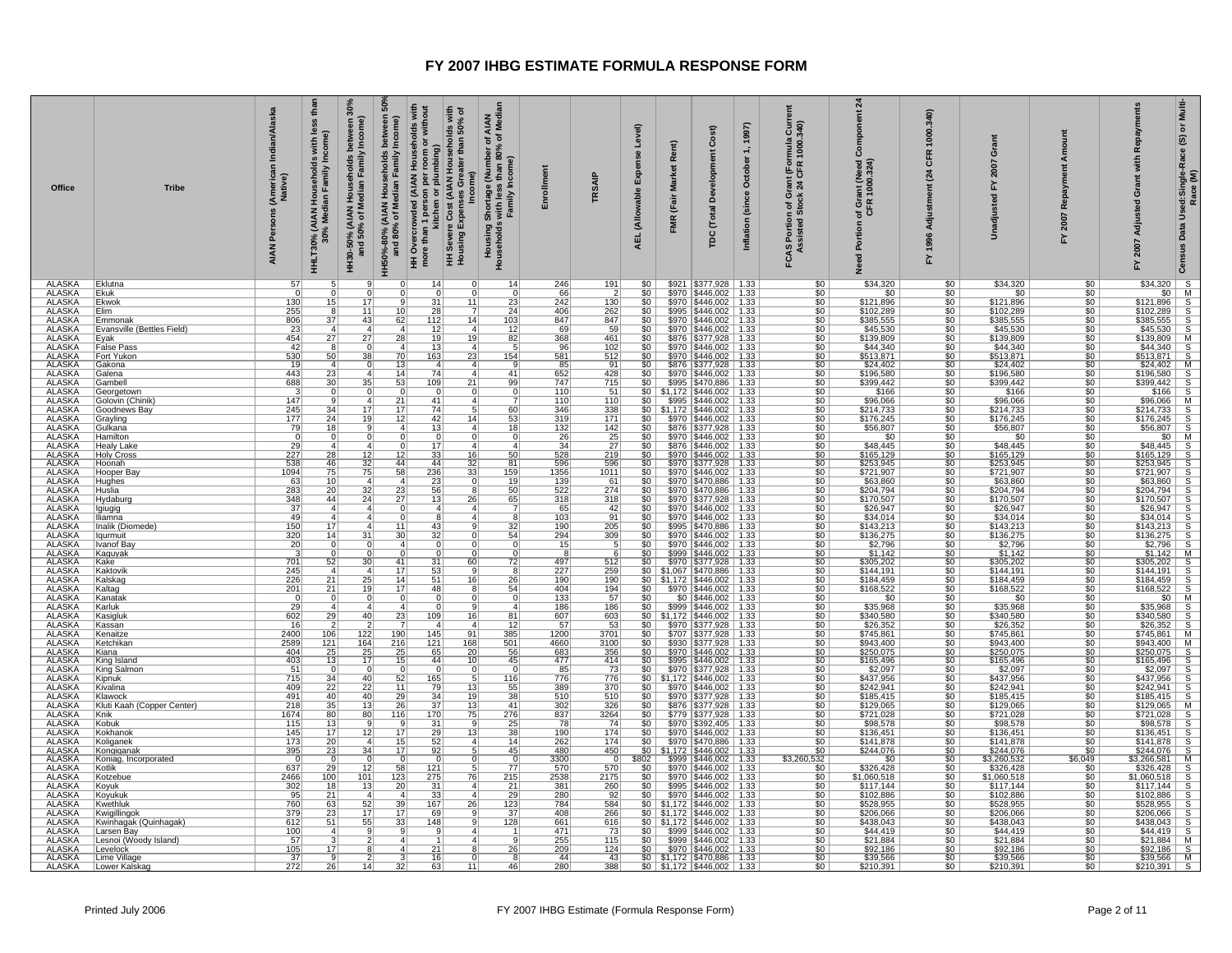| Office                         | <b>Tribe</b>                          | Indian/Alaska<br>(Americal<br>Native)<br>Persons<br><b>AIAN</b> | thai<br>30%<br>less<br>come)<br>with<br>)% (AIAN Households<br>30% Median Familv In<br><b>HHLT30%</b> | និ<br>between<br>Income)<br>between 3<br>/ Income)<br>Households<br>HH30-50% (AIAN Households I<br>and 50% of Median Family<br>HH50%-80% (AIAN<br>and | ouseholds with<br>om or without<br>lds with<br>50% of<br>Cost (AIAN Households<br>than<br>plumbing)<br>80% of Median Family<br>HH Overcrowded (AIAN Ho<br>more than 1 person per roc<br>Gre<br>ē.<br>ŏ<br>n 1 perso<br>kitchen<br>I Severe Cost<br>using Expens<br>I≣ • | AIAN<br>f Median<br>$\frac{1}{2}$ $\frac{1}{2}$<br>ye (Number oʻ<br>ss than 80% o<br>Income)<br>l Shortage<br>s with less<br>Family In<br>Housing S<br>Households | Enrollment             | TRSAIP             | Level)<br><b>Se</b><br>Expen<br>(Allowable<br><b>AEL</b> | Rent)<br><b>Market</b><br>(Fair<br><b>FMR</b> | Cost)<br><b>b</b><br>ō<br>å<br><b>Total</b><br>pc                                                                                                                                  | 1997)<br>$\div$<br>October<br>(since<br>Inflation | $rac{5}{340}$<br>mula<br>1000<br>rant (For<br>24 CFR<br>ច់<br>ចំនួ<br>FCAS Portion of | $\overline{a}$<br>õ<br>ant (Need)<br>1000.324)<br>of Gra<br>Portion<br>g<br>ۅ | 340<br>1000.<br><b>CFR</b><br>(24)<br>Adju<br>1996<br>놊 | ö<br>2007<br>걊<br>Unadjust | ount<br>ξ<br>œ<br>2007<br>놊 | Repayme<br>with<br>ō<br>Adjusted<br>2007<br>놊                                                                                                                                                                                                                                                                                                                | Multi-<br>$\bf \breve{o}$<br>ග<br>Used:Single-Race<br>Race (M)<br>Data<br>Census |
|--------------------------------|---------------------------------------|-----------------------------------------------------------------|-------------------------------------------------------------------------------------------------------|-------------------------------------------------------------------------------------------------------------------------------------------------------|-------------------------------------------------------------------------------------------------------------------------------------------------------------------------------------------------------------------------------------------------------------------------|-------------------------------------------------------------------------------------------------------------------------------------------------------------------|------------------------|--------------------|----------------------------------------------------------|-----------------------------------------------|------------------------------------------------------------------------------------------------------------------------------------------------------------------------------------|---------------------------------------------------|---------------------------------------------------------------------------------------|-------------------------------------------------------------------------------|---------------------------------------------------------|----------------------------|-----------------------------|--------------------------------------------------------------------------------------------------------------------------------------------------------------------------------------------------------------------------------------------------------------------------------------------------------------------------------------------------------------|----------------------------------------------------------------------------------|
| <b>ALASKA</b><br><b>ALASKA</b> | Eklutna                               | 57<br>$\overline{0}$                                            |                                                                                                       |                                                                                                                                                       | 14<br>$\Omega$                                                                                                                                                                                                                                                          | 14 <br>$\Omega$                                                                                                                                                   | 246                    | 191                | \$0                                                      |                                               | \$921   \$377,928   1.33                                                                                                                                                           |                                                   | \$C                                                                                   | \$34,320                                                                      | \$0                                                     | \$34,320                   | \$0                         | $\begin{array}{r} 34,320 \\ 300 \overline{)1} \\ 5121,896 \overline{)8} \\ 5102,289 \overline{)8} \\ 5385,555 \overline{)8} \\ 545,530 \overline{)8} \\ 544,340 \overline{)8} \\ 544,360 \overline{)8} \\ 544,360 \overline{)8} \\ 544,360 \overline{)8} \\ 544,360 \overline{)8} \\ 544,360 \overline{)8} \\ 544,360 \overline{)8} \\ 544,360 \overline{)8$ |                                                                                  |
| <b>ALASKA</b>                  | Ekuk<br>Ekwok                         | 130                                                             | 15                                                                                                    | 17                                                                                                                                                    | $\overline{31}$<br>11                                                                                                                                                                                                                                                   | $\frac{0}{23}$                                                                                                                                                    | 66<br>242              | $\frac{2}{130}$    | $rac{$0}{$0}$                                            |                                               | \$970   \$446,002   1.33<br>\$970   \$446,002   1.33                                                                                                                               |                                                   | $\frac{$0}{$0}$                                                                       | $\frac{$0}{$121,896}$                                                         | $rac{$0}{$0}$                                           | $rac{$0}{121,896}$         | \$0<br>\$0                  |                                                                                                                                                                                                                                                                                                                                                              |                                                                                  |
| <b>ALASKA</b>                  | Elim                                  | 255                                                             | -8                                                                                                    | 11                                                                                                                                                    | 28<br>10<br>$\overline{7}$                                                                                                                                                                                                                                              | 24                                                                                                                                                                | 406                    | 262                | $\overline{50}$                                          |                                               | \$995   \$446,002   1.33                                                                                                                                                           |                                                   | $\overline{50}$                                                                       | \$102,289                                                                     | \$0                                                     | \$102,289                  | \$0                         |                                                                                                                                                                                                                                                                                                                                                              |                                                                                  |
| <b>ALASKA</b><br><b>ALASKA</b> | Emmonak<br>Evansville (Bettles Field) | 806<br>23                                                       | 37                                                                                                    | 43                                                                                                                                                    | 62<br>112<br>14<br> 12                                                                                                                                                                                                                                                  | 103<br>$\overline{12}$<br>$\overline{4}$                                                                                                                          | 847<br>69              | 847<br>59          | $\frac{$0}{$0}$                                          |                                               | \$970   \$446,002   1.33<br>$$970$ $$446,002$ 1.33                                                                                                                                 |                                                   | $\frac{$0}{$0}$                                                                       | \$385,555<br>\$45,530                                                         | \$0<br>$\overline{\$0}$                                 | \$385,555<br>\$45,530      | \$0<br>50                   |                                                                                                                                                                                                                                                                                                                                                              |                                                                                  |
| <b>ALASKA</b>                  | Eyak                                  | 454                                                             | 27                                                                                                    | 27                                                                                                                                                    | 28<br>19<br>19                                                                                                                                                                                                                                                          | 82                                                                                                                                                                | 368                    | 461                | \$0                                                      |                                               |                                                                                                                                                                                    |                                                   | $\frac{$0}{$0}$                                                                       | \$139,809                                                                     | \$0                                                     | \$139,809                  | \$0                         |                                                                                                                                                                                                                                                                                                                                                              |                                                                                  |
| <b>ALASKA</b>                  | <b>False Pass</b>                     | 42                                                              |                                                                                                       |                                                                                                                                                       | $\overline{13}$                                                                                                                                                                                                                                                         | $\overline{5}$<br>4                                                                                                                                               | 96                     | 102                | 50                                                       |                                               | \$876 \$377,928 1.33<br>\$970 \$446,002 1.33                                                                                                                                       |                                                   |                                                                                       | \$44,340                                                                      | 50                                                      | \$44,340                   | 50                          |                                                                                                                                                                                                                                                                                                                                                              |                                                                                  |
| <b>ALASKA</b><br><b>ALASKA</b> | Fort Yukon<br>Gakona                  | 530<br>19                                                       | 50                                                                                                    | 38                                                                                                                                                    | 23<br>70<br>163<br>13<br>$\overline{4}$                                                                                                                                                                                                                                 | 154<br>4                                                                                                                                                          | 581                    | 512<br>91          | 50                                                       |                                               | \$970   \$446,002   1.33                                                                                                                                                           |                                                   | \$0                                                                                   | \$513,871<br>\$24,402                                                         | 50                                                      | \$513,871<br>\$24,402      | 50                          |                                                                                                                                                                                                                                                                                                                                                              |                                                                                  |
| <b>ALASKA</b>                  | Galena                                | 443                                                             | 23                                                                                                    | $\Delta$                                                                                                                                              | $\overline{74}$<br>14                                                                                                                                                                                                                                                   | $\frac{9}{41}$<br>$\mathbf{4}$                                                                                                                                    | 85<br>652              | 428                | $rac{$0}{$0}$                                            |                                               | \$876 \$377,928 1.33<br>\$970 \$446,002 1.33                                                                                                                                       |                                                   | $\frac{1}{100}$                                                                       | \$196,580                                                                     | $rac{$0}{$0}$<br>$rac{$0}{$0}$                          | \$196,580                  | $\frac{$0}{$0}$             | $\begin{array}{r l}\n\hline\n\$24,402 & \text{M} \\ \$196,580 & \text{S} \\ \$399,442 & \text{S} \\ \$166 & \text{S} \\ \$96,066 & \text{M}\n\end{array}$                                                                                                                                                                                                    |                                                                                  |
| <b>ALASKA</b>                  | Gambell                               | 688                                                             | 30                                                                                                    | 35                                                                                                                                                    | $\overline{21}$<br>53<br>109                                                                                                                                                                                                                                            | 99                                                                                                                                                                | 747                    | 715                | 50                                                       |                                               | \$995   \$470,886   1.33                                                                                                                                                           |                                                   |                                                                                       | \$399,442                                                                     |                                                         | \$399,442                  | \$0                         |                                                                                                                                                                                                                                                                                                                                                              |                                                                                  |
| <b>ALASKA</b><br><b>ALASKA</b> | Georgetown<br>Golovin (Chinik)        | -3<br>147                                                       | 0°                                                                                                    | $\Omega$                                                                                                                                              | $\mathbf 0$<br>$\Omega$<br>$\overline{21}$<br>41                                                                                                                                                                                                                        | $rac{0}{7}$<br> 0 <br>$\overline{4}$                                                                                                                              | 110<br>110             | 51<br>110          | 50                                                       |                                               | $$0 \mid $1,172 \mid $446,002 \mid 1.33$<br>\$995   \$446,002   1.33                                                                                                               |                                                   | $\frac{$0}{$0}$                                                                       | \$166<br>\$96,066                                                             | \$0<br>\$0                                              | \$166<br>\$96,066          | \$0<br>\$0                  |                                                                                                                                                                                                                                                                                                                                                              |                                                                                  |
| <b>ALASKA</b>                  | Goodnews Bay                          | 245                                                             | 34                                                                                                    | 17                                                                                                                                                    | 17<br>74                                                                                                                                                                                                                                                                | 60<br>5                                                                                                                                                           | 346                    | 338                |                                                          |                                               | $$0$   \$1,172   \$446,002   1.33                                                                                                                                                  |                                                   | $\overline{50}$                                                                       | \$214,733                                                                     | \$0                                                     | \$214,733                  | \$0                         |                                                                                                                                                                                                                                                                                                                                                              |                                                                                  |
| <b>ALASKA</b><br><b>ALASKA</b> | Grayling                              | 177                                                             | 24<br>$\overline{18}$                                                                                 | 19                                                                                                                                                    | 12<br>42                                                                                                                                                                                                                                                                | 14<br>$\frac{53}{18}$                                                                                                                                             | 319                    | 171<br>142         | $\frac{$0}{$0}$                                          |                                               | \$970   \$446,002   1.33                                                                                                                                                           |                                                   | $\frac{$0}{$0}$                                                                       | \$176,245                                                                     | \$0                                                     | \$176,245                  | \$0                         |                                                                                                                                                                                                                                                                                                                                                              |                                                                                  |
| <b>ALASKA</b>                  | Gulkana<br><b>Hamilton</b>            | 79<br>$\overline{0}$                                            |                                                                                                       |                                                                                                                                                       | $\overline{13}$<br>$\overline{0}$                                                                                                                                                                                                                                       | $\overline{4}$<br>$\overline{0}$<br>0                                                                                                                             | 132                    |                    | $\overline{\$0}$                                         |                                               | \$876 \$377,928 1.33                                                                                                                                                               |                                                   |                                                                                       | \$56,807<br>\$0                                                               | $\overline{\$0}$<br>\$0                                 | \$56,807<br>\$0            | 50<br>\$0                   |                                                                                                                                                                                                                                                                                                                                                              |                                                                                  |
| <b>ALASKA</b>                  | <b>Healy Lake</b>                     | 29                                                              |                                                                                                       |                                                                                                                                                       | 17                                                                                                                                                                                                                                                                      | 4 <sup>1</sup><br>$\mathbf{4}$                                                                                                                                    | $\frac{26}{34}$        | $\frac{25}{27}$    | 50                                                       |                                               | $$970$ $$446,002$ 1.33<br>$$876$ $$446,002$ 1.33                                                                                                                                   |                                                   | $rac{$0}{$0}$                                                                         | \$48,445                                                                      | 50                                                      | \$48,445                   | 50                          |                                                                                                                                                                                                                                                                                                                                                              |                                                                                  |
| <b>ALASKA</b>                  | <b>Holy Cross</b>                     | 227                                                             | 28                                                                                                    | 12                                                                                                                                                    | 33<br>16<br>12<br>44<br>44                                                                                                                                                                                                                                              | 50                                                                                                                                                                | 528                    | 219                | $\overline{\$0}$                                         |                                               | \$970   \$446,002   1.33                                                                                                                                                           |                                                   | $\overline{\$0}$                                                                      | \$165,129                                                                     | $\overline{50}$                                         | \$165, 129                 | 50                          | $\begin{array}{r} 896,066 \, \, 88\, \\ 8214,733 \, \, 88\, \\ 84176,245 \, \, 85\, \\ 866,807 \, \, 85\, \\ 848,445 \, \, 88\, \\ 848,445 \, \, 88\, \\ 87253,945 \, \, 88\, \\ 8721,907 \, \, 88\, \\ 863,860 \, \, 88\, \\ 963,860 \, \, 88\, \\ \end{array}$                                                                                             |                                                                                  |
| <b>ALASKA</b><br><b>ALASKA</b> | <b>Hoonah</b><br>Hooper Bay           | $\frac{538}{1094}$                                              | 46<br>75                                                                                              | $\frac{32}{75}$                                                                                                                                       | 32<br>236<br>58<br>33                                                                                                                                                                                                                                                   | $\begin{array}{c c}\n 81 \\  \hline\n 159\n \end{array}$                                                                                                          | $\frac{596}{1356}$     | $\frac{596}{1011}$ | $rac{$0}{$0}$                                            |                                               | \$970 \$377,928 1.33<br>\$970 \$446,002 1.33                                                                                                                                       |                                                   | $\frac{$0}{$0}{$0}$                                                                   | \$253,945<br>\$721,907                                                        | $rac{$0}{$0}$                                           | \$253,945<br>\$721,907     | \$0<br>\$0 <sub>1</sub>     |                                                                                                                                                                                                                                                                                                                                                              |                                                                                  |
| <b>ALASKA</b>                  | <b>Hughes</b>                         | 63                                                              | 10                                                                                                    | $\overline{4}$                                                                                                                                        | 23                                                                                                                                                                                                                                                                      | 19<br>$\overline{0}$                                                                                                                                              | 139                    | 61                 | 50                                                       |                                               | \$970 \$470,886 1.33                                                                                                                                                               |                                                   |                                                                                       | \$63,860                                                                      | $\overline{\$0}$                                        | \$63,860                   | 50                          |                                                                                                                                                                                                                                                                                                                                                              |                                                                                  |
| <b>ALASKA</b><br><b>ALASKA</b> | <u>Huslia</u><br>Hydaburg             | 283<br>348                                                      | 20<br>44                                                                                              | $\frac{32}{24}$                                                                                                                                       | 56<br>23<br>8<br>26<br>27<br>13                                                                                                                                                                                                                                         | 50                                                                                                                                                                | 522<br>318             | 274<br>318         | \$0<br>$\overline{\$0}$                                  |                                               | \$970   \$470,886   1.33<br>\$970   \$377,928   1.33                                                                                                                               |                                                   | $rac{1}{\$0}$                                                                         | \$204,794<br>\$170,507                                                        | \$0<br>\$0                                              | \$204,794<br>\$170,507     | \$0<br>\$0                  | \$63,860<br>\$204,794 S<br>\$26,947 S<br>\$34,014 S<br>\$136,275 S<br>\$2,796 S<br>\$1,142 M<br>\$1,142 M<br>\$1,142 M<br>\$204,794<br>\$170,507                                                                                                                                                                                                             |                                                                                  |
| <b>ALASKA</b>                  | lgiugig                               | $\overline{37}$                                                 | $\overline{4}$                                                                                        | $\overline{A}$                                                                                                                                        | $\overline{4}$<br>$\Omega$                                                                                                                                                                                                                                              | $\frac{65}{7}$<br>$\mathbf{4}$                                                                                                                                    | 65                     | 42                 | $\overline{\$0}$                                         |                                               | \$970   \$446,002   1.33                                                                                                                                                           |                                                   | \$0                                                                                   | \$26,947                                                                      | \$0                                                     | \$26,947                   | 50                          |                                                                                                                                                                                                                                                                                                                                                              |                                                                                  |
| <b>ALASKA</b>                  | Iliamna                               | 49                                                              | $\overline{a}$                                                                                        | $\boldsymbol{\Lambda}$                                                                                                                                | 8                                                                                                                                                                                                                                                                       | 4<br>$\frac{8}{32}$                                                                                                                                               | 103                    | 91                 | $\frac{$0}{$0}$                                          |                                               | \$970   \$446,002   1.33                                                                                                                                                           |                                                   | $\frac{$0}{$0}$                                                                       | \$34,014                                                                      | \$0                                                     | \$34,014                   | \$0                         |                                                                                                                                                                                                                                                                                                                                                              |                                                                                  |
| <b>ALASKA</b><br><b>ALASKA</b> | Inalik (Diomede)<br>Iqurmuit          | 150                                                             | $\overline{17}$<br>14                                                                                 | 31                                                                                                                                                    | 43<br>11<br>30 <sup>°</sup>                                                                                                                                                                                                                                             | 9<br>0                                                                                                                                                            | 190                    | 205                |                                                          |                                               | \$995   \$470,886   1.33                                                                                                                                                           |                                                   |                                                                                       | \$143,213                                                                     | \$0                                                     | \$143,213                  | \$0<br>\$0                  | \$143,213<br>\$136,275                                                                                                                                                                                                                                                                                                                                       |                                                                                  |
| <b>ALASKA</b>                  | ⊺Ivanof Ba≀                           | $\frac{320}{20}$                                                | ∩                                                                                                     | n                                                                                                                                                     | $\frac{32}{0}$<br>$\boldsymbol{\Lambda}$                                                                                                                                                                                                                                | $\frac{54}{0}$<br>$\Omega$                                                                                                                                        | $\frac{294}{15}$       | 309                | $rac{$0}{$0}$                                            |                                               | $$970$ $$446,002$ 1.33<br>$$970$ $$446,002$ 1.33                                                                                                                                   |                                                   | $\frac{$0}{$0}{$0}{$0 $$                                                              | $\frac{$136,275}{$2,796}$                                                     | $rac{$0}{$0}$<br>$rac{$0}{$0}$                          | $\frac{$136,275}{$2,796}$  | $\overline{50}$             |                                                                                                                                                                                                                                                                                                                                                              |                                                                                  |
| <b>ALASKA</b>                  | Kaguyak                               | $\overline{\mathbf{3}}$                                         |                                                                                                       |                                                                                                                                                       | $\Omega$                                                                                                                                                                                                                                                                | $\overline{0}$                                                                                                                                                    | 8                      |                    | $\overline{\$0}$                                         |                                               | \$999   \$446,002   1.33                                                                                                                                                           |                                                   |                                                                                       |                                                                               |                                                         |                            | 50                          |                                                                                                                                                                                                                                                                                                                                                              |                                                                                  |
| <b>ALASKA</b><br><b>ALASKA</b> | Kake<br>Kaktovik                      | 701<br>245                                                      | 52                                                                                                    | 30<br>$\boldsymbol{\Lambda}$                                                                                                                          | <u>31</u><br>60<br>41<br>17<br>53                                                                                                                                                                                                                                       | $\frac{72}{8}$                                                                                                                                                    | 497<br>227             | 512<br>259         | $rac{$0}{$0}$                                            |                                               | \$970 \$377,928 1.33                                                                                                                                                               |                                                   | $\frac{$0}{$0}{$0}{$0 $$                                                              | \$305,202<br>\$144,191                                                        | $rac{$0}{$0}$                                           | \$305,202<br>\$144,191     | \$0<br>\$0                  |                                                                                                                                                                                                                                                                                                                                                              |                                                                                  |
| <b>ALASKA</b>                  | Kalskag                               | 226                                                             | 21                                                                                                    | 25                                                                                                                                                    | 14<br>51                                                                                                                                                                                                                                                                | 16<br>26                                                                                                                                                          | 190                    | 190                |                                                          |                                               | \$0 \$1,067 \$470,886 1.33<br>\$0 \$1,172 \$446,002 1.33                                                                                                                           |                                                   |                                                                                       | \$184,459                                                                     | 50                                                      | \$184,459                  | 50                          |                                                                                                                                                                                                                                                                                                                                                              |                                                                                  |
| <b>ALASKA</b>                  | Kaltag                                | 201                                                             | 21                                                                                                    | 19                                                                                                                                                    | 17<br>48                                                                                                                                                                                                                                                                | 54<br>$\frac{8}{ }$                                                                                                                                               | 404                    | 194                | $$0$ $\vert$                                             |                                               | \$970 \$446,002 1.33                                                                                                                                                               |                                                   | $\frac{$0}{$0}$                                                                       | \$168,522                                                                     | \$0                                                     | \$168,522                  | \$0                         |                                                                                                                                                                                                                                                                                                                                                              |                                                                                  |
| <b>ALASKA</b><br><b>ALASKA</b> | Kanatak<br>Karluk                     | 0<br>$\overline{29}$                                            | $\boldsymbol{\Lambda}$                                                                                | $\boldsymbol{\Lambda}$                                                                                                                                | 0<br>$\overline{0}$                                                                                                                                                                                                                                                     | 0 <br>$\overline{4}$<br>$\overline{q}$                                                                                                                            | 133<br>186             | 57<br>186          | $\overline{\$0}$<br>$\overline{\text{SO}}$               |                                               | $$0 \mid $446,002 \mid 1.33$<br>\$999 \$446,002   1.33                                                                                                                             |                                                   | \$0                                                                                   | \$0<br>\$35,968                                                               | \$0<br>\$0                                              | \$0<br>\$35,968            | \$0<br>50                   |                                                                                                                                                                                                                                                                                                                                                              |                                                                                  |
| <b>ALASKA</b>                  | Kasigluk                              | 602                                                             | 29                                                                                                    | 40                                                                                                                                                    | 23<br>109                                                                                                                                                                                                                                                               | 81<br>16                                                                                                                                                          | 607                    | 603                |                                                          |                                               | $$0 \mid $1,172 \mid $446,002 \mid 1.33$                                                                                                                                           |                                                   | $\frac{$0}{$0}$                                                                       | \$340,580                                                                     | \$0                                                     | \$340,580                  | \$0                         | \$1,142 M<br>\$105,202 S<br>\$144,191 S<br>\$168,522 S<br>\$168,522 S<br>\$25,968 S<br>\$240,580 S<br>\$25,352 S<br>\$26,352 S<br>\$26,352 S<br>\$26,352 S                                                                                                                                                                                                   |                                                                                  |
| <b>ALASKA</b>                  | Kassan                                | 16                                                              |                                                                                                       |                                                                                                                                                       | $\overline{a}$                                                                                                                                                                                                                                                          | 12 <br>$\mathbf{A}$                                                                                                                                               | 57                     | 53                 | $\overline{\$0}$                                         |                                               | $$970$ $$377,928$ 1.33                                                                                                                                                             |                                                   |                                                                                       | \$26,352                                                                      | $\overline{\$0}$                                        | \$26,352                   | \$0                         |                                                                                                                                                                                                                                                                                                                                                              |                                                                                  |
| <b>ALASKA</b><br><b>ALASKA</b> | Kenaitze<br>Ketchikan                 | 2400<br>2589                                                    | $\frac{106}{121}$                                                                                     | $\frac{122}{164}$                                                                                                                                     | $\frac{190}{216}$<br>145<br>91<br>$121$<br>168                                                                                                                                                                                                                          | $\frac{385}{501}$                                                                                                                                                 | 1200<br>4660           | 3701<br>3100       | $rac{$0}{$0}$<br>$rac{$0}{$0}$                           |                                               | \$707   \$377,928   1.33<br>\$930   \$377,928   1.33                                                                                                                               |                                                   | $\frac{$0}{$0}{$0}$                                                                   | \$745,861<br>\$943,400                                                        | $rac{$0}{$0}$<br>$rac{$0}{$0}$                          | \$745,861<br>\$943.400     | $\frac{$0}{$0}$             | $\frac{$20,002}{$745,861}$ M<br>$$943,400$ M<br>$$250,075$ S                                                                                                                                                                                                                                                                                                 |                                                                                  |
| <b>ALASKA</b>                  | Kiana                                 | 404                                                             |                                                                                                       | 25                                                                                                                                                    | 25<br>65<br>20                                                                                                                                                                                                                                                          | 56                                                                                                                                                                | 683                    | 356                |                                                          |                                               | \$970   \$446,002   1.33                                                                                                                                                           |                                                   |                                                                                       | \$250,075                                                                     |                                                         | \$250,075                  | 50                          |                                                                                                                                                                                                                                                                                                                                                              |                                                                                  |
| <b>ALASKA</b><br><b>ALASKA</b> | King Island<br>King Salmon            | 403<br>51                                                       | 13                                                                                                    | 17                                                                                                                                                    | 44<br>15<br>10<br>$\mathbf 0$<br>$^{\circ}$                                                                                                                                                                                                                             | 45<br>$\mathbf 0$                                                                                                                                                 | 477<br>85              | 414<br>73          |                                                          |                                               | \$0 \$995 \$446,002 1.33<br>\$0 \$970 \$377,928 1.33<br>\$0 \$1,172 \$446,002 1.33                                                                                                 |                                                   | $\frac{1}{30}$<br>$\frac{1}{30}$                                                      | \$165,496                                                                     | $rac{$0}{$0}$                                           | \$165,496                  | \$0<br>\$0                  |                                                                                                                                                                                                                                                                                                                                                              |                                                                                  |
| <b>ALASKA</b>                  | Kipnuk                                | 715                                                             | $\overline{34}$                                                                                       | 40                                                                                                                                                    | $\overline{165}$<br>52                                                                                                                                                                                                                                                  | 116<br>$\overline{5}$                                                                                                                                             | 776                    | 776                |                                                          |                                               |                                                                                                                                                                                    |                                                   |                                                                                       | \$2,097<br>\$437,956                                                          | $\overline{\$0}$                                        | $$2,097$<br>$$437,956$     | 50                          |                                                                                                                                                                                                                                                                                                                                                              |                                                                                  |
| <b>ALASKA</b>                  | Kivalina                              | 409                                                             | 22                                                                                                    | 22                                                                                                                                                    | 11<br>79<br>13                                                                                                                                                                                                                                                          | 55                                                                                                                                                                | 389                    | 370                | \$0                                                      |                                               | \$970   \$446,002   1.33                                                                                                                                                           |                                                   | $\frac{$0}{$0}$                                                                       | \$242,941                                                                     | \$0                                                     | \$242,941                  | \$0                         |                                                                                                                                                                                                                                                                                                                                                              |                                                                                  |
| <b>ALASKA</b><br><b>ALASKA</b> | Klawock<br>Kluti Kaah (Copper Center) | 491<br>218                                                      | 40<br>35                                                                                              | 40<br>$\overline{13}$                                                                                                                                 | 29<br>34<br>19<br>$\frac{1}{37}$<br>26<br>13                                                                                                                                                                                                                            | $\frac{38}{41}$                                                                                                                                                   | 510<br>$\frac{1}{302}$ | 510<br>326         | $\overline{\text{so}}$<br>$\overline{50}$                |                                               | \$970   \$377,928   1.33<br>\$876   \$377,928   1.33                                                                                                                               |                                                   | $\overline{\$0}$                                                                      | \$185.415<br>\$129,065                                                        | $rac{$0}{$0}$                                           | \$185.415<br>\$129,065     | 50<br>\$0                   |                                                                                                                                                                                                                                                                                                                                                              |                                                                                  |
| <b>ALASKA</b>                  | Knik                                  | 1674                                                            | 80                                                                                                    | 80                                                                                                                                                    | 116<br>170<br>75                                                                                                                                                                                                                                                        | 276                                                                                                                                                               |                        | $\frac{3264}{74}$  | $\frac{1}{2}$                                            |                                               | $$779$ $$377,928$ 1.33                                                                                                                                                             |                                                   |                                                                                       | \$721,028<br>\$98,578                                                         |                                                         |                            | \$0                         |                                                                                                                                                                                                                                                                                                                                                              |                                                                                  |
| <b>ALASKA</b>                  | Kobuk                                 | 115                                                             | $\frac{13}{17}$                                                                                       |                                                                                                                                                       | 31                                                                                                                                                                                                                                                                      | $\frac{25}{38}$<br>9                                                                                                                                              | $\frac{837}{78}$       |                    | \$0                                                      |                                               | \$970   \$392,405   1.33                                                                                                                                                           |                                                   | $\frac{1}{100}$                                                                       |                                                                               | $rac{1}{100}$<br>$rac{1}{50}$                           | \$721,028<br>\$98,578      | $$0$                        |                                                                                                                                                                                                                                                                                                                                                              |                                                                                  |
| <b>ALASKA</b><br><b>ALASKA</b> | Kokhanok<br>Koliganek                 | 145<br>173                                                      | 20                                                                                                    | 12<br>$\vert$ 4                                                                                                                                       | $\overline{17}$<br>29<br>$\overline{13}$<br>52<br>15                                                                                                                                                                                                                    | 14<br>$\vert$ 4                                                                                                                                                   | 190<br>262             | 174<br>174         | \$0<br>$\frac{2}{50}$                                    |                                               | \$970   \$446,002   1.33<br>\$970   \$470,886   1.33                                                                                                                               |                                                   |                                                                                       | \$136,451<br>\$141,878                                                        | \$0                                                     | \$136,451<br>\$141,878     | \$0<br>\$0                  |                                                                                                                                                                                                                                                                                                                                                              |                                                                                  |
| <b>ALASKA</b>                  | Kongiganak                            | 395                                                             | 23                                                                                                    | $\overline{34}$                                                                                                                                       | 17<br>92                                                                                                                                                                                                                                                                | $\overline{5}$<br>45                                                                                                                                              | 480                    | 450                |                                                          |                                               | $$0$ $$1,172$ $$446,002$ 1.33                                                                                                                                                      |                                                   | $\frac{$0}{$0}$                                                                       | \$244,076                                                                     | 50                                                      | \$244,076                  | \$0                         | $\begin{array}{r} 5250,075 \\ \hline 250,075 \\ \hline 36,486 \\ \hline 52,097 \\ \hline 5242,941 \\ \hline 5185,445 \\ \hline 5724,941 \\ \hline 5172,1028 \\ \hline 598,578 \\ \hline 51721,028 \\ \hline 598,578 \\ \hline 5136,451 \\ \hline 5724,076 \\ \hline 5136,451 \\ \hline 5244,076 \\ \hline 5244,076 \\ \hline 5244,076 \\$                    |                                                                                  |
| <b>ALASKA</b>                  | Koniag, Incorporated                  | $^{\circ}$                                                      |                                                                                                       |                                                                                                                                                       | 0                                                                                                                                                                                                                                                                       | $\Omega$<br>$\overline{0}$                                                                                                                                        | 3300<br>570            | 0                  | <u>\$802  </u>                                           |                                               | \$999   \$446,002   1.33                                                                                                                                                           |                                                   | \$3,260,532                                                                           | \$0                                                                           | $\frac{$0}{$0}$                                         | \$3,260,532                | \$6,049                     |                                                                                                                                                                                                                                                                                                                                                              |                                                                                  |
| <b>ALASKA</b><br><b>ALASKA</b> | Kotlik<br>Kotzebue                    | 637<br>2466                                                     | 29<br>100                                                                                             | 12<br>101                                                                                                                                             | 121<br>58<br>123<br>275<br>76                                                                                                                                                                                                                                           | 77<br>215                                                                                                                                                         | 2538                   | 570<br>2175        | $\overline{50}$<br>50                                    |                                               | \$970   \$446,002   1.33<br>$$970$ $$446,002$ 1.33                                                                                                                                 |                                                   | \$C<br>\$0                                                                            | \$326,428<br>\$1,060,518                                                      | 50                                                      | \$326,428<br>\$1,060,518   | \$0<br>\$0                  |                                                                                                                                                                                                                                                                                                                                                              |                                                                                  |
| <b>ALASKA</b>                  | Koyuk                                 | 302                                                             | 18                                                                                                    | 13                                                                                                                                                    | 31<br>20<br>$\overline{4}$                                                                                                                                                                                                                                              | $\frac{21}{29}$                                                                                                                                                   | 381                    | 260                | \$0                                                      |                                               | \$995   \$446,002   1.33                                                                                                                                                           |                                                   |                                                                                       | \$117,144                                                                     | \$0                                                     | \$117,144                  | \$0                         | 19244,076<br>19326,428<br>19326,428<br>19326,428<br>1932,886<br>1932,886<br>1932,589,95<br>1932,488,043<br>1932,1,884<br>1932,1,884<br>1932,188<br>1932,188<br>1932,188<br>1932,188<br>1932,188<br>1932,188<br>1932,188<br>1932,188                                                                                                                          |                                                                                  |
| <b>ALASKA</b>                  | Kovukuk                               | 95<br>760                                                       | 21<br>$\overline{63}$                                                                                 | $\boldsymbol{\Delta}$<br>52                                                                                                                           | 33<br>167<br>39                                                                                                                                                                                                                                                         | 4<br>123                                                                                                                                                          | 280<br>784             | 92<br>584          |                                                          |                                               | $\begin{array}{ c c c c c c }\n\hline\n\text{$0$} & \text{$970 $& \text{$$446,002 $& 1.33$}\n\hline\n\text{$0$} & \text{$$1,172 $& \text{$$446,002 $& 1.33$}\n\hline\n\end{array}$ |                                                   | $\frac{1}{30}$<br>$\frac{1}{30}$                                                      | \$102,886<br>\$528,955                                                        | $rac{$0}{$0}$                                           | \$102.886                  | $rac{$0}{$0}$               |                                                                                                                                                                                                                                                                                                                                                              |                                                                                  |
| <b>ALASKA</b><br><b>ALASKA</b> | Kwethluk<br>Kwigillingol              |                                                                 |                                                                                                       | 17                                                                                                                                                    | 26<br>17<br>69                                                                                                                                                                                                                                                          | q                                                                                                                                                                 | 408                    | 266                |                                                          |                                               |                                                                                                                                                                                    |                                                   |                                                                                       | \$206,066                                                                     | \$0                                                     | \$528,955<br>\$206,066     | \$0                         |                                                                                                                                                                                                                                                                                                                                                              |                                                                                  |
| <b>ALASKA</b>                  | Kwinhagak (Quinhagak)                 | $\frac{379}{612}$                                               | $\frac{23}{51}$                                                                                       | 55                                                                                                                                                    | 148<br>33                                                                                                                                                                                                                                                               | $\frac{37}{128}$                                                                                                                                                  | 661                    | 616                |                                                          |                                               | $\frac{$0}{$0}$ $\frac{$1,172}{$446,002}$ 1.33<br>$\frac{$0}{$0}$ $\frac{$1,172}{$446,002}$ 1.33                                                                                   |                                                   | $rac{$0}{$0}$                                                                         | \$438,043                                                                     | \$0                                                     | \$438,043                  | \$0                         |                                                                                                                                                                                                                                                                                                                                                              |                                                                                  |
| <b>ALASKA</b><br><b>ALASKA</b> | Larsen Bav                            | 100<br>57                                                       |                                                                                                       |                                                                                                                                                       |                                                                                                                                                                                                                                                                         | 1<br>$\overline{9}$<br>$\mathbf{A}$                                                                                                                               | 471<br>255             | 73<br>115          | $\overline{\$0}$<br>50                                   |                                               | \$999   \$446,002   1.33                                                                                                                                                           |                                                   | \$0                                                                                   | \$44,419                                                                      | 50                                                      | \$44,419<br>\$21,884       | 50                          |                                                                                                                                                                                                                                                                                                                                                              |                                                                                  |
| <b>ALASKA</b>                  | Lesnoi (Woody Island)<br>Levelock     | 105                                                             | 17                                                                                                    |                                                                                                                                                       | $\overline{21}$                                                                                                                                                                                                                                                         | 26<br>$\overline{8}$                                                                                                                                              | 209                    | 124                |                                                          |                                               | \$999   \$446,002   1.33<br>$$0$ $$970$ $$446,002$ 1.33                                                                                                                            |                                                   | $rac{$0}{$0}$                                                                         | \$21,884<br>\$92,186                                                          | \$0<br>50                                               | \$92,186                   | \$0<br>50                   |                                                                                                                                                                                                                                                                                                                                                              |                                                                                  |
| <b>ALASKA</b>                  | Lime Village                          | 37                                                              | 9                                                                                                     |                                                                                                                                                       | 16                                                                                                                                                                                                                                                                      | $\mathbf{8}$<br>0                                                                                                                                                 | 44                     | 43                 |                                                          |                                               | $$0 \mid $1,172 \mid $470,886 \mid 1.33$                                                                                                                                           |                                                   | $rac{1}{100}$                                                                         | \$39,566                                                                      | \$0                                                     | \$39,566                   | \$0 <sub>1</sub>            | $\frac{$39,566}{$210,391}$ S                                                                                                                                                                                                                                                                                                                                 |                                                                                  |
| <b>ALASKA</b>                  | Lower Kalskag                         | 272                                                             | 26                                                                                                    | 14                                                                                                                                                    | 32<br>63<br>11                                                                                                                                                                                                                                                          | 46                                                                                                                                                                | 280                    | 388                |                                                          |                                               | $$0 \mid $1,172 \mid $446,002 \mid 1.33$                                                                                                                                           |                                                   |                                                                                       | \$210,391                                                                     | 50                                                      | \$210,391                  | \$0                         |                                                                                                                                                                                                                                                                                                                                                              |                                                                                  |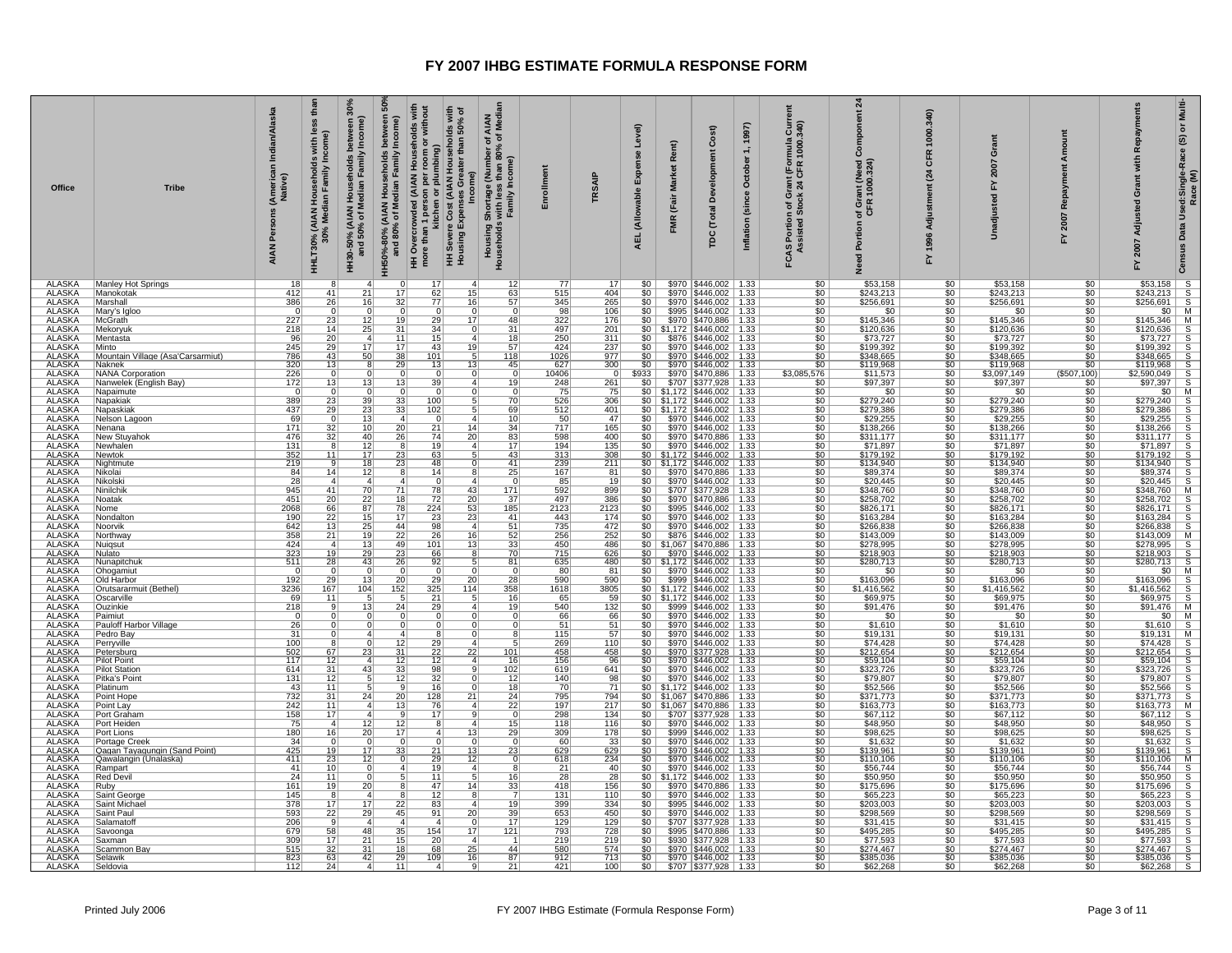| Multi-<br>៰<br>$\widehat{\mathfrak{G}}$<br>Data Used:Single-Race<br>Race (M)<br>Census                                                              |                                                                                  |                          |                                | $\frac{1}{3}$                  |                                              |                                   |                          |                                                                               |                                              |                                          |                             |                                                                      |                         |               |                                                      |                                                                                                         |                                                                  |                                              |                        |                                                  |                          |                          |                        |                                                          |                |                                                                                                                                                                              |                                   |                                                                  |                                                                                                                                                                                                |                                     |                                                    |                        |                                              |                                                                                                                                                                                                             |                                |                                     | $\frac{1}{\leq 0}$ o $\left  \alpha \right $ o $\left  \alpha \right $ |               |                                                                                        |                          |                                |                          |                                                                                               |                       |                                   | ⊠∞∞∞∞                                    |                                                      |                          |                                              |                        |                          | aaaaa                                                |                                 | $\frac{s}{s}$            |
|-----------------------------------------------------------------------------------------------------------------------------------------------------|----------------------------------------------------------------------------------|--------------------------|--------------------------------|--------------------------------|----------------------------------------------|-----------------------------------|--------------------------|-------------------------------------------------------------------------------|----------------------------------------------|------------------------------------------|-----------------------------|----------------------------------------------------------------------|-------------------------|---------------|------------------------------------------------------|---------------------------------------------------------------------------------------------------------|------------------------------------------------------------------|----------------------------------------------|------------------------|--------------------------------------------------|--------------------------|--------------------------|------------------------|----------------------------------------------------------|----------------|------------------------------------------------------------------------------------------------------------------------------------------------------------------------------|-----------------------------------|------------------------------------------------------------------|------------------------------------------------------------------------------------------------------------------------------------------------------------------------------------------------|-------------------------------------|----------------------------------------------------|------------------------|----------------------------------------------|-------------------------------------------------------------------------------------------------------------------------------------------------------------------------------------------------------------|--------------------------------|-------------------------------------|------------------------------------------------------------------------|---------------|----------------------------------------------------------------------------------------|--------------------------|--------------------------------|--------------------------|-----------------------------------------------------------------------------------------------|-----------------------|-----------------------------------|------------------------------------------|------------------------------------------------------|--------------------------|----------------------------------------------|------------------------|--------------------------|------------------------------------------------------|---------------------------------|--------------------------|
| Repavr<br>with<br>Grant<br>Adjusted<br>2007<br>≿                                                                                                    | \$53,158 S<br>\$243,213 S<br>\$256,691 S<br>\$145,346 M<br>\$145,346 M           |                          |                                | \$120,636                      | \$73,727<br>\$199,392                        | \$348,665                         | \$119,968                | $\frac{$119,968}{$97,397}$ S<br>$\frac{$2,590,049}{$97,397}$ S<br>\$2,590,049 |                                              | $\frac{$0 }{$279,240}$ S                 |                             |                                                                      |                         |               |                                                      | \$279,386 \$<br>\$279,386 \$<br>\$29,255 \$<br>\$138,266 \$<br>\$113,77 \$71,897 \$179,192 \$179,192 \$ | $\frac{64}{134,940}$ S<br>$\frac{89,374}{20,445}$ S<br>\$134,940 |                                              |                        |                                                  |                          |                          |                        |                                                          |                | $\begin{array}{r} 324445 \\ 8248,760 \\ 5258,702 \\ 5826,171 \\ 5163,284 \\ 5163,284 \\ 5163,284 \\ 5143,009 \\ 5278,995 \\ 5278,995 \\ 5278,995 \\ 5290,743 \\ \end{array}$ |                                   |                                                                  | $\frac{$280,713}{$280,713}$ $\frac{$280,713}{$30}$ $\frac{$100,713}{$309}$ $\frac{$100,713}{$309}$ $\frac{$100,713}{$309}$ $\frac{$100,713}{$391,476}$ $\frac{$100,713}{$1000}$<br>\$1,416,562 |                                     |                                                    |                        |                                              | $\begin{array}{r rr} 391,476 & \text{iv} \\ \hline 50 & \text{M} \\ \hline 51,610 & \text{S} \\ \hline 519,131 & \text{M} \\ \hline 574,428 & \text{S} \\ \hline 5212,654 & \text{S} \\ \hline \end{array}$ |                                | \$59,104<br>\$323,726               | \$79,807                                                               | \$52,566      | \$371,773<br>\$163,773                                                                 |                          |                                |                          | 9103,773 M<br>\$67,112 S<br>\$48,950 S<br>\$98,625 S<br>\$1,632 S<br>\$139,961 S<br>\$139,961 | \$110,106             | \$56,744                          | \$50,950                                 | \$175,696<br>\$65,223                                | \$203,003                | \$298,569                                    | \$31,415               | \$495,285                | \$77,593<br>\$274,467                                | \$385,036                       | \$62,268                 |
| Amount<br>Repay<br>2007<br>놊                                                                                                                        | \$0<br>\$0<br>50                                                                 | \$0                      | \$0                            | $\frac{1}{2}$<br>\$0           |                                              | $rac{60}{60}$                     | \$0                      | (\$507,100)                                                                   | 50                                           | \$0                                      | 50                          | \$0<br>50                                                            | $\frac{1}{2}$           |               |                                                      | $rac{1}{100}$                                                                                           | \$0                                                              | \$0                                          | $\overline{\$0}$       | \$0<br>\$0                                       | 50                       | \$0                      | \$0                    | $rac{1}{100}$                                            |                | \$0                                                                                                                                                                          | \$0<br>\$0                        | \$0                                                              | \$0                                                                                                                                                                                            | $rac{$0}{$0}$                       |                                                    | $rac{$0}{$0}$          |                                              | $rac{$0}{$0}$                                                                                                                                                                                               | 50                             | \$0<br>\$0                          | \$0                                                                    | \$0           | $rac{$0}{$0}$                                                                          |                          | $rac{$0}{$0}$                  | 50                       | \$0<br>50                                                                                     | \$0                   | \$0                               | \$0                                      | \$0                                                  | $rac{$0}{$0}$            | \$0                                          | \$0                    | 50                       | \$0<br>50                                            | \$0                             | 50                       |
| ant<br>ö<br>놊<br>g<br>nadju<br>5                                                                                                                    | \$53,158<br>\$243,213<br>\$256,691                                               | \$0                      | \$145,346                      | \$120,636<br>\$73,727          | \$199.392                                    | \$348,665                         | \$119,968                | \$3,097,149                                                                   | \$97,397                                     | $rac{$0}{279,240}$                       |                             | \$279,386<br>\$29,255                                                | \$138,266               | \$311,177     | \$71,897                                             | \$179,192                                                                                               | \$134,940                                                        | \$89,374<br>\$20,445                         |                        | \$348,760<br>\$258,702                           | \$826,171                | \$163,284                | \$266,838              | \$143,009                                                | \$278,995      | \$218,903                                                                                                                                                                    | \$280,713<br>\$0                  | \$163.096                                                        | \$1,416,562                                                                                                                                                                                    | \$69,975                            | \$91,476<br>\$0                                    | \$1,610                | \$19,131<br>\$74,428                         |                                                                                                                                                                                                             | \$212,654<br>\$59,104          | \$323,726                           | \$79,807                                                               | \$52,566      | \$371,773<br>\$163,773                                                                 | \$67,112                 | \$48,950                       | \$98,625                 | \$1,632<br>\$139,961                                                                          | \$110,106             | \$56,744                          | \$50,950                                 | \$175,696<br>\$65,223                                | \$203,003                | \$298,569                                    | \$31,415               | \$495,285                | \$77,593<br>\$274,467                                | \$385,036                       | \$62,268                 |
| 340<br>1000.<br>Œ<br>$\overline{a}$<br>1996<br>놊                                                                                                    | \$0<br>\$0<br>\$0                                                                | \$0                      | \$0                            | 50<br>\$0                      |                                              | $rac{$0}{$0}$                     |                          | $\frac{$0}{$0}$                                                               | 50                                           | \$0                                      | \$0                         | 50                                                                   | \$0<br>50               |               |                                                      | $rac{$0}{$0}$<br>$rac{$0}{$0}$                                                                          | \$0                                                              | \$0                                          | $\overline{50}$        | \$0 <sub>1</sub><br>50                           | $\overline{\$0}$         |                          | $\frac{$0}{0}$         | $rac{1}{100}$                                            |                | 50                                                                                                                                                                           | \$0                               | $rac{$0}{$0}$                                                    | \$0                                                                                                                                                                                            | $rac{$0}{$0}$                       | \$0                                                | 50                     |                                              | $rac{$0}{$0}$                                                                                                                                                                                               | 50                             | \$0                                 | $rac{$0}{$0}$                                                          | \$0           | $rac{$0}{$0}$                                                                          |                          | $rac{$0}{$0}$<br>$rac{$0}{$0}$ |                          | 50<br>50                                                                                      | \$0                   | $\overline{50}$                   | \$0                                      | \$0                                                  | $rac{$0}{$0}$            | \$0                                          | \$0                    | 50                       | \$0<br>50                                            | \$0                             | 50                       |
| $\overline{a}$<br>ant (Need \)<br>1000.324)<br>of Gr<br>CFR<br>Portion<br>ě                                                                         | \$53,158<br>\$243,213<br>\$256,691                                               | \$0                      | \$145,346                      | \$120,636                      | $\frac{$73,727}{$199,392}$                   | \$348,665                         | \$119,968                | \$11,573                                                                      | \$97,397                                     | \$0                                      | \$279,240                   | \$279,386<br>\$29,255                                                | \$138,266               | \$311,177     | \$71,897                                             | \$179,192                                                                                               | \$134,940                                                        | \$89,374                                     | \$20,445               | \$348,760<br>\$258,702                           | \$826,171                | \$163,284                | \$266,838              | \$143,009                                                | \$278,995      | \$218,903                                                                                                                                                                    | \$280,713<br>\$0                  | \$163,096                                                        | \$1,416,562                                                                                                                                                                                    | \$69,975                            | \$91,476<br>\$0                                    | \$1,610                | $$19,131$<br>$$74,428$                       |                                                                                                                                                                                                             | \$212,654                      | \$59,104<br>\$323,726               | \$79,807                                                               | \$52,566      | \$371,773<br>\$163,773                                                                 | \$67,112                 | \$48,950                       | \$98,625                 | \$1,632<br>\$139,961                                                                          | \$110,106             | \$56,744                          | \$50,950                                 | \$175,696<br>\$65.223                                | \$203,003                | \$298,569                                    | \$31,415               | \$495,285                | \$77,593<br>\$274,467                                | \$385,036                       | \$62,268                 |
| $rac{5}{340}$<br>mula<br>1000.3<br>rant (For<br>24 CFR<br>i Portion of Grassisted Stock 2<br>FCAS  <br>Ass                                          | \$0<br>\$0<br>\$0                                                                |                          | $rac{$0}{$0}$<br>$rac{$0}{$0}$ |                                | $\frac{$0}{$0}{$0}{$0 $$                     |                                   | $\overline{50}$          | \$3,085,576                                                                   | \$0                                          | \$0                                      | \$0                         | $rac{60}{100}$                                                       |                         |               |                                                      | $\frac{1}{30}$<br>$\frac{1}{30}$                                                                        | $rac{1}{100}$                                                    |                                              |                        | $\frac{1}{50}$                                   | \$0                      |                          | $\frac{$0}{$0}$        | $\frac{10}{100}$                                         |                |                                                                                                                                                                              | $\frac{1}{30}$<br>$\frac{1}{30}$  |                                                                  | $rac{1}{150}$                                                                                                                                                                                  |                                     | $\overline{\$0}$                                   | $rac{1}{50}$           |                                              | $\frac{1}{30}$<br>$\frac{1}{30}$                                                                                                                                                                            |                                | $rac{1}{100}$                       |                                                                        | $rac{1}{100}$ | \$ō                                                                                    |                          | $\frac{$0}{$0}$                | \$0                      | $rac{1}{150}$                                                                                 |                       | $\frac{1}{30}$<br>$\frac{1}{30}$  |                                          | $\frac{1}{30}$<br>$\frac{1}{30}$                     |                          |                                              | $\frac{$0}{$0}$        | \$0                      | $rac{1}{50}$                                         |                                 | $\frac{$0}{$0}$          |
| 1997)<br>1,<br>October<br>Inflation (since                                                                                                          |                                                                                  |                          |                                |                                |                                              |                                   |                          |                                                                               |                                              |                                          |                             |                                                                      |                         |               |                                                      |                                                                                                         |                                                                  |                                              |                        |                                                  |                          |                          |                        |                                                          |                |                                                                                                                                                                              |                                   |                                                                  |                                                                                                                                                                                                |                                     |                                                    |                        |                                              |                                                                                                                                                                                                             |                                |                                     |                                                                        |               | \$0 \$1,172 \$446,002 1.33<br>\$0 \$1,067 \$470,886 1.33<br>\$0 \$1,067 \$470,886 1.33 |                          |                                |                          |                                                                                               |                       |                                   |                                          |                                                      |                          | \$970 \$446,002 1.33<br>\$707 \$377,928 1.33 |                        |                          |                                                      | $$0$   \$970   \$446,002   1.33 | \$707   \$377,928   1.33 |
| Cost)<br><b>Market</b><br>ஃ<br>(Fair<br>(Total<br>pc                                                                                                | \$970   \$446,002   1.33<br>\$970   \$446,002   1.33<br>\$970   \$446,002   1.33 | \$995   \$446,002   1.33 | \$970   \$470,886   1.33       | $$1,172$   \$446,002   1.33    | \$876 \$446,002 1.33<br>\$970 \$446,002 1.33 | $$970$ $$446,002$ 1.33            | \$970   \$446,002   1.33 |                                                                               | \$970 \$470,886 1.33<br>\$707 \$377,928 1.33 | $$0 \mid $1,172 \mid $446,002 \mid 1.33$ | $$1,172$   \$446,002   1.33 | $$0 \mid $1,172 \mid $446,002 \mid 1.33$<br>\$970   \$446,002   1.33 | \$970 \$446,002   1.33  |               | \$970   \$470,886   1.33<br>\$970   \$446,002   1.33 | $$0 \mid $1,172 \mid $446,002 \mid 1.33$                                                                | $$0$   \$1,172   \$446,002   1.33                                | \$970 \$470,886 1.33<br>\$970 \$446,002 1.33 |                        | \$707 \$377,928 1.33<br>\$970   \$470,886   1.33 | \$995   \$446,002   1.33 | \$970   \$446,002   1.33 | $$970$ $$446,002$ 1.33 | \$876   \$446,002   1.33<br>  \$1,067   \$470,886   1.33 |                | \$970   \$446,002   1.33                                                                                                                                                     | $$0$   \$1,172   \$446,002   1.33 | \$0   \$970   \$446,002   1.33<br>\$0   \$999   \$446,002   1.33 | $$0 \mid $1,172 \mid $446,002 \mid 1.33$                                                                                                                                                       | $$1,172$ $$446,002$   1.33          | $$999$ $$446,002$ 1.33<br>\$970   \$446,002   1.33 | $$970$ $$446,002$ 1.33 | \$970 \$446,002 1.33<br>\$970 \$446,002 1.33 |                                                                                                                                                                                                             | \$970   \$377,928   1.33       | \$970 \$446,002 1.33                | \$970 \$446,002 1.33<br>\$970 \$446,002 1.33                           |               |                                                                                        | \$707 \$377,928 1.33     | $$970$ $$446,002$ 1.33         | \$999   \$446,002   1.33 | \$970   \$446,002   1.33<br>\$970   \$446,002   1.33                                          | \$970 \$446,002 1.33  | \$970   \$446,002   1.33          | $$0 \mid $1,172 \mid $446,002 \mid 1.33$ | \$970   \$470,886   1.33<br>\$970   \$446,002   1.33 | \$995   \$446,002   1.33 |                                              |                        | \$995   \$470,886   1.33 | \$930   \$377,928   1.33<br>\$970   \$446,002   1.33 |                                 |                          |
| Level)<br>Rent)<br>Expense<br>(Allowable<br>FMR<br>AEL                                                                                              | 50 <sub>1</sub><br>\$0<br>50                                                     | \$0                      | 50<br>$\overline{\text{SO}}$   |                                | \$0                                          | $rac{$0}{$0}$                     | \$0                      | \$933                                                                         | 50                                           |                                          | 50                          |                                                                      | $\sqrt{50}$<br>50       | \$0           | $\overline{\$0}$                                     |                                                                                                         |                                                                  | $$0$                                         | $\overline{\text{SO}}$ | \$0<br>$\overline{\$0}$                          | 50                       | \$0                      | $\frac{1}{50}$         | $rac{1}{50}$                                             |                | 50                                                                                                                                                                           |                                   |                                                                  |                                                                                                                                                                                                | $\overline{50}$                     | 50                                                 | $rac{$0}{$0}$          | $rac{$0}{$0}$                                |                                                                                                                                                                                                             | \$0                            | $\overline{50}$<br>\$0              | 50                                                                     |               |                                                                                        | \$0                      | \$0                            | 50                       | \$0<br>50                                                                                     | \$0                   | $\overline{50}$                   |                                          | \$0<br>\$0                                           | $\overline{50}$          |                                              | $rac{$0}{$0}$          | 50                       | 50<br>50 <sub>1</sub>                                |                                 | 50                       |
| TRSAIP                                                                                                                                              | 17<br>404<br>265                                                                 | 106                      | 176                            | 201                            | 311                                          | $\frac{237}{977}$                 | 300                      | $\Omega$                                                                      | 261                                          | 75                                       | 306                         | 401                                                                  | 47<br>165               | 400           | 135                                                  | 308                                                                                                     | 211                                                              | 81                                           | $\overline{19}$        | 899<br>386                                       | 2123                     | 174                      | 472                    | $\frac{252}{486}$                                        |                | 626<br>480                                                                                                                                                                   | 81                                | 590                                                              | 3805                                                                                                                                                                                           | 59                                  | 132                                                | $\frac{66}{51}$        | $\frac{57}{110}$                             |                                                                                                                                                                                                             | 458<br>96                      | 641                                 | 98                                                                     | 71            | 794<br>217                                                                             | 134                      | 116                            | 178                      | 33<br>629                                                                                     | 234                   | 40                                | $\overline{28}$                          | 156<br>110                                           | 334                      | 450                                          | 129                    | 728                      | 219<br>574                                           | 713                             | 100                      |
| Enrollmen                                                                                                                                           | 12 <br>77<br>515<br>345                                                          | 0 <br>98                 | 322<br>$\overline{31}$<br>497  |                                | $\frac{250}{424}$                            | 1026                              | 627                      | $\overline{0}$<br>10406                                                       | 19<br>248                                    | $\frac{75}{526}$<br>$\Omega$             | 70 <sub>1</sub>             | 69<br>512<br>10                                                      | 50 <sub>1</sub><br>717  | 598           | $\frac{83}{17}$<br>194                               | 313<br>43                                                                                               | 239                                                              | 167                                          | $\overline{0}$<br>85   | 592<br>497                                       | 2123                     | 41<br>443                | 735<br>51              | $\frac{52}{33}$<br>$\frac{256}{450}$                     |                | 70<br>715                                                                                                                                                                    | 635<br>80<br>$\Omega$             | 590                                                              | 1618                                                                                                                                                                                           | $\frac{16}{19}$<br>$\frac{65}{540}$ | $\overline{0}$<br>66                               | 51<br>$\Omega$         | 115<br>$\frac{8}{2}$                         | 269<br>5 <sup>1</sup>                                                                                                                                                                                       | 458                            | 156<br>619                          | 140<br>$\overline{12}$                                                 | 18<br>70      | 795<br>$\overline{22}$<br>197                                                          | 298<br>$\overline{0}$    | $\frac{15}{29}$<br>118         | 309                      | $\overline{0}$<br>60<br>23<br>629                                                             | 618<br>$\overline{0}$ | 8 <sup>1</sup><br>$\frac{21}{28}$ | $\overline{16 }$                         | 418<br>131<br>$\overline{7}$                         | $\overline{19}$<br>399   | 653                                          | $\frac{39}{17}$<br>129 | 793                      | 219<br>1<br>580                                      | 912                             | $\frac{87}{21}$<br>421   |
| AIAN<br>f Median<br>ð<br>৳<br>ye (Number o<br>ss than 80% ‹<br>′ Income)<br>l Shortage (<br>s with less<br>Family In<br>Housing S<br>Households     | $\frac{63}{57}$                                                                  | $\Omega$                 | 17<br>48                       | $\overline{0}$<br>$\mathbf{4}$ | 18<br>57                                     | 118                               | 45                       | $\Omega$                                                                      | $\overline{4}$                               | $\Omega$                                 |                             | 5<br>$\overline{4}$                                                  | $\overline{14}$<br>34   |               | $\mathbf{A}$                                         | 5                                                                                                       | 41<br>0                                                          | 25                                           |                        | 171<br>37                                        | $\overline{185}$         |                          | $\overline{4}$         |                                                          | $\frac{1}{2}$  | 8                                                                                                                                                                            | 81<br>5                           | $\overline{28}$                                                  | 358                                                                                                                                                                                            | $\overline{5}$                      | $\overline{4}$<br>$\overline{0}$                   | $\Omega$               | 0                                            | $\mathbf{4}$                                                                                                                                                                                                | 101<br>$\overline{4}$          | 16<br>102<br>9                      | $\overline{0}$                                                         | 0             | 24<br>$\boldsymbol{\Lambda}$                                                           | $\overline{9}$           | $\mathbf{4}$                   |                          | $\Omega$<br>13                                                                                |                       |                                   | 5                                        | 14<br>$\frac{33}{2}$<br>8                            | $\overline{A}$           | 20 <sub>1</sub>                              | 0                      | 121                      | $\boldsymbol{\Lambda}$<br>44                         |                                 |                          |
| lds with<br>50% of<br>sholds<br>than<br>Cost (AIAN Hous<br>ater<br>ncome)<br>Gre<br>8s<br>Exper<br>Severe<br>HH Sever                               | 17<br>62<br>15<br>$\overline{77}$<br>16                                          | $\overline{0}$           | 29<br>$\overline{34}$          | 15                             | 43<br>19                                     | 101                               | 13<br>13                 | $\overline{0}$                                                                | 39                                           | 0                                        | 100                         | 102<br>$\overline{0}$                                                | $\overline{21}$         | 74<br>20      | 19                                                   | 63                                                                                                      | 48                                                               | 14                                           | $\overline{0}$         | 78<br>43<br>20<br>72                             | 224<br>53                | 23<br>23                 | $\overline{98}$        | $\frac{26}{101}$<br>16                                   |                | 66                                                                                                                                                                           | 92<br>$^{\circ}$                  | 29<br>20                                                         | 325<br>114                                                                                                                                                                                     | 21                                  | $\overline{29}$<br>$\overline{0}$                  | $\overline{0}$         | 8                                            | 29                                                                                                                                                                                                          | $\overline{22}$<br>22          | 12<br>98                            | $\overline{32}$                                                        | 16            | 128<br>21<br>76                                                                        | 17                       | 8 <sup>2</sup>                 | 13<br>$\overline{4}$     | $\Omega$<br>21                                                                                | 29<br>12              | 19                                | 11                                       | 47<br>12                                             | $\overline{83}$          | 91                                           | $\overline{4}$         | 154<br>17                | 20<br>68<br>25                                       | 109<br>16                       | $\overline{4}$           |
| HH Overcrowded (AIAN Households with<br>more than 1 person per room or without<br>per room or<br>plumbing)<br>n 1 person<br>kitchen or <sub>l</sub> |                                                                                  |                          |                                |                                |                                              |                                   |                          |                                                                               |                                              |                                          |                             |                                                                      |                         |               |                                                      |                                                                                                         |                                                                  |                                              |                        |                                                  |                          |                          |                        |                                                          |                |                                                                                                                                                                              |                                   |                                                                  |                                                                                                                                                                                                |                                     |                                                    |                        |                                              |                                                                                                                                                                                                             |                                |                                     |                                                                        |               |                                                                                        |                          |                                |                          |                                                                                               |                       |                                   |                                          |                                                      |                          |                                              |                        |                          |                                                      |                                 |                          |
| និ<br>between<br>Income)<br>Households<br>and 80% of Median Family<br>HH50%-80% (AIAN                                                               | 17<br>32                                                                         |                          | 19                             | 31<br>11                       | 17                                           | 38                                | 29                       |                                                                               | 13                                           |                                          | 33                          | 33<br>$\overline{4}$                                                 | $\overline{20}$         | 26            |                                                      | 23                                                                                                      | 23                                                               |                                              |                        | 71<br>18                                         | 78                       | 17                       | 44                     | $\frac{22}{49}$                                          |                | 23                                                                                                                                                                           | 26                                | 20                                                               | 152                                                                                                                                                                                            |                                     | 24                                                 |                        |                                              | 12                                                                                                                                                                                                          | 31                             | 12<br>33                            | $\overline{12}$                                                        |               | 20<br>13                                                                               |                          | 12                             | $\overline{17}$          | $\Omega$<br>33                                                                                |                       |                                   |                                          |                                                      | 22                       | 45                                           | $\mathbf{A}$           | 35                       | 15<br>18                                             | <u>29</u>                       | 11                       |
| 30%<br>between 3<br>/ Income)<br>HH30-50% (AIAN Households I<br>and 50% of Median Family                                                            | 21<br>16                                                                         | $\Omega$                 | 12<br>$\overline{25}$          | $\bar{a}$                      | 17                                           | 50                                |                          |                                                                               | $\overline{13}$                              | - 0                                      | 39                          | $\overline{23}$<br>13                                                | $\overline{10}$         | 40            | $\overline{12}$                                      | 17                                                                                                      | 18                                                               | 12                                           |                        | $\frac{70}{22}$                                  | 87                       | 15                       | $\overline{25}$        | $\frac{19}{13}$                                          |                | 29                                                                                                                                                                           | 43                                | 13                                                               | 104                                                                                                                                                                                            |                                     | $\overline{13}$                                    |                        |                                              |                                                                                                                                                                                                             | 23<br>$\boldsymbol{\Delta}$    | 43                                  |                                                                        |               | 24<br>$\boldsymbol{\Lambda}$                                                           |                          | 12                             | 20                       | $\Omega$<br>17                                                                                | 12                    |                                   |                                          | 20                                                   | $\overline{17}$          | 29                                           | $\boldsymbol{\Lambda}$ | 48                       | 21<br>$\overline{31}$                                | 42                              |                          |
| than<br>less<br>HHLT30% (AIAN Households with Ie<br>30% Median Family Income)                                                                       | 41<br>26                                                                         | $\Omega$                 | 23                             | 14                             | $\frac{20}{29}$                              | 43                                | 13                       | $\Omega$                                                                      | 13                                           | - 0                                      | 23                          | 29<br>$\Omega$                                                       | 32                      | 32            | -8                                                   | 11                                                                                                      | -9                                                               | 14                                           | $\overline{4}$         | 41<br>20                                         | 66                       | 22                       | $\overline{13}$        | 21                                                       | $\overline{a}$ | 19                                                                                                                                                                           | $\overline{28}$                   | 29                                                               | 167                                                                                                                                                                                            | 11                                  | - q<br>$\overline{0}$<br>$\Omega$                  | $\Omega$               | 0                                            | 8                                                                                                                                                                                                           | 67                             | 12<br>31                            | $\overline{12}$                                                        | 11            | $\frac{31}{11}$                                                                        | 17                       | $\overline{4}$                 | 16                       | $\Omega$<br>19                                                                                | 23                    | 10                                | 11                                       | 19<br>-8                                             | $\overline{17}$          | 22                                           |                        | 58                       | 17<br>32                                             | 63                              | 24                       |
| Indian/Alaska<br>(American<br>Native)<br>Persons<br><b>AIAN</b>                                                                                     | 18<br>412<br>386                                                                 | $\Omega$                 | 227<br>218                     | 96                             | 245                                          | 786                               | 320                      | 226                                                                           | 172                                          | $\mathbf 0$                              | 389                         | 437                                                                  | 69<br>171               | 476           | 131                                                  | 352                                                                                                     | 219                                                              | 84                                           | $\overline{28}$        | 945<br>451                                       | 2068                     | 190                      | 642                    | $\frac{358}{424}$                                        |                | 323                                                                                                                                                                          | 511                               | 192                                                              | 3236                                                                                                                                                                                           | 69                                  | 218                                                | 26                     | $\frac{31}{100}$                             |                                                                                                                                                                                                             | 502<br>117                     | 614                                 | 131                                                                    | 43            | 732<br>242                                                                             | 158                      | 75                             | 180                      | 34<br>425                                                                                     | 411                   | 41                                | $\overline{24}$                          | 161<br>145                                           | 378                      | 593                                          | 206                    | 679                      | 309<br>515                                           | 823                             | 112                      |
| <b>Tribe</b>                                                                                                                                        | Manley Hot Springs<br>Manokotak<br>Marshall                                      | Mary's Igloo             | McGrath                        | Mekoryuk                       | Mentasta<br>Minto                            | Mountain Village (Asa'Carsarmiut) | Naknek                   | <b>NANA Corporation</b>                                                       | Nanwelek (English Bay)                       | Napaimute                                | Napakiak                    | Napaskiak                                                            | Nelson Lagoon<br>Nenana | New Stuyahok  | Newhalen                                             | Newtok                                                                                                  | Nightmute                                                        | Nikolai                                      | Nikolsk                | Ninilchil<br>Noatak                              | Nome                     | Nondalton                | Noorvik                | Northway                                                 | Nuigsut        | Nulato                                                                                                                                                                       | l Nunapitchul<br>Ohogamiut        | Old Harbor                                                       | Orutsararmuit (Bethel)                                                                                                                                                                         | Oscarville                          | Ouzinkie<br>Paimiut                                | Pauloff Harbor Village | Pedro Bay                                    | Perryville                                                                                                                                                                                                  | Petersburg                     | Pilot Point<br><b>Pilot Station</b> | Pitka's Point                                                          | Platinum      | Point Hope                                                                             | Point Lay<br>Port Graham | Port Heiden                    | Port Lions               | Portage Creek<br>Qagan Tayagungin (Sand Point)                                                | Qawalangin (Unalaska) | Rampart                           | <b>Red Devil</b>                         | Ruby<br>Saint George                                 | Saint Michael            | Saint Paul                                   | Salamatoff             | Savoonga                 | Saxman<br>Scammon Bay                                | Selawik                         | Seldovia                 |
| <b>Office</b>                                                                                                                                       | <b>ALASKA</b><br><b>ALASKA</b><br><b>ALASKA</b>                                  | <b>ALASKA</b>            | <b>ALASKA</b>                  | <b>ALASKA</b><br><b>ALASKA</b> | <b>ALASKA</b>                                | <b>ALASKA</b>                     | <b>ALASKA</b>            | <b>ALASKA</b>                                                                 | <b>ALASKA</b>                                | <b>ALASKA</b>                            | <b>ALASKA</b>               | <b>ALASKA</b><br><b>ALASKA</b>                                       | <b>ALASKA</b>           | <b>ALASKA</b> | <b>ALASKA</b>                                        | <b>ALASKA</b>                                                                                           | <b>ALASKA</b>                                                    | ALASKA                                       | <b>ALASKA</b>          | <b>ALASKA</b><br><b>ALASKA</b>                   | <b>ALASKA</b>            | <b>ALASKA</b>            | <b>ALASKA</b>          | <b>ALASKA</b>                                            | <b>ALASKA</b>  | <b>ALASKA</b>                                                                                                                                                                | <b>ALASKA</b><br><b>ALASKA</b>    | <b>ALASKA</b>                                                    | <b>ALASKA</b>                                                                                                                                                                                  | <b>ALASKA</b>                       | <b>ALASKA</b><br><b>ALASKA</b>                     | <b>ALASKA</b>          | <b>ALASKA</b>                                | <b>ALASKA</b>                                                                                                                                                                                               | <b>ALASKA</b><br><b>ALASKA</b> | <b>ALASKA</b>                       | <b>ALASKA</b>                                                          | <b>ALASKA</b> | <b>ALASKA</b><br><b>ALASKA</b>                                                         | <b>ALASKA</b>            | <b>ALASKA</b>                  | <b>ALASKA</b>            | <b>ALASKA</b><br><b>ALASKA</b>                                                                | <b>ALASKA</b>         | <b>ALASKA</b>                     | <b>ALASKA</b>                            | <b>ALASKA</b><br><b>ALASKA</b>                       | <b>ALASKA</b>            | <b>ALASKA</b>                                | <b>ALASKA</b>          | <b>ALASKA</b>            | <b>ALASKA</b><br><b>ALASKA</b>                       | ALASKA                          | <b>ALASKA</b>            |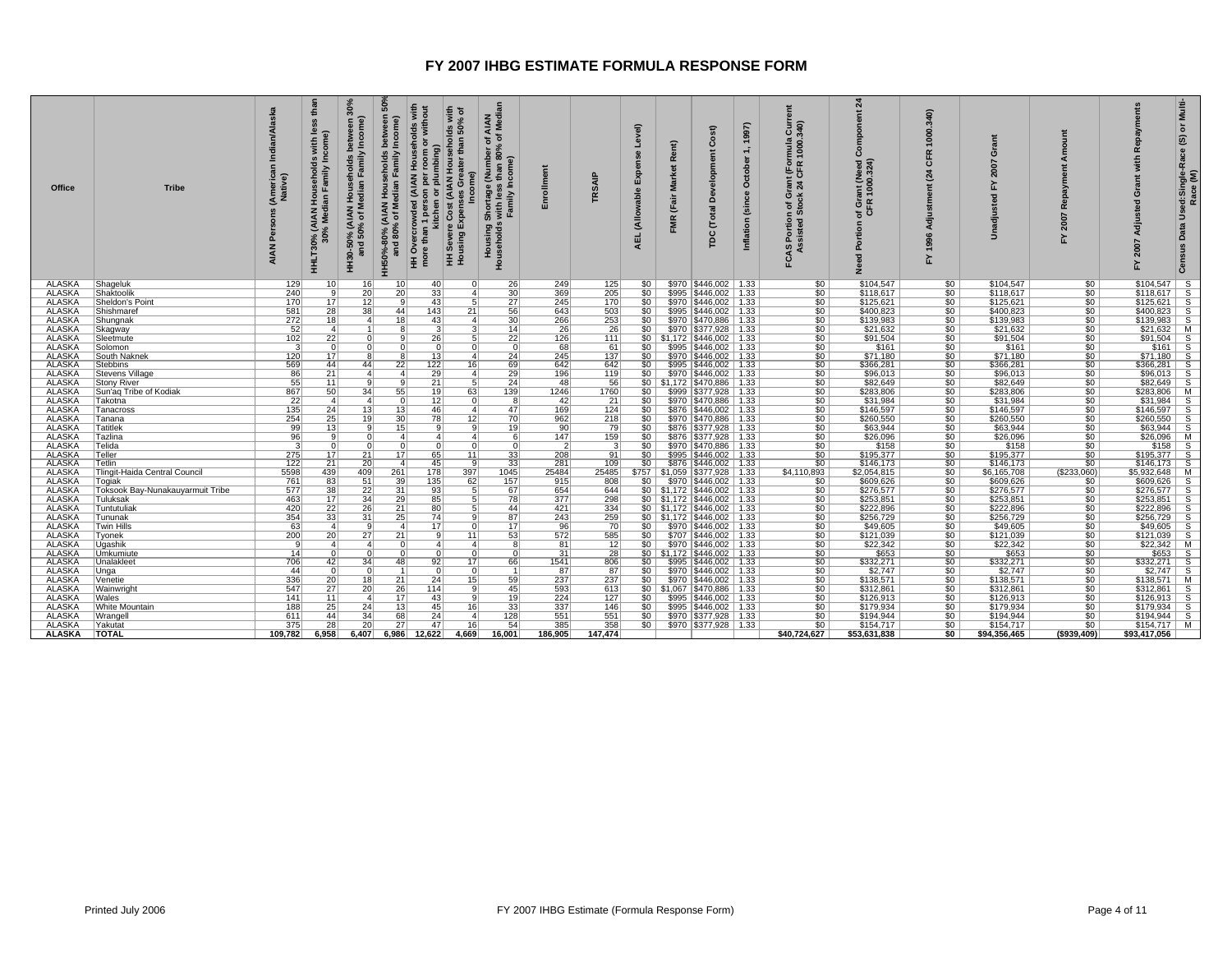| <b>Office</b>                  | <b>Tribe</b>                     | Indian/A<br>(Americar<br>Native)<br><b>AIAN</b> | than<br>SS<br>with les<br>l Households<br>Jian Family Ind<br>AIAN Hou<br>HHLT30%<br>30° | 30%<br>Income)<br>Median Family<br>olds<br>÷.<br>0% (AIAN<br>50% of M<br>HH30-50°,<br>and 5 | និ<br>between<br>Income)<br>(AIAN Households<br>6 of Median Family<br>НН50%-80% ( <i>I</i><br>and 80% | HH Overcrowded (AIAN Households with<br>more than 1 person per room or without<br>per room o<br>plumbing)<br>n 1 person p<br>kitchen or p<br>Ξ | nolds with<br>an 50% of<br>than<br>es Greater<br>(AIAN Hou<br>re Cost<br>Expense<br>Cost<br>HH Severe<br>Housing l | AIAN<br>Median<br>đ<br>ቴ<br>80%<br>Shortage (Number)<br>s with less than 80%<br>ss than 80<br>Income)<br>– Housing Shor <sub>es</sub><br>Households with less<br>Family I | <u>sin</u>       | <b>SAIP</b>           | Level)<br>able<br>(Allow<br><b>AEL</b> | Rent)<br><b>Market</b><br>(Fair<br><b>FMR</b> | $\widehat{\mathbf{s}}$<br>යි<br>velopm<br>å<br><b>Total</b><br>pc           | 997)<br>ctober<br>Ō<br>(since<br>Inflation | င်များ<br>၁၁၁<br>mula<br>1000<br><b>E</b><br>CFR<br>$\frac{1}{24}$<br>ᅙ⋇<br>۾ ڇ<br>ຼທ<br>FCAS Portion<br>Assisted | $\boldsymbol{z}$<br>ō<br>ant (Need<br>1000.324)<br>ចំ ៥<br>'৯ ত<br>등<br>힡 | 340<br>1000.<br>CFR<br>$\mathbf{z}$<br>Adjustment<br>1996<br>≿ | ō<br>2007<br>겂<br>짛<br><b>Unadiu</b> | 2007<br>걊                           | œ<br>O                       | Multi-<br>৳<br>$\circledS$<br>Used:Single-Race<br>Race (M)<br>Data<br>Census |
|--------------------------------|----------------------------------|-------------------------------------------------|-----------------------------------------------------------------------------------------|---------------------------------------------------------------------------------------------|-------------------------------------------------------------------------------------------------------|------------------------------------------------------------------------------------------------------------------------------------------------|--------------------------------------------------------------------------------------------------------------------|---------------------------------------------------------------------------------------------------------------------------------------------------------------------------|------------------|-----------------------|----------------------------------------|-----------------------------------------------|-----------------------------------------------------------------------------|--------------------------------------------|-------------------------------------------------------------------------------------------------------------------|---------------------------------------------------------------------------|----------------------------------------------------------------|--------------------------------------|-------------------------------------|------------------------------|------------------------------------------------------------------------------|
| <b>ALASKA</b>                  | Shageluk                         | 129                                             | 10 <sup>1</sup>                                                                         | 16                                                                                          | 10 <sup>1</sup>                                                                                       | 40                                                                                                                                             | 0 <sup>1</sup>                                                                                                     | 26                                                                                                                                                                        | 249              | 125                   |                                        |                                               | $$0 \mid $970 \mid $446,002 \mid 1.33$                                      |                                            | \$0                                                                                                               | \$104,547                                                                 | 50 <sub>1</sub>                                                | \$104.547                            | \$0                                 | $$104,547$ S                 |                                                                              |
| <b>ALASKA</b><br><b>ALASKA</b> | Shaktoolik                       | 240<br>170                                      | -91<br>$\overline{17}$                                                                  | 20<br>12                                                                                    | 20<br><b>q</b>                                                                                        | 33<br>43                                                                                                                                       | $\vert$ 4                                                                                                          | 30 <sup>1</sup><br>27                                                                                                                                                     | 369<br>245       | 205<br>170            | $$0$  <br>SO <sub>1</sub>              |                                               | \$995   \$446,002   1.33<br>\$970   \$446,002   1.33                        |                                            | 50<br>$\overline{\$0}$                                                                                            | \$118,617<br>\$125,621                                                    | 50<br>50                                                       | \$118,617<br>\$125,621               | $\overline{50}$<br>$\overline{\$0}$ | $$118,617$ S<br>$$125,621$ S |                                                                              |
| <b>ALASKA</b>                  | Sheldon's Point<br>Shishmaref    | 581                                             | 28                                                                                      | 38                                                                                          | 44                                                                                                    | 143                                                                                                                                            | 21                                                                                                                 | 56                                                                                                                                                                        | 643              | 503                   | $$0$                                   |                                               | \$995   \$446,002   1.33                                                    |                                            | \$0                                                                                                               | \$400,823                                                                 | \$0                                                            | \$400,823                            | \$0                                 | $$400,823$   S               |                                                                              |
| <b>ALASKA</b>                  | Shungnak                         | 272                                             | 18                                                                                      | 4 <sup>1</sup>                                                                              | 18                                                                                                    | 43                                                                                                                                             | $\vert$ 4                                                                                                          | 30                                                                                                                                                                        | 266              | 253                   | $$0$                                   |                                               | \$970 \$470,886 1.33                                                        |                                            |                                                                                                                   | \$139,983                                                                 | \$0                                                            | \$139,983                            | 50                                  | $$139,983$ S                 |                                                                              |
| <b>ALASKA</b>                  | Skagway                          | 52                                              | 4 <sup>1</sup>                                                                          | -1                                                                                          |                                                                                                       | -3                                                                                                                                             | 3                                                                                                                  | 14                                                                                                                                                                        | 26               | 26                    |                                        |                                               | $$0$   \$970   \$377,928   1.33                                             |                                            | $rac{1}{50}$                                                                                                      | \$21,632                                                                  | 50 <sub>1</sub>                                                | \$21,632                             | $\overline{\$0}$                    | $$21,632$ M                  |                                                                              |
| <b>ALASKA</b>                  | Sleetmute                        | 102                                             | 22                                                                                      | $\Omega$                                                                                    | a                                                                                                     | 26                                                                                                                                             | 5 <sup>5</sup>                                                                                                     | 22                                                                                                                                                                        | 126              | 111                   |                                        |                                               | $$0 \mid $1,172 \mid $446,002 \mid 1.33$                                    |                                            | 50                                                                                                                | \$91,504                                                                  | \$0                                                            | \$91,504                             | $\overline{50}$                     | $$91,504$ S                  |                                                                              |
| <b>ALASKA</b>                  | Solomon                          | 3 <sup>1</sup>                                  | 0                                                                                       | 0                                                                                           | n                                                                                                     | $\Omega$                                                                                                                                       | $\Omega$                                                                                                           | 0 <sup>1</sup>                                                                                                                                                            | 68               | 61                    | SO I                                   |                                               | \$995   \$446,002   1.33                                                    |                                            | \$0                                                                                                               | \$161                                                                     | SO <sub>1</sub>                                                | \$161                                | \$0                                 | $$161$ S                     |                                                                              |
| <b>ALASKA</b>                  | South Naknek                     | 120                                             | 17                                                                                      | $\overline{\mathbf{g}}$                                                                     | $\overline{\mathbf{8}}$                                                                               | 13                                                                                                                                             | 4                                                                                                                  | 24                                                                                                                                                                        | 245              | 137                   | 50                                     |                                               | \$970   \$446,002   1.33                                                    |                                            | 50                                                                                                                | \$71,180                                                                  | 50 <sub>1</sub>                                                | \$71,180                             | 50                                  | $$71,180$ S                  |                                                                              |
| <b>ALASKA</b>                  | Stebbins                         | 569                                             | 44                                                                                      | 44                                                                                          | 22                                                                                                    | 122                                                                                                                                            | 16                                                                                                                 | 69                                                                                                                                                                        | 642              | 642                   | $$0$                                   |                                               | \$995   \$446,002   1.33                                                    |                                            | \$0                                                                                                               | \$366,281                                                                 | \$0                                                            | \$366,281                            | \$0                                 | $$366,281$ S                 |                                                                              |
| <b>ALASKA</b>                  | <b>Stevens Village</b>           | 86                                              | 21                                                                                      | $\overline{4}$                                                                              | 4                                                                                                     | 29                                                                                                                                             | $\vert$ 4                                                                                                          | 29                                                                                                                                                                        | 196              | 119                   | \$0                                    |                                               | \$970   \$446,002   1.33                                                    |                                            | \$0                                                                                                               | \$96,013                                                                  | 50                                                             | \$96,013                             | \$0                                 | $$96,013$ S                  |                                                                              |
| <b>ALASKA</b>                  | <b>Stony River</b>               | 55                                              | 11                                                                                      |                                                                                             |                                                                                                       | 21                                                                                                                                             |                                                                                                                    | 24                                                                                                                                                                        | 48               | 56                    |                                        |                                               | $$0$   \$1,172   \$470,886   1.33                                           |                                            | $\overline{\$0}$                                                                                                  | \$82,649                                                                  | 50                                                             | \$82,649                             | $\overline{50}$                     | $$82,649$ S                  |                                                                              |
| <b>ALASKA</b>                  | Sun'aq Tribe of Kodiak           | 867                                             | 50                                                                                      | 34                                                                                          | 55                                                                                                    | 19                                                                                                                                             | 63                                                                                                                 | 139                                                                                                                                                                       | 1246             | 1760                  | SO                                     |                                               | \$999   \$377,928   1.33                                                    |                                            | $\overline{50}$                                                                                                   | \$283,806                                                                 | 50                                                             | \$283,806                            | \$0                                 | \$283,806   M                |                                                                              |
| <b>ALASKA</b>                  | Takotna                          | 22                                              | $\vert$ 4                                                                               | $\overline{4}$                                                                              | $\Omega$                                                                                              | 12                                                                                                                                             | 0                                                                                                                  | 8                                                                                                                                                                         | 42               | 21                    | 50                                     |                                               | \$970   \$470,886   1.33                                                    |                                            | 50                                                                                                                | \$31,984                                                                  | 50                                                             | \$31,984                             | $\overline{50}$                     | $$31,984$ S                  |                                                                              |
| <b>ALASKA</b>                  | Tanacross                        | 135                                             | 24                                                                                      | 13                                                                                          | 13                                                                                                    | 46                                                                                                                                             | $\vert$                                                                                                            | 47                                                                                                                                                                        | 169              | 124                   | \$0                                    |                                               | \$876   \$446,002   1.33                                                    |                                            | \$0                                                                                                               | \$146,597                                                                 | \$0                                                            | \$146,597                            | \$0                                 | $$146,597$ S                 |                                                                              |
| <b>ALASKA</b><br><b>ALASKA</b> | Tanana<br><b>Tatitlek</b>        | 254<br>99                                       | 25<br>13                                                                                | 19                                                                                          | 30<br>15                                                                                              | 78<br>9                                                                                                                                        | 12<br>9                                                                                                            | 70<br>19                                                                                                                                                                  | 962<br>90        | 218<br>79             | \$0 <br>50                             |                                               | \$970   \$470,886   1.33                                                    |                                            | $\overline{50}$<br>50                                                                                             | \$260,550<br>\$63,944                                                     | 50<br>50 <sub>1</sub>                                          | \$260,550<br>\$63,944                | \$0<br>$\overline{\$0}$             | $$260,550$ S<br>$$63,944$ S  |                                                                              |
| <b>ALASKA</b>                  | Tazlina                          | 96                                              | 9                                                                                       | $\Omega$                                                                                    | $\overline{4}$                                                                                        | 4 <sup>1</sup>                                                                                                                                 | 4 <sup>1</sup>                                                                                                     | 6 <sup>1</sup>                                                                                                                                                            | 147              | 159                   | \$0                                    |                                               | \$876   \$377,928   1.33<br>\$876   \$377,928   1.33                        |                                            | \$0                                                                                                               | \$26,096                                                                  | 50                                                             | \$26,096                             | \$0                                 | \$26,096 M                   |                                                                              |
| ALASKA                         | Telida                           | 3                                               | 0                                                                                       | $\Omega$                                                                                    | $\Omega$                                                                                              | $\overline{0}$                                                                                                                                 | 0                                                                                                                  | 0 <sup>1</sup>                                                                                                                                                            | 2 <sup>1</sup>   | -31                   | SO I                                   |                                               | $\overline{$970}$   \$470,886   1.33                                        |                                            | \$0                                                                                                               | \$158                                                                     | SO <sub>1</sub>                                                | \$158                                | \$0                                 | $$158$ S                     |                                                                              |
| <b>ALASKA</b>                  | Teller                           | 275                                             | 17                                                                                      | 21                                                                                          | 17                                                                                                    | 65                                                                                                                                             | 11                                                                                                                 | 33                                                                                                                                                                        | 208              | 91                    | 50                                     |                                               | \$995   \$446,002   1.33                                                    |                                            | \$0                                                                                                               | \$195,377                                                                 | 50                                                             | \$195,377                            | $\overline{50}$                     | $$195,377$ S                 |                                                                              |
| <b>ALASKA</b>                  | Tetlin                           | 122                                             |                                                                                         | 20                                                                                          | $\vert$                                                                                               | 45                                                                                                                                             | -91                                                                                                                | 33                                                                                                                                                                        | 281              | 109                   | SO <sub>1</sub>                        |                                               | \$876   \$446,002   1.33                                                    |                                            | \$0                                                                                                               | \$146,173                                                                 | \$0                                                            | \$146,173                            |                                     | $$146,173$ S                 |                                                                              |
| ALASKA                         | Tlingit-Haida Central Council    | 5598                                            | $\frac{21}{439}$                                                                        | 409                                                                                         | 261                                                                                                   | 178                                                                                                                                            | 397                                                                                                                | 1045                                                                                                                                                                      | 25484            | 25485                 |                                        |                                               | $$757$   \$1,059   \$377,928   1.33                                         |                                            | \$4,110,893                                                                                                       | \$2,054,815                                                               | \$0                                                            | \$6,165,708                          | $\frac{$0}{($233,060)}$             | \$5,932,648   M              |                                                                              |
| <b>ALASKA</b>                  | Togiak                           | 761                                             | 83                                                                                      | 51                                                                                          | 39                                                                                                    | 135                                                                                                                                            | 62                                                                                                                 | 157                                                                                                                                                                       | 915              | 808                   |                                        |                                               | $$0 \mid $970 \mid $446,002 \mid 1.33$                                      |                                            | \$0                                                                                                               | \$609,626                                                                 | 50 <sub>1</sub>                                                | \$609,626                            | \$0                                 | $$609,626$ S                 |                                                                              |
| <b>ALASKA</b>                  | Toksook Bay-Nunakauyarmuit Tribe | 577                                             | 38                                                                                      | 22                                                                                          | 31                                                                                                    | 93                                                                                                                                             | 5 <sup>1</sup>                                                                                                     | 67                                                                                                                                                                        | 654              | 644                   |                                        |                                               | $$0 \mid $1,172 \mid $446,002 \mid 1.33$                                    |                                            | \$0                                                                                                               | \$276,577                                                                 | \$0                                                            | \$276,577                            | \$0                                 | $$276,577$ S                 |                                                                              |
| <b>ALASKA</b>                  | Tuluksak                         | 463                                             | 17                                                                                      | 34                                                                                          | 29                                                                                                    | 85                                                                                                                                             | 5 <sup>1</sup>                                                                                                     | 78                                                                                                                                                                        | 377              | 298                   |                                        |                                               | $$0 \mid $1,172 \mid $446,002 \mid 1.33$                                    |                                            | \$0                                                                                                               | \$253,851                                                                 | SO <sub>1</sub>                                                | \$253,851                            | \$0                                 | $$253,851$ S                 |                                                                              |
| <b>ALASKA</b>                  | Tuntutuliak                      | 420                                             | $\overline{22}$                                                                         | 26                                                                                          | $\overline{21}$                                                                                       | 80                                                                                                                                             | 5                                                                                                                  | 44                                                                                                                                                                        | 421              | 334                   |                                        |                                               | $$0 \mid $1,172 \mid $446,002 \mid 1.33$                                    |                                            | 50                                                                                                                | \$222,896                                                                 | 50 <sub>1</sub>                                                | \$222,896                            | 50                                  | $$222.896$ S                 |                                                                              |
| <b>ALASKA</b>                  | Tununak                          | 354                                             | 33                                                                                      | 31                                                                                          | 25                                                                                                    | 74                                                                                                                                             | -91                                                                                                                | 87                                                                                                                                                                        | 243              | 259                   |                                        |                                               | $$0 \mid $1,172 \mid $446,002 \mid 1.33$                                    |                                            | $\overline{50}$                                                                                                   | \$256,729                                                                 | 50                                                             | \$256,729                            | \$0                                 | $$256,729$ S                 |                                                                              |
| <b>ALASKA</b>                  | <b>Twin Hills</b>                | 63                                              | $\vert 4 \vert$                                                                         | 9                                                                                           | $\overline{a}$                                                                                        | 17                                                                                                                                             | $\overline{0}$                                                                                                     | 17                                                                                                                                                                        | 96               | 70                    |                                        |                                               | $$0$   \$970   \$446,002   1.33                                             |                                            | 50                                                                                                                | \$49,605                                                                  | 50                                                             | \$49,605                             | 50                                  | $$49,605$ S                  |                                                                              |
| <b>ALASKA</b>                  | Tyonek                           | 200                                             | 20                                                                                      | 27                                                                                          | 21                                                                                                    | $\overline{9}$                                                                                                                                 | 11                                                                                                                 | 53                                                                                                                                                                        | 572              | 585                   | $$0$                                   |                                               | \$707   \$446,002   1.33                                                    |                                            | \$0                                                                                                               | \$121,039                                                                 | \$0                                                            | \$121,039                            | \$0                                 | $$121,039$ S                 |                                                                              |
| <b>ALASKA</b><br><b>ALASKA</b> | Uqashik                          | 9<br>14                                         | 4 <sup>1</sup><br>$\overline{0}$                                                        | 4 <sup>1</sup><br>$\Omega$                                                                  | $\Omega$<br>n                                                                                         | $\overline{4}$<br>$\Omega$                                                                                                                     | $\vert$<br>$\overline{0}$                                                                                          | 8 <sup>1</sup><br>$\Omega$                                                                                                                                                | 81<br>31         | 12 <sup>1</sup><br>28 | 50                                     |                                               | \$970   \$446,002   1.33                                                    |                                            | 50                                                                                                                | \$22,342<br>\$653                                                         | SO<br>50                                                       | \$22,342<br>\$653                    | \$0<br>$\overline{50}$              | $$22,342$ M<br>$$653$ $$$    |                                                                              |
| <b>ALASKA</b>                  | Umkumiute<br>Unalakleet          | 706                                             | 42                                                                                      | 34                                                                                          | 48                                                                                                    | 92                                                                                                                                             | 17                                                                                                                 | 66                                                                                                                                                                        |                  |                       |                                        |                                               | $$0 \mid $1,172 \mid $446,002 \mid 1.33$<br>$$0$   \$995   \$446,002   1.33 |                                            | $\overline{50}$                                                                                                   | \$332,271                                                                 | \$0                                                            | \$332,271                            | \$0                                 | $$332,271$ S                 |                                                                              |
| <b>ALASKA</b>                  | Unga                             | 44                                              | 0                                                                                       | $\Omega$                                                                                    |                                                                                                       | $\Omega$                                                                                                                                       | $\Omega$                                                                                                           | 11                                                                                                                                                                        | 1541<br>87       | 806<br>87             | SO <sub>1</sub>                        |                                               | \$970   \$446,002   1.33                                                    |                                            | \$0<br>$\overline{50}$                                                                                            | \$2.747                                                                   | 50                                                             | \$2,747                              | \$0                                 | $$2.747$ S                   |                                                                              |
| <b>ALASKA</b>                  | Venetie                          | 336                                             | 20                                                                                      | 18                                                                                          | 21                                                                                                    | 24                                                                                                                                             | 15                                                                                                                 | 59                                                                                                                                                                        | 237              | 237                   | 50                                     |                                               | \$970   \$446,002   1.33                                                    |                                            | 50                                                                                                                | \$138,571                                                                 | 50 <sub>1</sub>                                                | \$138,571                            | 50                                  | $$138,571$ M                 |                                                                              |
| <b>ALASKA</b>                  | Wainwright                       | 547                                             | 27 <sup>1</sup>                                                                         | 20                                                                                          | 26                                                                                                    | 114                                                                                                                                            | -91                                                                                                                | 45                                                                                                                                                                        | 593              | 613                   | $$0$                                   |                                               | $$1.067$ $$470.886$ 1.33                                                    |                                            | \$0                                                                                                               | \$312,861                                                                 | SO <sub>1</sub>                                                | \$312,861                            | \$0                                 | \$312,861                    | $\overline{s}$                                                               |
| <b>ALASKA</b>                  | <b>Wales</b>                     | 141                                             | 11                                                                                      | $\overline{4}$                                                                              | 17 <sup>1</sup>                                                                                       | 43                                                                                                                                             | 9                                                                                                                  | 19 <sup>1</sup>                                                                                                                                                           | 224              | 127                   | SO <sub>1</sub>                        |                                               | \$995   \$446,002   1.33                                                    |                                            |                                                                                                                   | \$126,913                                                                 | 50                                                             | \$126,913                            | $\overline{50}$                     | $$126,913$ S                 |                                                                              |
| <b>ALASKA</b>                  | <b>White Mountain</b>            | 188                                             | 25                                                                                      | 24                                                                                          | 13                                                                                                    | 45                                                                                                                                             | 16                                                                                                                 | $\overline{33}$                                                                                                                                                           | 337              | 146                   | 50                                     |                                               | \$995   \$446,002   1.33                                                    |                                            | $\frac{$0}{\$0}$                                                                                                  | \$179,934                                                                 | 50                                                             | \$179,934                            | $\overline{\$0}$                    | $$179,934$ S                 |                                                                              |
| <b>ALASKA</b>                  | Wrangell                         | 611                                             | 44                                                                                      | 34                                                                                          | 68                                                                                                    | 24                                                                                                                                             | $\vert$                                                                                                            | 128                                                                                                                                                                       | 551              | 551                   | SO <sub>1</sub>                        |                                               | \$970   \$377,928   1.33                                                    |                                            | \$0                                                                                                               | \$194,944                                                                 | SO <sub>1</sub>                                                | \$194,944                            | \$0                                 | $$194,944$ S                 |                                                                              |
| <b>ALASKA</b>                  | Yakutat                          | 375                                             | $\overline{28}$                                                                         | 20                                                                                          | 27                                                                                                    | 47                                                                                                                                             | 16                                                                                                                 | 54                                                                                                                                                                        | $\overline{385}$ | 358                   | 50                                     |                                               | \$970   \$377,928   1.33                                                    |                                            | 50                                                                                                                | \$154,717                                                                 | 50 <sub>1</sub>                                                | \$154,717                            | $\overline{50}$                     | $$154,717$ M                 |                                                                              |
| ALASKA                         | <b>TOTAL</b>                     | 109.782                                         | 6.958                                                                                   | 6.407                                                                                       | 6.986                                                                                                 | 12.622                                                                                                                                         | 4.669                                                                                                              | 16.001                                                                                                                                                                    | 186.905          | 147.474               |                                        |                                               |                                                                             |                                            | \$40.724.627                                                                                                      | \$53.631.838                                                              | \$0                                                            | \$94,356,465                         | (\$939,409)                         | \$93,417,056                 |                                                                              |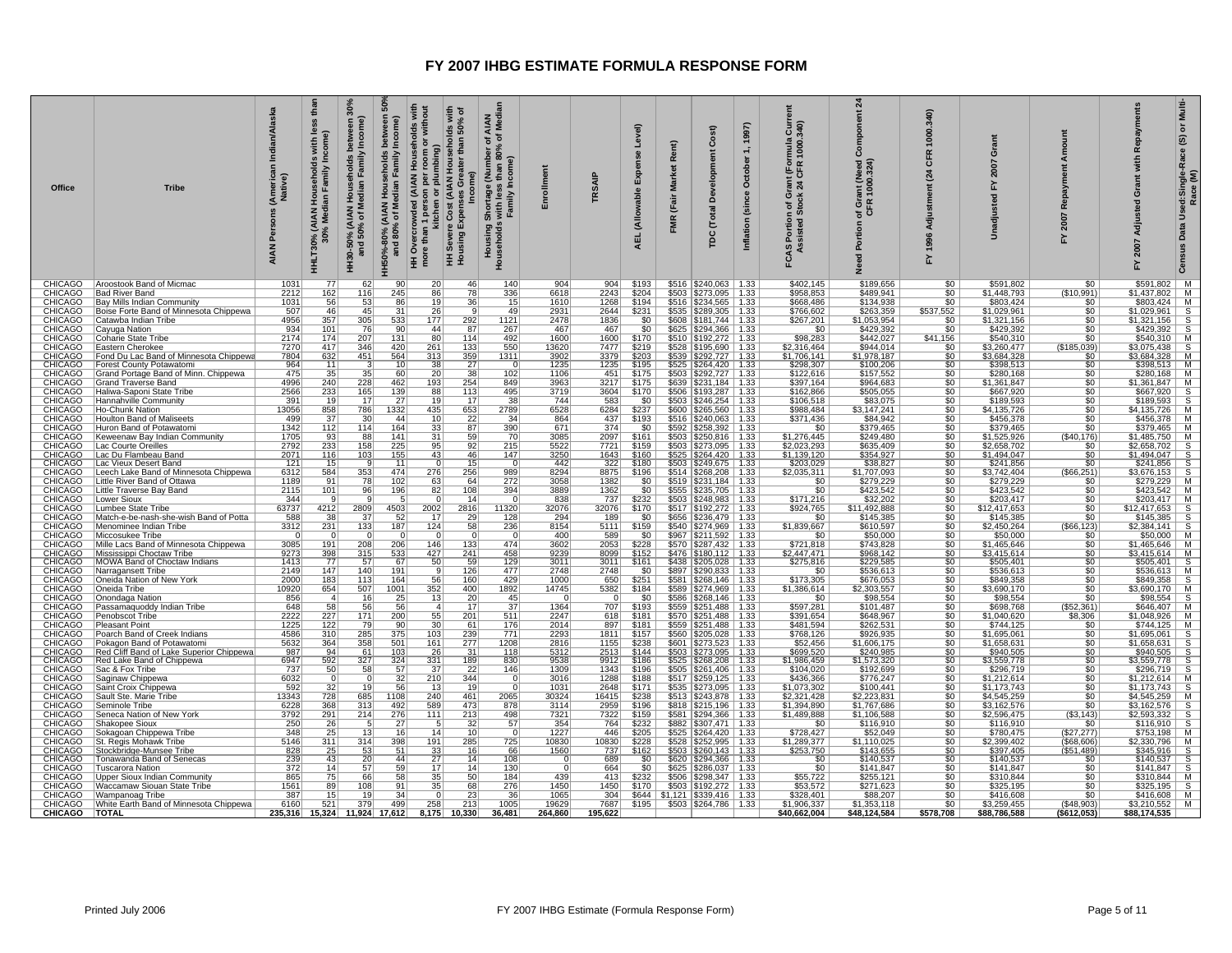| <b>CHICAGO</b><br><b>CHICAGO</b><br><b>CHICAGO</b><br>CHICAGO<br>CHICAGO<br><b>CHICAGO</b>                                                                          | CHICAGO<br><b>CHICAGO</b><br><b>CHICAGO</b><br>CHICAGO<br><b>CHICAGO</b><br><b>CHICAGO</b>                                                                 | <b>CHICAGO</b><br><b>CHICAGO</b><br><b>CHICAGO</b><br><b>CHICAGO</b><br><b>CHICAGO</b>                                      | <b>CHICAGO</b><br><b>CHICAGO</b><br><b>CHICAGO</b><br><b>CHICAGO</b><br>CHICAGO                                                                              | CHICAGO<br><b>CHICAGO</b><br><b>CHICAGO</b><br>CHICAGO                           | <b>CHICAGO</b><br><b>CHICAGO</b><br><b>CHICAGO</b><br><b>CHICAGO</b><br><b>CHICAGO</b><br><b>CHICAGO</b>                                                                  | <b>CHICAGO</b><br><b>CHICAGO</b><br><b>CHICAGO</b><br><b>CHICAGO</b><br><b>CHICAGO</b>                                            | <b>CHICAGO</b><br><b>CHICAGO</b><br><b>CHICAGO</b><br>CHICAGO<br><b>CHICAGO</b><br><b>CHICAGO</b>                                                                             | <b>CHICAGO</b><br><b>CHICAGO</b><br>CHICAGO<br><b>CHICAGO</b><br><b>CHICAGO</b>                                                | CHICAGO<br><b>CHICAGO</b><br><b>CHICAGO</b><br><b>CHICAGO</b><br><b>CHICAGO</b>                                                                       | CHICAGO<br><b>CHICAGO</b><br><b>CHICAGO</b><br><b>CHICAGO</b><br><b>CHICAGO</b><br>CHICAGO                                                                    | Office<br><b>CHICAGO</b>                                                                                                                           |
|---------------------------------------------------------------------------------------------------------------------------------------------------------------------|------------------------------------------------------------------------------------------------------------------------------------------------------------|-----------------------------------------------------------------------------------------------------------------------------|--------------------------------------------------------------------------------------------------------------------------------------------------------------|----------------------------------------------------------------------------------|---------------------------------------------------------------------------------------------------------------------------------------------------------------------------|-----------------------------------------------------------------------------------------------------------------------------------|-------------------------------------------------------------------------------------------------------------------------------------------------------------------------------|--------------------------------------------------------------------------------------------------------------------------------|-------------------------------------------------------------------------------------------------------------------------------------------------------|---------------------------------------------------------------------------------------------------------------------------------------------------------------|----------------------------------------------------------------------------------------------------------------------------------------------------|
| <b>Tuscarora Nation</b><br>Upper Sioux Indian Community<br>Waccamaw Siouan State Tribe<br>Wampanoag Tribe<br>White Earth Band of Minnesota Chippewa<br><b>TOTAL</b> | Seneca Nation of New York<br> Shakopee Sioux<br>Sokagoan Chippewa Tribe<br>St. Regis Mohawk Tribe<br>Stockbridge-Munsee Tribe<br>Tonawanda Band of Senecas | Sac & Fox Tribe<br>Saginaw Chippewa<br>Saint Croix Chippewa<br>Sault Ste. Marie Tribe<br>Seminole Tribe                     | <b>Pleasant Point</b><br>Poarch Band of Creek Indians<br>Pokagon Band of Potawatomi<br>Red Cliff Band of Lake Superior Chippewa<br>Red Lake Band of Chippewa | Oneida Tribe<br>Onondaga Nation<br>Passamaquoddy Indian Tribe<br>Penobscot Tribe | Miccosukee Tribe<br>Mille Lacs Band of Minnesota Chippewa<br>Mississippi Choctaw Tribe<br>MOWA Band of Choctaw Indians<br>Narragansett Tribe<br>Oneida Nation of New York | Little Traverse Bay Band<br>Lower Sioux<br>Lumbee State Tribe<br>Match-e-be-nash-she-wish Band of Potta<br>Menominee Indian Tribe | Keweenaw Bay Indian Community<br>Lac Courte Oreilles<br>Lac Du Flambeau Band<br>Lac Vieux Desert Band<br>Leech Lake Band of Minnesota Chippewa<br>Little River Band of Ottawa | Haliwa-Saponi State Tribe<br>Hannahville Community<br>Ho-Chunk Nation<br>Houlton Band of Maliseets<br>Huron Band of Potawatomi | Eastern Cherokee<br>Fond Du Lac Band of Minnesota Chippewa<br>Forest County Potawatomi<br>Grand Portage Band of Minn. Chippewa<br>Grand Traverse Band | Bad River Band<br><b>Bay Mills Indian Community</b><br>Boise Forte Band of Minnesota Chippewa<br>Catawba Indian Tribe<br>Cayuga Nation<br>Coharie State Tribe | <b>Tribe</b><br>Aroostook Band of Micmac                                                                                                           |
| 372<br>865<br>1561<br>387<br>6160                                                                                                                                   | 3792<br>250<br>348<br>5146<br>828<br>239                                                                                                                   | 737<br>6032<br>592<br>13343<br>6228                                                                                         | 1225<br>4586<br>5632<br>987<br>6947                                                                                                                          | 10920<br>856<br>648<br>2222                                                      | - 0<br>3085<br>9273<br>1413<br>2149<br>2000                                                                                                                               | 2115<br>344<br>63737<br>588<br>3312                                                                                               | 1705<br>2792<br>2071<br>121<br>6312<br>1189                                                                                                                                   | 2566<br>391<br>13056<br>499<br>1342                                                                                            | 7270<br>7804<br>$\frac{964}{475}$<br>4996                                                                                                             | 2212<br>1031<br>507<br>4956<br>934<br>2174                                                                                                                    | Indian/Alaska<br>(American I<br>Native)<br>Persons<br><b>AIAN</b><br>1031                                                                          |
| 14 <br>75<br>89<br>$\frac{15}{521}$<br>235,316 15,324                                                                                                               | 291<br>$\frac{26}{25}$<br>311<br>$\overline{25}$<br>43                                                                                                     | $\frac{50}{0}$<br>32<br>728<br>368                                                                                          | 122<br>310<br>$\frac{364}{94}$<br>592                                                                                                                        | 654<br>-41<br>58<br>227                                                          | $\overline{0}$<br>$\frac{191}{398}$<br>77<br>147<br>183                                                                                                                   | 101<br>$\overline{a}$<br>4212<br>38<br>231                                                                                        | 93<br>233<br>116<br>15<br>584<br>91                                                                                                                                           | $\frac{233}{19}$<br>858<br>$\frac{37}{112}$                                                                                    | 417<br>632<br>11<br>35<br>240                                                                                                                         | $\frac{162}{56}$<br>46<br>357<br>101<br>174                                                                                                                   | than<br>with<br>Households<br>Ξ<br>Family<br>HHLT30% (AIAN H<br>30% Media<br>77                                                                    |
| 57<br>66<br>108<br>19<br>379<br>11.924                                                                                                                              | 214<br>-5<br>13<br>314<br>53<br>20                                                                                                                         | 58<br>$\overline{0}$<br>19<br>685<br>313                                                                                    | 79<br>285<br>358<br>61<br>327                                                                                                                                | 507<br>16<br>56<br>171                                                           | - 0<br>$\frac{208}{315}$<br>57<br>140<br>113                                                                                                                              | 96<br>2809<br>37<br>133                                                                                                           | 88<br>158<br>103<br>353<br>78                                                                                                                                                 | 165<br>17<br>786<br>30 <sup>1</sup><br>114                                                                                     | 346<br>451<br>35<br>228                                                                                                                               | 116<br>53<br>45<br>305<br>76<br>207                                                                                                                           | 30%<br>Income)<br>Median Family<br>130-50% (AIAN<br>and 50% of M<br>62                                                                             |
| 59<br>58<br>91<br>34<br>499<br>17.612                                                                                                                               | 276<br>27<br>16<br>398<br>$\overline{51}$<br>44                                                                                                            | $\frac{57}{32}$<br>56<br>1108<br>492                                                                                        | 90<br>375<br>501<br>103<br>324                                                                                                                               | 1001<br>$\frac{25}{56}$<br>200                                                   | - 0<br>206<br>533<br>67<br>191<br>164                                                                                                                                     | 196<br>4503<br>52<br>187                                                                                                          | 141<br>225<br>155<br>11<br>474<br>102                                                                                                                                         | 139<br>27<br>1332<br>44<br>164                                                                                                 | 420<br>564<br>10<br>60<br>462                                                                                                                         | 245<br>86<br>31<br>533<br>90<br>131                                                                                                                           | between<br>(AIAN Households<br>6 of Median Family<br>нн50%-80% (А<br>and 80% <sub>o</sub><br>90                                                    |
| 17<br>35<br>35<br>258<br>8,175                                                                                                                                      | 111<br>-5<br>14<br>191<br>33<br>27                                                                                                                         | 37<br>210<br>13<br>240<br>589                                                                                               | 30<br>103<br>161<br>26<br>331                                                                                                                                | 352<br>13<br>$\overline{4}$<br>55                                                | $\Omega$<br>146<br>427<br>50<br>$\mathbf{Q}$<br>56                                                                                                                        | 82<br>c<br>2002<br>17<br>124                                                                                                      | 31<br>95<br>43<br>276<br>63                                                                                                                                                   | 88<br>19<br>435<br>10 <sup>1</sup><br>33                                                                                       | 261<br>313<br>38<br>20<br>193                                                                                                                         | 86<br>19<br>26<br>177<br>44<br>80                                                                                                                             | with<br>without<br>$\overline{5}$<br>ing)<br>room<br>owded (AIAN<br>효료<br>n 1 person<br>kitchen or<br>than<br>Over<br>more<br>Ŧ<br>20 <sub>1</sub> |
| 14<br>50<br>68<br>23<br>213<br>10,330                                                                                                                               | 213<br>32<br>10<br>285<br>16<br>14                                                                                                                         | 22<br>344<br>19<br>461<br>473                                                                                               | 61<br>239<br>277<br>31<br>189                                                                                                                                | 400<br>20<br>17<br>201                                                           | $\Omega$<br>$\frac{133}{241}$<br>59<br>126<br>160                                                                                                                         | 108<br>14<br>2816<br>29<br>58                                                                                                     | 59<br>92<br>46<br>15<br>256<br>64                                                                                                                                             | 113<br>17<br>653<br>22<br>87                                                                                                   | $\frac{133}{359}$<br>$\frac{27}{38}$<br>254                                                                                                           | 78<br>36<br>292<br>87<br>114                                                                                                                                  | lds with<br>50% of<br>olds<br>Cost (AIAN Househ<br>ō<br>HH Severe Cost (AIA<br>Housing Expenses (<br>-46                                           |
| 130<br>184<br>276<br>36<br>1005<br>36,481                                                                                                                           | 498<br>57<br>725<br>66<br>108                                                                                                                              | 146<br>2065<br>878                                                                                                          | 771<br>1208<br>118<br>830                                                                                                                                    | 1892<br>45<br>37<br>$\frac{511}{176}$                                            | 474<br>458<br>129<br>477<br>429                                                                                                                                           | 394<br>1320<br>128<br>236                                                                                                         | 70<br>215<br>147<br>989<br>272                                                                                                                                                | 495<br>$\overline{38}$<br>2789<br>34<br>390                                                                                    | 550<br>1311<br>102<br>849                                                                                                                             | 336<br>15<br>-49<br>1121<br>267<br>492                                                                                                                        | AIAN<br>FMedi<br>৳<br>৳<br>(Number of<br>than 80%<br>ncome)<br>흑<br>Shortage (<br>s with less<br>Family In<br>Housing S<br>Households<br>140       |
| 439<br>1450<br>1065<br>19629<br>264,860                                                                                                                             | 7321<br>354<br>1227<br>10830<br>1560                                                                                                                       | 1309<br>3016<br>1031<br>30324<br>3114                                                                                       | 2014<br>2293<br>2816<br>5312<br>9538                                                                                                                         | 14745<br>1364<br>2247                                                            | 400<br>3602<br>9239<br>3011<br>2748<br>1000                                                                                                                               | 3889<br>838<br>32076<br>294<br>8154                                                                                               | 3085<br>5522<br>3250<br>442<br>8294<br>3058                                                                                                                                   | 3719<br>744<br>6528<br>864<br>671                                                                                              | 13620<br>3902<br>$\frac{1235}{1106}$<br>3963                                                                                                          | 6618<br>1610<br>2931<br>2478<br>467<br>1600                                                                                                                   | ollmen<br>區<br>904                                                                                                                                 |
| 664<br>413<br>1450<br>304<br>7687<br>195,622                                                                                                                        | 7322<br>764<br>446<br>10830<br>737<br>689                                                                                                                  | 1343<br>1288<br>2648<br>16415<br>2959                                                                                       | 897<br>1811<br>1155<br>2513<br>9912                                                                                                                          | 5382<br>0 I<br>707<br>618                                                        | 589<br>2053<br>8099<br>3011<br>2748<br>650                                                                                                                                | 1362<br>737<br>32076<br>189<br>5111                                                                                               | 2097<br>7721<br>1643<br>322<br>8875<br>1382                                                                                                                                   | 3604<br>583<br>6284<br>437<br>374                                                                                              | 7477<br>3379<br>1235<br>451<br>3217                                                                                                                   | 2243<br>1268<br>2644<br>1836<br>467<br>1600                                                                                                                   | TRSAIP<br>904                                                                                                                                      |
| $\overline{50}$<br>\$232<br>\$170                                                                                                                                   | \$159<br>\$232<br>\$205<br>\$228<br>\$162<br>\$0                                                                                                           | \$196<br>\$188<br>\$171<br>\$238<br>\$196                                                                                   | \$181<br>\$157<br>\$238<br>\$144<br>\$186                                                                                                                    | \$184<br>\$0<br>\$193<br>\$181                                                   | \$0<br>$$228$<br>$$152$<br>\$161<br>$\overline{50}$<br>\$251                                                                                                              | \$0<br>\$232<br>\$170<br>\$0<br>\$159                                                                                             | \$161<br>\$159<br>\$160<br>\$180<br>\$196<br>\$0                                                                                                                              | \$170<br>50<br>\$237<br>\$193<br>\$0                                                                                           | \$219<br>\$203<br>\$195<br>\$175<br>\$175                                                                                                             | $$204$<br>$$194$<br>\$231<br>\$0<br>50<br>\$170                                                                                                               | Level)<br>Expe<br>(Allowable<br><b>AEL</b><br>\$193                                                                                                |
| \$625                                                                                                                                                               | \$882<br>\$525<br>\$528<br>\$503<br>\$620                                                                                                                  | \$505                                                                                                                       | \$559<br>\$560<br>\$601                                                                                                                                      | \$589<br>\$586<br>\$559<br>\$570                                                 | \$438                                                                                                                                                                     | \$555<br>\$503<br>\$656                                                                                                           | \$503<br>\$503                                                                                                                                                                | \$506<br>\$503<br>\$600<br>\$592                                                                                               | \$528<br>\$525<br>\$503<br>\$639                                                                                                                      | \$516<br>\$535<br>\$608<br>\$625                                                                                                                              | Rent)<br><b>Market</b><br>(Fair<br><b>FMR</b>                                                                                                      |
| $$286.037$   1.33<br>\$506   \$298,347   1.33<br>\$503 \$192,272   1.33<br>\$644   \$1,121   \$339,416   1.33<br>\$195   \$503   \$264,786   1.33                   | \$581   \$294,366   1.33<br>  \$307,471   1.33<br>$$264,420$   1.33<br>\$252,995<br>$$260,143$   1.33<br>$$294,366$   1.33                                 | $$261,406$   1.33<br>$$517$ $$259,125$ 1.33<br>\$535   \$273,095   1.33<br>\$513 \$243,878 1.33<br>\$818   \$215,196   1.33 | $$251,488$   1.33<br>$$205,028$   1.33<br>$$273,523$   1.33<br>$$503$ $$273,095$ 1.33<br>\$525   \$268,208   1.33                                            | \$274,969 1.33<br>$$268,146$   1.33<br>$$251,488$   1.33<br>$$251,488$   1.33    | \$967   \$211,592   1.33<br>\$570   \$287,432   1.33<br>\$476   \$180,112   1.33<br>  \$205,028   1.33<br>\$897   \$290,833   1.33<br>$$581$ $$268,146$ 1.33              | $$235,705$   1.33<br>$$248,983$   1.33<br>\$517   \$192,272   1.33<br>$$236,479$   1.33<br>\$540   \$274,969   1.33               | $$250,816$   1.33<br>$$503$ $$273,095$   1.33<br>\$525   \$264,420   1.33<br>$$249,675$ 1.33<br>\$514   \$268,208   1.33<br>$$519$ $$231,184$ 1.33                            | \$193,287 1.33<br>$$246,254$ 1.33<br>$$265,560$   1.33<br>\$516   \$240,063   1.33<br>$$258,392$   1.33                        | \$195,690   1.33<br>\$539   \$292,727   1.33<br>$$264,420$   1.33<br>\$292,727   1.33<br>$$231,184$   1.33                                            | $$503$ $$273,095$ 1.33<br>$$234,565$   1.33<br>$$289,305$   1.33<br>$$181.744$   1.33<br>$$294,366$   1.33<br>\$510   \$192,272   1.33                        | Cost)<br><b>Developm</b><br>Total<br>pc<br>\$516   \$240,063   1.33                                                                                |
|                                                                                                                                                                     | 1.33                                                                                                                                                       |                                                                                                                             |                                                                                                                                                              |                                                                                  |                                                                                                                                                                           |                                                                                                                                   |                                                                                                                                                                               |                                                                                                                                |                                                                                                                                                       |                                                                                                                                                               | 1997)<br>$\div$<br>October<br>(since<br>Inflation                                                                                                  |
| $\frac{$0}{$0}$<br>\$55,722<br>\$53,572<br>3328,401<br>\$1,906,337<br>\$40,662,004                                                                                  | \$1,489,888<br>\$0<br>\$728,427<br>\$1,289,377<br>\$253,750                                                                                                | \$104.020<br>\$436,366<br>\$1,073,302<br>\$2,321,428<br>\$1,394,890                                                         | \$481,594<br>\$768,126<br>\$52,456<br>\$699,520<br>\$1,986,459                                                                                               | \$1,386,614<br>\$0<br>\$597,281<br>\$391,654                                     | \$0<br>\$721,818<br>\$2,447,471<br>\$275,816<br>$\overline{50}$<br>\$173,305                                                                                              | \$0<br>\$171,216<br>\$924,765<br>\$0<br>\$1,839,667                                                                               | \$1,276,445<br>\$2,023,293<br>\$1,139,120<br>\$203,029<br>\$2,035,311<br>$\overline{50}$                                                                                      | \$162,866<br>\$106,518<br>\$988,484<br>\$371,436<br>\$0                                                                        | \$2,316,464<br>1.706.141<br>\$298,307<br>\$122,616<br>\$397,164                                                                                       | \$958.853<br>\$668,486<br>\$766,602<br>\$267,201<br>\$0<br>\$98,283                                                                                           | rmula Curr<br>1000.340)<br>r<br>GE<br>$\frac{1}{24}$<br>FCAS Portion of G<br>Assisted Stock<br>\$402.145                                           |
| \$141,847<br>\$255,121<br>\$271,623<br>\$88,207<br>\$1,353,118<br>\$48,124,584                                                                                      | \$1,106,588<br>\$116,910<br>\$52,049<br>\$1,110,025<br>\$143,655<br>\$140,537                                                                              | \$192,699<br>\$776,247<br>\$100,441<br>\$2,223,831<br>\$1,767,686                                                           | \$262,531<br>\$926,935<br>\$1,606,175<br>\$240,985<br>\$1,573,320                                                                                            | \$2,303,557<br>\$98,554<br>\$101,487<br>\$648,967                                | \$50,000<br>\$743,828<br>\$968,142<br>\$229,585<br>\$536,613<br>\$676,053                                                                                                 | \$423,542<br>\$32,202<br>\$11,492,888<br>\$145,385<br>\$610,597                                                                   | \$249,480<br>\$635,409<br>\$354,927<br>\$38,827<br>\$1,707,093<br>\$279,229                                                                                                   | \$505,055<br>\$83,075<br>\$3,147,241<br>\$84,942<br>\$379,465                                                                  | \$944,014<br>\$1,978,187<br>\$100,206<br>\$157,552<br>\$964,683                                                                                       | \$489.941<br>\$134,938<br>\$263,359<br>\$1,053,954<br>\$429,392<br>\$442,027                                                                                  | শ্ৰ<br>႙<br>ant (Need<br>1000.324)<br>of Gr<br>CFR<br>۵ĭ<br>\$189,656                                                                              |
| $\overline{50}$<br>\$0<br>\$0<br>50<br>$\overline{50}$<br>\$578,708                                                                                                 | \$0<br>\$0<br>\$0<br>50<br>$\overline{50}$<br>\$0                                                                                                          | 50<br>$\overline{\overline{\$0}}$<br>\$0<br>50<br>50                                                                        | $\overline{50}$<br>\$0<br>$\overline{50}$<br>$\overline{50}$<br>\$0                                                                                          | \$0<br>\$0<br>\$0<br>50                                                          | \$0<br>$rac{$0}{$0}$<br>\$0<br>50<br>50                                                                                                                                   | \$0<br>$\overline{50}$<br>50<br>$\overline{50}$<br>\$0                                                                            | \$0<br>50<br>$\overline{\$0}$<br>\$0<br>50<br>\$0                                                                                                                             | \$0<br>$\overline{50}$<br>\$0<br>50<br>$\overline{50}$                                                                         | \$0<br>\$0<br>$rac{$0}{$0}$<br>$50^{-}$                                                                                                               | \$0<br>$\overline{\$0}$<br>\$537,552<br>\$0<br>$\$0$<br>\$41,156                                                                                              | 1000.340)<br>똕<br>$\mathbf{z}$<br>Adjustm<br>996<br>≧<br>\$0                                                                                       |
| \$141,847<br>\$310,844<br>\$325,195<br>\$416,608<br>\$3,259,455<br>\$88,786,588                                                                                     | \$2,596,475<br>\$116,910<br>\$780,475<br>\$2,399,402<br>\$397,405<br>\$140,537                                                                             | \$296,719<br>\$1,212,614<br>\$1,173,743<br>\$4,545,259<br>\$3,162,576                                                       | \$744,125<br>\$1,695,061<br>\$1,658,631<br>\$940,505<br>\$3,559,778                                                                                          | \$3,690,170<br>\$98,554<br>\$698,768<br>\$1,040,620                              | \$50,000<br>\$1,465,646<br>\$3,415,614<br>\$505,401<br>\$536,613<br>\$849,358                                                                                             | \$423,542<br>\$203,417<br>\$12,417,653<br>\$145,385<br>\$2,450,264                                                                | \$1,525,926<br>\$2,658,702<br>\$1,494,047<br>\$241,856<br>\$3,742,404<br>\$279,229                                                                                            | \$667,920<br>\$189,593<br>\$4,135,726<br>\$456,378<br>\$379,465                                                                | \$3,260,477<br>\$3.684.328<br>\$398,513<br>\$280,168<br>\$1,361,847                                                                                   | \$1,448,793<br>\$803,424<br>\$1,029,961<br>\$1,321,156<br>\$429,392<br>\$540,310                                                                              | Ĕ<br>ō<br>2007<br>놊<br>Unadiu<br>\$591,802                                                                                                         |
| $\overline{50}$<br>$\overline{\$0}$<br>$\overline{\$0}$<br>$\overline{50}$<br>\$48,903)<br>(\$612,053)                                                              | (\$3,143)<br>\$0<br>\$27,277<br>\$68,606<br>$($ \$51,489)<br>\$0                                                                                           | $\overline{50}$<br>\$0<br>\$0<br>$\overline{50}$<br>šō                                                                      | $\overline{50}$<br>\$0<br>$\overline{50}$<br>$\overline{\$0}$<br>$\overline{\$0}$                                                                            | \$0<br>$\overline{50}$<br>\$52,361)<br>\$8,306                                   | \$0<br>$\frac{$0}{\$0}$<br>\$0<br>50<br>$\overline{50}$                                                                                                                   | \$0<br>$\overline{50}$<br>$\overline{50}$<br>$\overline{50}$<br>(\$66,123)                                                        | (\$40,176)<br>$rac{1}{100}$<br>$\overline{50}$<br>(\$66,251)<br>\$0                                                                                                           | $\overline{50}$<br>$\overline{\$0}$<br>$\overline{\$0}$<br>$\overline{50}$<br>$\overline{50}$                                  | (\$185,039)<br>$\overline{50}$<br>\$0<br>$\overline{\$0}$<br>50                                                                                       | (\$10,991)<br>\$0<br>\$0<br>\$0<br>$\overline{50}$<br>\$0                                                                                                     | mount<br>Repaym<br>2007<br>놊<br>\$0                                                                                                                |
| \$141,847<br>$$310,844$ M<br>$$325,195$ S<br>$$416,608$ M<br>$$3,210,552$ M<br>\$88,174,535                                                                         | 2,593,332 S<br>\$116,910 S<br>\$2,593,332<br>$$753,198$ M<br>$$2,330,796$ M<br>$$345,916$ S<br>\$140,537                                                   | \$296,719<br>\$1,212,614<br>\$1,173,743<br>$$4,545,259$ M<br>$$3,162,576$ S                                                 | $$744,125$ M<br>$$1,695,061$ S<br>$$1,658,631$ S<br>$$940,505$ S<br>\$3,559,778                                                                              | \$3,690,170 M<br>$$98,554$ S<br>\$646,407 M<br>$$1,048,926$ M                    | \$50,000 M<br>\$1,465,646   M<br>$\frac{1}{33,415,614}$ M<br>$$505,401$ S<br>$$536,613$ M<br>$$849,358$ S                                                                 | $$279,229$ M<br>$$423,542$ M<br>$$203,417$ M<br>$$12,417,653$ S<br>$$145,385$ S<br>$$2,384,141$ S                                 | $$1,485,750$ M<br>$$2,658,702$ S<br>$$1,494,047$ S<br>$$241,856$ S<br>$$3,676,153$ S                                                                                          | \$667,920 S<br>\$189,593 S<br>$$4,135,726$ M<br>$$456,378$ M<br>$\frac{1}{3379,465}$ M                                         | $\frac{$3,075,438}{$3,684,328}$ M<br>$\frac{$398,513}{280,168}$ M<br>$$1,361,847$ M                                                                   | $$1,437,802$ M<br>$$803,424$ M<br>\$1,029,961<br>\$1,321,156<br>$$429,392$ S<br>$$540,310$ M                                                                  | Repayments<br>with<br>Grant<br>Adjusted<br>2007<br>놊<br>$$591,802$ M                                                                               |
|                                                                                                                                                                     | $\overline{s}$                                                                                                                                             | S<br>$\overline{\mathsf{M}}$<br>$\overline{s}$                                                                              | <u>s</u>                                                                                                                                                     |                                                                                  |                                                                                                                                                                           |                                                                                                                                   |                                                                                                                                                                               |                                                                                                                                |                                                                                                                                                       | $\frac{s}{s}$                                                                                                                                                 | Multi-<br>Used:Single-Race (S) or<br>Race (M)<br><b>Census Data</b>                                                                                |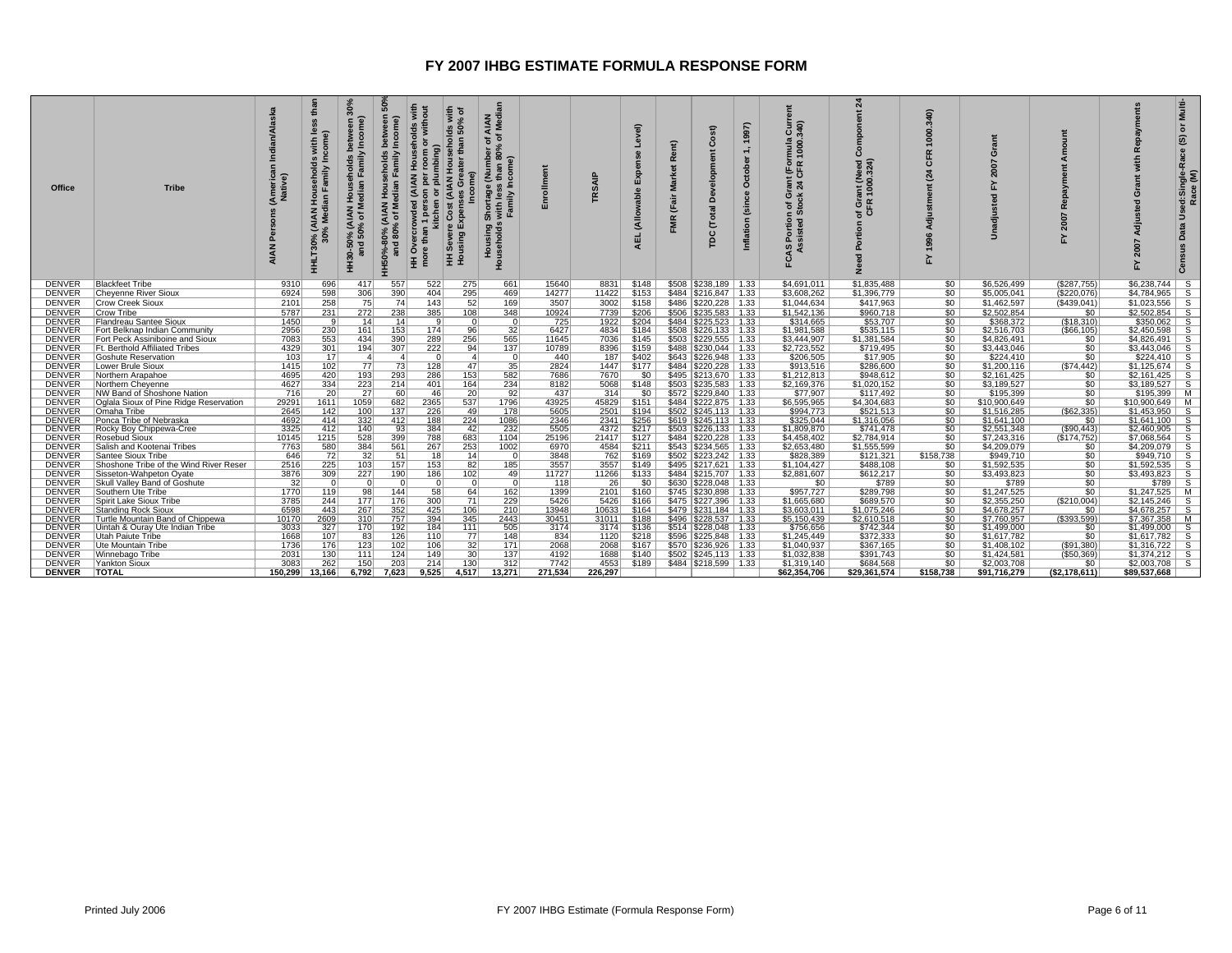| Office                         | <b>Tribe</b>                             | ska<br>(Americal)<br>Native) | than<br>$\omega$<br>with<br>come<br>usehold<br>Family<br>고 등<br>고 등<br>(AIAN I)<br>% Medi<br>THLT3 | 30%<br>จ<br>Incom<br>Family<br>holds<br>House<br>edian<br>ż<br><b>AIAN</b><br>৳<br>HH30-50% (<br>and 50° | និ<br>Income)<br>ehold:<br>$\vec{a}$ $\vec{b}$<br>$80^{\circ}$<br>and | <b>River</b><br>ā<br>Household<br>plumbing)<br>(AIAN Hou<br>$\overline{a}$<br>ā<br>11 pers<br>kitchen<br>owded<br>Cost<br>ੋ<br><b>P</b><br>ഄ<br>more<br>Ŧ | with<br>% of<br>olds<br>In 50°<br>$\epsilon$<br>e Cost<br>Expen:<br>ā<br>王 훈 | AIAN<br>Median<br>৳<br>눙<br>80%<br>ייסיי.<br>Shortage (Number v<br>Fam <sup>al S</sup> amal<br>g g<br>Housin<br>Household | Enrollme     | <b>SAIP</b>  | Level)<br><b>Se</b><br>Exp<br>(Allowable<br><b>AEL</b> | Rent)<br><b>Market</b><br>(Fair<br>FMR | st)<br>ت<br>്ട്<br>otal<br>Ε<br>g                    | 1997)<br>€<br>October<br>Inflation (since | Current<br>340)<br>rmula<br>1000.<br>ື້∝<br>동등<br>iant<br>24 C<br>≫ ق<br>ិ ខ័<br>Portion<br>sisted St<br>CAS | $\overline{a}$<br>ã<br>Õ<br>ant (Need)<br>1000.324)<br>ō<br>$\alpha$<br>농호<br>ō<br>Ĕ<br>ő.<br>꿂 | 340)<br>1000.<br>$\alpha$<br>쁑<br>24<br>1996<br>놊 | ō<br>2007                  | ◀<br>œ<br>2007<br>놊  | Multi-<br>$\overline{5}$<br>$\circledast$<br>Used:Single-Race<br>Race (M)<br>Data<br>Census |
|--------------------------------|------------------------------------------|------------------------------|----------------------------------------------------------------------------------------------------|----------------------------------------------------------------------------------------------------------|-----------------------------------------------------------------------|-----------------------------------------------------------------------------------------------------------------------------------------------------------|------------------------------------------------------------------------------|---------------------------------------------------------------------------------------------------------------------------|--------------|--------------|--------------------------------------------------------|----------------------------------------|------------------------------------------------------|-------------------------------------------|--------------------------------------------------------------------------------------------------------------|-------------------------------------------------------------------------------------------------|---------------------------------------------------|----------------------------|----------------------|---------------------------------------------------------------------------------------------|
| <b>DENVER</b>                  | <b>Blackfeet Tribe</b>                   | 9310                         | 696                                                                                                | 417                                                                                                      | 557                                                                   | 522                                                                                                                                                       | 275                                                                          | 661                                                                                                                       | 15640        | 8831         | \$148                                                  |                                        | \$508 \$238,189   1.33                               |                                           | \$4,691,011                                                                                                  | \$1,835,488                                                                                     | 50                                                | \$6,526,499                | (S287.755)           | $$6,238,744$ S                                                                              |
| <b>DENVER</b>                  | <b>Cheyenne River Sioux</b>              | 6924                         | 598                                                                                                | 306                                                                                                      | 390                                                                   | 404                                                                                                                                                       | 295                                                                          | 469                                                                                                                       | 14277        | 11422        | \$153                                                  |                                        | \$484   \$216.847   1.33                             |                                           | \$3,608,262                                                                                                  | \$1,396,779                                                                                     | \$0                                               | \$5,005,041                | (S220.076)           | \$4.784.965<br>- S                                                                          |
| <b>DENVER</b>                  | <b>Crow Creek Sioux</b>                  | 2101                         | 258                                                                                                | 75                                                                                                       | 74                                                                    | 143                                                                                                                                                       | 52                                                                           | 169                                                                                                                       | 3507         | 3002         | \$158                                                  |                                        | \$486   \$220,228   1.33                             |                                           | \$1,044,634                                                                                                  | \$417,963                                                                                       | \$0                                               | \$1,462,597                | (\$439,041)          | \$1,023,556<br>-S                                                                           |
| <b>DENVER</b>                  | Crow Tribe                               | 5787                         | 231                                                                                                | 272                                                                                                      | 238                                                                   | 385                                                                                                                                                       | 108                                                                          | 348                                                                                                                       | 10924        | 7739         | \$206                                                  | \$506                                  | \$235.583   1.33                                     |                                           | \$1,542,136                                                                                                  | \$960,718                                                                                       | \$0                                               | \$2,502,854                | \$0                  | \$2.502.854<br><b>S</b>                                                                     |
| <b>DENVER</b>                  | <b>Flandreau Santee Sioux</b>            | 1450                         | -91                                                                                                | $\overline{14}$                                                                                          | 14                                                                    |                                                                                                                                                           | 0                                                                            | $\overline{0}$                                                                                                            | 725          | 1922         | \$204                                                  |                                        | $$484$ $$225,523$   1.33                             |                                           | \$314,665                                                                                                    | \$53,707                                                                                        | $\overline{50}$                                   | \$368,372                  | (\$18,310)           | $$350,062$ S                                                                                |
| <b>DENVER</b>                  | Fort Belknap Indian Community            | 2956                         | 230                                                                                                | 161                                                                                                      | 153                                                                   | 174                                                                                                                                                       | 96                                                                           | 32                                                                                                                        | 6427         | 4834         | \$184                                                  |                                        | $$508$ $$226.133$   1.33                             |                                           | \$1,981,588                                                                                                  | \$535.115                                                                                       | \$0                                               | \$2,516,703                | ( \$66, 105)         | $$2,450,598$ S                                                                              |
| <b>DENVER</b>                  | Fort Peck Assiniboine and Sioux          | 7083                         | 553                                                                                                | 434                                                                                                      | 390                                                                   | 289                                                                                                                                                       | 256                                                                          | 565                                                                                                                       | 11645        | 7036         | \$145                                                  | \$503                                  | $$229,555$   1.33                                    |                                           | \$3,444,907                                                                                                  | \$1.381.584                                                                                     | \$0                                               | \$4.826.491                | \$0                  | \$4,826,491<br>-S                                                                           |
| <b>DENVER</b>                  | Ft. Berthold Affiliated Tribes           | 4329                         | 301                                                                                                | 194                                                                                                      | 307                                                                   | 222                                                                                                                                                       | 94                                                                           | 137                                                                                                                       | 10789        | 8396         | \$159                                                  |                                        | \$488   \$230,044   1.33                             |                                           | \$2,723,552                                                                                                  | \$719,495                                                                                       | 50                                                | \$3,443,046                | 50                   | $$3,443,046$ S                                                                              |
| <b>DENVER</b>                  | <b>Goshute Reservation</b>               | 103                          | 17                                                                                                 | $\vert$ 4                                                                                                | $\vert$ 4                                                             | $\Omega$                                                                                                                                                  | $\vert$ 4                                                                    | $\Omega$                                                                                                                  | 440          | 187          | \$402                                                  |                                        | \$643   \$226,948   1.33                             |                                           | \$206,505                                                                                                    | \$17,905                                                                                        | \$0                                               | \$224,410                  | \$0                  | $$224.410$ S                                                                                |
| <b>DENVER</b>                  | Lower Brule Sioux                        | 1415                         | 102                                                                                                | 77                                                                                                       | 73                                                                    | 128                                                                                                                                                       | 47                                                                           | 35                                                                                                                        | 2824         | 1447         | \$177                                                  |                                        | \$484 \$220,228 1.33                                 |                                           | \$913,516                                                                                                    | \$286,600                                                                                       | \$0                                               | \$1,200,116                | ( \$74,442)          | $$1,125,674$ S                                                                              |
| <b>DENVER</b>                  | Northern Arapahoe                        | 4695                         | 420                                                                                                | 193                                                                                                      | 293                                                                   | 286                                                                                                                                                       | 153                                                                          | 582                                                                                                                       | 7686         | 7670         | \$0                                                    |                                        | \$495   \$213,670   1.33                             |                                           | \$1,212,813                                                                                                  | \$948.612                                                                                       | $50^{-}$                                          | \$2.161.425                | 50                   | $$2.161.425$ S                                                                              |
| <b>DENVER</b>                  | Northern Chevenne                        | 4627                         | 334                                                                                                | $\frac{223}{27}$                                                                                         | 214                                                                   | 401                                                                                                                                                       | 164                                                                          | 234                                                                                                                       | 8182         | 5068         | \$148                                                  |                                        | \$503   \$235,583   1.33                             |                                           | \$2,169,376                                                                                                  | \$1,020,152                                                                                     | \$0                                               | \$3,189,527                | \$0                  | $$3,189,527$ S                                                                              |
| <b>DENVER</b>                  | NW Band of Shoshone Nation               | 716                          | $\overline{20}$                                                                                    |                                                                                                          | 60                                                                    | 46                                                                                                                                                        | 20                                                                           | 92                                                                                                                        | 437          | 314          | \$0                                                    |                                        | \$572   \$229,840   1.33                             |                                           | \$77,907                                                                                                     | \$117,492                                                                                       | $\overline{50}$                                   | \$195,399                  | \$0                  | $$195,399$ M                                                                                |
| <b>DENVER</b>                  | Oglala Sioux of Pine Ridge Reservation   | 29291                        | 1611                                                                                               | 1059                                                                                                     | 682                                                                   | 2365                                                                                                                                                      | 537                                                                          | 1796                                                                                                                      | 43925        | 45829        | \$151                                                  |                                        | \$484   \$222,875   1.33                             |                                           | \$6,595,965                                                                                                  | \$4,304,683                                                                                     | \$0                                               | \$10,900,649               | \$0                  | $$10,900,649$ M                                                                             |
| <b>DENVER</b>                  | Omaha Tribe                              | 2645                         | 142                                                                                                | 100                                                                                                      | 137                                                                   | 226                                                                                                                                                       | 49                                                                           | 178                                                                                                                       | 5605         | 2501         | \$194                                                  |                                        | \$502   \$245,113   1.33                             |                                           | \$994,773                                                                                                    | \$521,513                                                                                       | \$0                                               | \$1,516,285                | (\$62,335)           | $$1,453,950$ S                                                                              |
| <b>DENVER</b><br><b>DENVER</b> | Ponca Tribe of Nebraska                  | 4692<br>3325                 | 414<br>412                                                                                         | 332<br>140                                                                                               | 412<br>93                                                             | 188<br>384                                                                                                                                                | 224<br>42                                                                    | 1086<br>232                                                                                                               | 2346<br>5505 | 2341<br>4372 | \$256<br>\$217                                         |                                        | \$619   \$245,113   1.33<br>\$503   \$226,133   1.33 |                                           | \$325,044<br>\$1,809,870                                                                                     | \$1,316,056<br>\$741.478                                                                        | \$0<br>50                                         | \$1,641,100<br>\$2,551,348 | \$0<br>$($ \$90,443) | $$1,641,100$ S<br>$$2,460,905$ S                                                            |
| <b>DENVER</b>                  | Rocky Boy Chippewa-Cree<br>Rosebud Sioux | 10145                        | 1215                                                                                               | 528                                                                                                      | 399                                                                   | 788                                                                                                                                                       | 683                                                                          | 1104                                                                                                                      | 25196        | 21417        | \$127                                                  |                                        | $$484$ $$220.228$   1.33                             |                                           | \$4,458,402                                                                                                  | \$2.784.914                                                                                     | \$0                                               | \$7.243.316                | (S174.752)           | $$7.068.564$ S                                                                              |
| <b>DENVER</b>                  | Salish and Kootenai Tribes               | 7763                         | 580                                                                                                | 384                                                                                                      | 561                                                                   | 267                                                                                                                                                       | 253                                                                          | 1002                                                                                                                      | 6970         | 4584         | \$211                                                  |                                        | $$543$ $$234,565$   1.33                             |                                           | \$2,653,480                                                                                                  | \$1,555,599                                                                                     | $\overline{50}$                                   | \$4,209,079                | 50                   | $$4,209,079$ S                                                                              |
| <b>DENVER</b>                  | Santee Sioux Tribe                       | 646                          | 72                                                                                                 | 32                                                                                                       | 51                                                                    | 18                                                                                                                                                        | 14                                                                           | $\Omega$                                                                                                                  | 3848         | 762          | \$169                                                  |                                        | $$502$ $$223,242$ 1.33                               |                                           | \$828,389                                                                                                    | \$121,321                                                                                       | \$158,738                                         | \$949,710                  | \$0                  | $$949,710$ S                                                                                |
| <b>DENVER</b>                  | Shoshone Tribe of the Wind River Reser   | 2516                         | 225                                                                                                | 103                                                                                                      | 157                                                                   | 153                                                                                                                                                       | 82                                                                           | 185                                                                                                                       | 3557         | 3557         | \$149                                                  |                                        | \$495   \$217,621   1.33                             |                                           | \$1,104,427                                                                                                  | \$488,108                                                                                       | \$0                                               | \$1,592,535                | \$0                  | \$1,592,535<br>- S                                                                          |
| <b>DENVER</b>                  | Sisseton-Wahpeton Oyate                  | 3876                         | 309                                                                                                | $\overline{227}$                                                                                         | 190                                                                   | 186                                                                                                                                                       | 102                                                                          | 49                                                                                                                        | 11727        | 11266        | \$133                                                  |                                        | \$484   \$215,707   1.33                             |                                           | \$2,881,607                                                                                                  | \$612,217                                                                                       | \$0                                               | \$3,493,823                | \$0                  | $$3,493,823$ S                                                                              |
| <b>DENVER</b>                  | Skull Valley Band of Goshute             | 32                           | $\Omega$                                                                                           | $\Omega$                                                                                                 | $\Omega$                                                              | $\Omega$                                                                                                                                                  | 0                                                                            | 0                                                                                                                         | 118          | 26           | \$0                                                    | \$630                                  | $$228,048$   1.33                                    |                                           | \$0                                                                                                          | \$789                                                                                           | \$0                                               | \$789                      | \$0                  | $$789$ S                                                                                    |
| <b>DENVER</b>                  | Southern Ute Tribe                       | 1770                         | 119                                                                                                | 98                                                                                                       | 144                                                                   | 58                                                                                                                                                        | 64                                                                           | 162                                                                                                                       | 1399         | 2101         | \$160                                                  |                                        | \$745   \$230.898   1.33                             |                                           | \$957.727                                                                                                    | \$289.798                                                                                       | \$0                                               | \$1,247.525                | \$0                  | $$1.247.525$ M                                                                              |
| <b>DENVER</b>                  | Spirit Lake Sioux Tribe                  | 3785                         | 244                                                                                                | 177                                                                                                      | 176                                                                   | 300                                                                                                                                                       | 71                                                                           | 229                                                                                                                       | 5426         | 5426         | \$166                                                  |                                        | \$475   \$227,396   1.33                             |                                           | \$1,665,680                                                                                                  | \$689,570                                                                                       | 50                                                | \$2,355,250                | (\$210,004)          | $$2,145,246$ S                                                                              |
| <b>DENVER</b>                  | <b>Standing Rock Sioux</b>               | 6598                         | 443                                                                                                | 267                                                                                                      | 352                                                                   | 425                                                                                                                                                       | 106                                                                          | 210                                                                                                                       | 13948        | 10633        | \$164                                                  |                                        | \$479 \$231.184 1.33                                 |                                           | \$3,603,011                                                                                                  | \$1.075.246                                                                                     | \$0                                               | \$4,678,257                | \$0                  | $$4,678,257$ S                                                                              |
| <b>DENVER</b>                  | Turtle Mountain Band of Chippewa         | 10170                        | 2609                                                                                               | 310                                                                                                      | 757                                                                   | 394                                                                                                                                                       | 345                                                                          | 2443                                                                                                                      | 30451        | 31011        | \$188                                                  |                                        | \$496   \$228,537   1.33                             |                                           | \$5,150,439                                                                                                  | \$2.610.518                                                                                     | \$0                                               | \$7.760.957                | $($ \$393.599)       | \$7.367.358 M                                                                               |
| <b>DENVER</b>                  | Uintah & Ouray Ute Indian Tribe          | 3033                         | 327                                                                                                | 170                                                                                                      | 192                                                                   | 184                                                                                                                                                       | 111                                                                          | 505                                                                                                                       | 3174         | 3174         | \$136                                                  |                                        | \$514   \$228,048   1.33                             |                                           | \$756,656                                                                                                    | \$742,344                                                                                       | 50                                                | \$1,499,000                | \$0                  | $$1,499,000$ S                                                                              |
| <b>DENVER</b>                  | Utah Paiute Tribe                        | 1668                         | 107                                                                                                | 83                                                                                                       | 126                                                                   | 110                                                                                                                                                       | 77                                                                           | 148                                                                                                                       | 834          | 1120         | \$218                                                  |                                        | \$596 \$225,848   1.33                               |                                           | \$1,245,449                                                                                                  | \$372,333                                                                                       | \$0                                               | \$1,617,782                | \$0                  | $$1,617,782$ S                                                                              |
| <b>DENVER</b>                  | Ute Mountain Tribe                       | 1736                         | 176                                                                                                | 123                                                                                                      | 102                                                                   | 106                                                                                                                                                       | 32                                                                           | 171                                                                                                                       | 2068         | 2068         | \$167                                                  |                                        | \$570   \$236,926   1.33                             |                                           | \$1,040,937                                                                                                  | \$367,165                                                                                       | \$0                                               | \$1,408,102                | $($ \$91,380)        | $$1,316,722$ S                                                                              |
| <b>DENVER</b>                  | Winnebago Tribe                          | 2031                         | 130                                                                                                | 111                                                                                                      | 124                                                                   | 149                                                                                                                                                       | 30                                                                           | 137                                                                                                                       | 4192         | 1688         | \$140                                                  |                                        | $$502$   \$245,113   1.33                            |                                           | \$1,032,838                                                                                                  | \$391,743                                                                                       | \$0                                               | \$1,424,581                | ( \$50, 369)         | $$1,374,212$ S                                                                              |
| <b>DENVER</b>                  | <b>Yankton Sioux</b>                     | 3083                         | 262                                                                                                | 150                                                                                                      | 203                                                                   | 214                                                                                                                                                       | 130                                                                          | 312                                                                                                                       | 7742         | 4553         | \$189                                                  |                                        | $$484$ $$218.599$   1.33                             |                                           | \$1,319,140                                                                                                  | \$684.568                                                                                       | \$0                                               | \$2,003,708                | \$0                  | \$2,003,708<br>-S                                                                           |
| <b>DENVER</b>                  | <b>TOTAL</b>                             | 150.299                      | 13.166                                                                                             | 6,792                                                                                                    | 7,623                                                                 | 9,525                                                                                                                                                     | 4.517                                                                        | 13,271                                                                                                                    | 271,534      | 226.297      |                                                        |                                        |                                                      |                                           | \$62,354,706                                                                                                 | \$29,361,574                                                                                    | \$158,738                                         | \$91,716,279               | ( \$2,178,611)       | \$89,537,668                                                                                |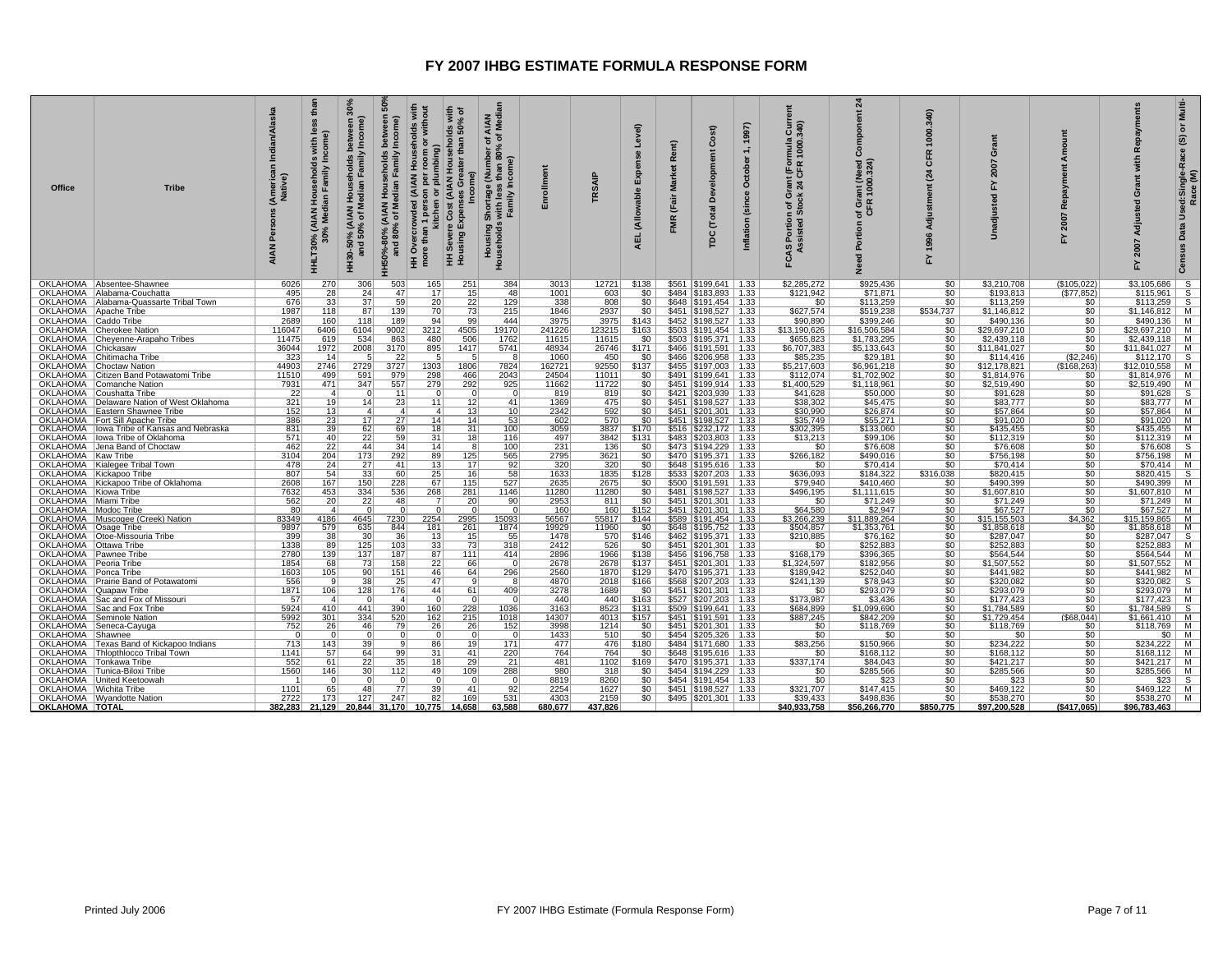| <b>Office</b>                                     | <b>Tribe</b>                                         | (America<br>Native)<br><b>AIAN</b> | than<br>with<br>Family<br>HHLT30% (AIAN Hou<br>30% Median | 30%<br>จิ<br>드<br>'niy<br>aseholds<br>Median<br>훈<br><b>1% (AIAN)</b><br>50% of M<br>HH30-50%<br>and | Incom<br>betw<br><mark>∖ Households</mark><br>Iedian Family I<br>(AIAN<br>6 of Me<br>0% ()<br>80%<br>HH50%-8<br>and | ds with<br>50% of<br>withou<br>Cost (AIAN Households<br>nan<br>plumbing)<br>(AIAN<br>$\overleftarrow{\mathtt{o}}$<br>kitchen<br>$\mathbf{\Phi}$<br>more than<br>HH Severe<br>Housing I<br>ó<br>Ξ | AIAN<br>Media<br>(Number c<br>than 80%<br>Income)<br>Shortage<br>≝ ≝<br>with<br>Fami<br><b>De</b><br>Housin<br>Househol | Enrolm         | <b>SAIP</b>    | Level)<br><b>Expens</b><br>(Allowable<br><b>AEL</b> | Rent)<br><b>Market</b><br>(Fair<br>ξ | $\widehat{\mathbf{r}}$<br>ت<br>Developm<br>Total<br>8 | October<br>(since<br>Inflation | $rac{5}{340}$<br>mula<br>1000.<br>t (For<br>$\frac{1}{24}$<br>n of Gr<br>Stock<br>Portion<br>sisted<br>FCAS I<br>Ass | ম<br>$\tilde{\Omega}$<br>ant (Need)<br>1000.324)<br>of Gr<br>CFR<br>휸<br>ě | 340)<br>80<br>œ<br>۳<br>ন | 붙<br>ō<br>2007<br>놊      | ount<br>œ              | Repayments<br>$w$ ith<br>Grant<br>Adjusted<br>2007<br>놊 | Multi-<br>ŏ<br>Used:Single-Race (S)<br>Race (M)<br>Data |
|---------------------------------------------------|------------------------------------------------------|------------------------------------|-----------------------------------------------------------|------------------------------------------------------------------------------------------------------|---------------------------------------------------------------------------------------------------------------------|--------------------------------------------------------------------------------------------------------------------------------------------------------------------------------------------------|-------------------------------------------------------------------------------------------------------------------------|----------------|----------------|-----------------------------------------------------|--------------------------------------|-------------------------------------------------------|--------------------------------|----------------------------------------------------------------------------------------------------------------------|----------------------------------------------------------------------------|---------------------------|--------------------------|------------------------|---------------------------------------------------------|---------------------------------------------------------|
|                                                   | OKLAHOMA   Absentee-Shawnee                          | 6026                               | 270                                                       | 306                                                                                                  | 503                                                                                                                 | 165<br>251                                                                                                                                                                                       | 384                                                                                                                     | 3013           | 12721          | \$138                                               |                                      | $$561$ $$199,641$ 1.33                                |                                | \$2,285,272                                                                                                          | \$925,436                                                                  | 50                        | \$3,210,708              | \$105,022              | $$3,105,686$ S                                          |                                                         |
|                                                   | OKLAHOMA   Alabama-Couchatta                         | 495                                | 28                                                        | 24                                                                                                   | 47                                                                                                                  | 17<br>15                                                                                                                                                                                         | 48                                                                                                                      | 1001           | 603            | \$0                                                 |                                      | \$484   \$183,893   1.33                              |                                | \$121,942                                                                                                            | \$71,871                                                                   | \$0                       | \$193,813                | (\$77,852)             | \$115,961                                               | $\overline{s}$                                          |
|                                                   | OKLAHOMA   Alabama-Quassarte Tribal Town             | 676                                | $\overline{33}$                                           | 37<br>87                                                                                             | 59                                                                                                                  | $\overline{22}$<br>$\overline{20}$<br>70                                                                                                                                                         | 129                                                                                                                     | 338            | 808            | 50 <sub>1</sub>                                     |                                      | $$648$ $$191,454$ 1.33                                |                                | \$0                                                                                                                  | \$113,259                                                                  | $\overline{50}$           | \$113.259                | \$0                    | $$113,259$ S                                            |                                                         |
| OKLAHOMA   Apache Tribe<br>OKLAHOMA   Caddo Tribe |                                                      | 1987<br>2689                       | 118<br>160                                                | 118                                                                                                  | 139<br>189                                                                                                          | 73<br>94<br>99                                                                                                                                                                                   | 215<br>444                                                                                                              | 1846<br>3975   | 2937<br>3975   | $$0$  <br>\$143                                     |                                      | $$451$ $$198,527$ 1.33<br>\$452   \$198,527   1.33    |                                | \$627,574<br>\$90,890                                                                                                | \$519,238<br>\$399,246                                                     | \$534,737<br>\$0          | \$1,146,812<br>\$490,136 | \$0<br>\$0             | $$1,146,812$ M<br>$$490,136$ M                          |                                                         |
|                                                   | OKLAHOMA Cherokee Nation                             | 116047                             | 6406                                                      | 6104                                                                                                 | 9002                                                                                                                | 3212<br>4505                                                                                                                                                                                     | 19170                                                                                                                   | 241226         | 123215         | \$163                                               |                                      | \$503   \$191,454   1.33                              |                                | \$13,190,626                                                                                                         | \$16,506,584                                                               | \$0                       | \$29,697,210             | \$0                    | \$29,697,210   M                                        |                                                         |
|                                                   | OKLAHOMA Cheyenne-Arapaho Tribes                     | 11475                              | 619                                                       | 534                                                                                                  | 863                                                                                                                 | 480<br>506                                                                                                                                                                                       | 1762                                                                                                                    | 11615          | 11615          | <b>SO</b>                                           |                                      | \$503   \$195,371   1.33                              |                                | \$655,823                                                                                                            | \$1,783,295                                                                | \$0                       | \$2,439,118              |                        | $$2,439,118$ M                                          |                                                         |
| OKLAHOMA Chickasaw                                |                                                      | 36044                              | 1972                                                      | 2008                                                                                                 | 3170                                                                                                                | 895<br>1417                                                                                                                                                                                      | 5741                                                                                                                    | 48934          | 26746          | \$171                                               |                                      | \$466   \$191,591   1.33                              |                                | \$6,707,383                                                                                                          | \$5,133,643                                                                | 50                        | \$11,841,027             | $rac{$0}{$0}$          | $$11,841,027$ M                                         |                                                         |
|                                                   | OKLAHOMA Chitimacha Tribe                            | 323                                | 14                                                        | 5                                                                                                    | 22                                                                                                                  | -5                                                                                                                                                                                               | 8                                                                                                                       | 1060           | 450            | <b>SO</b>                                           |                                      | \$466   \$206,958   1.33                              |                                | \$85,235                                                                                                             | \$29,181                                                                   | \$0                       | \$114,416                | (\$2,246)              | $$112,170$ S                                            |                                                         |
|                                                   | OKLAHOMA Choctaw Nation                              | 44903                              | 2746                                                      | 2729                                                                                                 | 3727                                                                                                                | 1303<br>1806                                                                                                                                                                                     | 7824                                                                                                                    | 162721         | 92550          | \$137                                               |                                      | \$455   \$197,003   1.33                              |                                | \$5.217.603                                                                                                          | \$6,961,218                                                                | $\overline{\$0}$          | \$12,178,821             | (\$168,263)            | $$12,010,558$   M                                       |                                                         |
|                                                   | OKLAHOMA   Citizen Band Potawatomi Tribe             | 11510                              | 499                                                       | 591                                                                                                  | 979                                                                                                                 | 298<br>466                                                                                                                                                                                       | 2043                                                                                                                    | 24504          | 11011          | SO <sub>1</sub>                                     |                                      | \$491   \$199,641   1.33                              |                                | \$112,074                                                                                                            | \$1,702,902                                                                | 50                        | \$1,814,976              | \$0                    | $$1,814,976$ M                                          |                                                         |
|                                                   | OKLAHOMA Comanche Nation<br>OKLAHOMA Coushatta Tribe | 7931<br>22                         | 471<br>-41                                                | 347<br>- 0                                                                                           | 557<br>11                                                                                                           | 279<br>292<br>$\Omega$                                                                                                                                                                           | 925<br>$\Omega$                                                                                                         | 11662<br>819   | 11722<br>819   | $$0$  <br>SO I                                      |                                      | $$451$ $$199,914$   1.33<br>\$421   \$203,939   1.33  |                                | \$1,400,529                                                                                                          | \$1,118,961<br>\$50,000                                                    | \$0<br>SO <sub>1</sub>    | \$2,519,490<br>\$91,628  | \$0<br>\$0             | $$2,519,490$ M<br>$$91,628$ S                           |                                                         |
|                                                   | OKLAHOMA   Delaware Nation of West Oklahoma          | 321                                | $\overline{19}$                                           | 14                                                                                                   | 23                                                                                                                  | $\overline{12}$<br>11                                                                                                                                                                            | 41                                                                                                                      | 1369           | 475            | 50                                                  |                                      | $$451$   \$198,527   1.33                             |                                | \$41,628<br>\$38,302                                                                                                 | \$45,475                                                                   | $\overline{\$0}$          | \$83,777                 | \$0                    | $$83.777$ M                                             |                                                         |
|                                                   | OKLAHOMA   Eastern Shawnee Tribe                     |                                    |                                                           | $\overline{4}$                                                                                       | $\vert$ 4                                                                                                           | $\boldsymbol{\varLambda}$                                                                                                                                                                        | 10                                                                                                                      | 2342           | 592            | $$0$                                                |                                      |                                                       |                                | \$30,990                                                                                                             |                                                                            |                           | \$57,864                 |                        | $$57,864$ M                                             |                                                         |
|                                                   | OKLAHOMA   Fort Sill Apache Tribe                    | $\frac{152}{386}$                  | $\frac{13}{23}$                                           | 17 <sup>1</sup>                                                                                      | $\overline{27}$                                                                                                     | $\frac{13}{14}$<br>14                                                                                                                                                                            | 53                                                                                                                      | 602            | 570            | \$0 <sub>1</sub>                                    |                                      | \$451   \$201,301   1.33<br>\$451   \$198,527   1.33  |                                | \$35,749                                                                                                             | \$26,874<br>\$55,271                                                       | $rac{1}{50}$              | \$91,020                 | $\frac{$0}{$0}$        | $$91,020$ M                                             |                                                         |
|                                                   | OKLAHOMA   Iowa Tribe of Kansas and Nebraska         | 831                                | 39                                                        | 62                                                                                                   | 69                                                                                                                  | 31<br>18                                                                                                                                                                                         | 100                                                                                                                     | 3059           | 3837           | \$170                                               |                                      | \$516 \$232,172 1.33                                  |                                | \$302,395                                                                                                            | \$133,060                                                                  | 50                        | \$435,455                | \$0                    | $$435,455$ M                                            |                                                         |
|                                                   | OKLAHOMA   lowa Tribe of Oklahoma                    | 571                                | 40                                                        | 22                                                                                                   | 59                                                                                                                  | 18<br>31                                                                                                                                                                                         | 116                                                                                                                     | 497            | 3842           | \$131                                               |                                      | \$483   \$203,803   1.33                              |                                | \$13,213                                                                                                             | \$99,106                                                                   | \$0                       | \$112,319                | \$0                    | $$112,319$ M                                            |                                                         |
|                                                   | OKLAHOMA Jena Band of Choctaw                        | 462                                | $\overline{22}$                                           | 44                                                                                                   | 34                                                                                                                  | 14                                                                                                                                                                                               | 100                                                                                                                     | 231            | 136            | 50                                                  |                                      | \$473   \$194,229   1.33                              |                                | \$0                                                                                                                  | \$76,608                                                                   | 50 <sub>1</sub>           | \$76,608                 | \$0                    | $$76,608$ S                                             |                                                         |
| OKLAHOMA   Kaw Tribe                              | OKLAHOMA Kialegee Tribal Town                        | 3104<br>478                        | $\frac{204}{24}$                                          | 173<br>$\overline{27}$                                                                               | 292<br>41                                                                                                           | $\frac{125}{17}$<br>89<br>13                                                                                                                                                                     | 565<br>92                                                                                                               | 2795<br>320    | 3621<br>320    | \$0 <sub>1</sub><br>$\overline{50}$                 |                                      | \$470   \$195,371   1.33<br>\$648   \$195,616   1.33  |                                | \$266,182<br>\$0                                                                                                     | \$490,016<br>\$70.414                                                      | \$0<br>50                 | \$756,198<br>\$70,414    | \$0<br>ŜŌ.             | \$756,198 M<br>$$70.414$ M                              |                                                         |
|                                                   | OKLAHOMA Kickapoo Tribe                              | 807                                | 54                                                        | 33                                                                                                   | 60                                                                                                                  | 25<br>16                                                                                                                                                                                         | 58                                                                                                                      | 1633           | 1835           | \$128                                               |                                      | \$533   \$207,203   1.33                              |                                | \$636,093                                                                                                            | \$184,322                                                                  | \$316,038                 | \$820,415                | $\overline{\$0}$       | $$820,415$ S                                            |                                                         |
|                                                   | OKLAHOMA Kickapoo Tribe of Oklahoma                  | 2608                               | 167                                                       | 150                                                                                                  | 228                                                                                                                 | 67<br>115                                                                                                                                                                                        | 527                                                                                                                     | 2635           | 2675           | \$0                                                 |                                      | \$500   \$191,591   1.33                              |                                | \$79,940                                                                                                             | \$410,460                                                                  | \$0                       | \$490,399                | \$0                    | \$490,399 M                                             |                                                         |
| OKLAHOMA   Kiowa Tribe                            |                                                      | 7632                               | 453                                                       | 334                                                                                                  | 536                                                                                                                 | 268<br>281                                                                                                                                                                                       | 1146                                                                                                                    | 11280          | 11280          | <b>SO</b> I                                         |                                      | $$481$   \$198,527   1.33                             |                                | \$496,195                                                                                                            | \$1,111,615                                                                | \$0 <sub>1</sub>          | \$1,607,810              | \$0                    | $$1,607,810$ M                                          |                                                         |
| OKLAHOMA   Miami Tribe                            |                                                      | 562                                | 20                                                        | 22                                                                                                   | 48                                                                                                                  | 20                                                                                                                                                                                               | 90                                                                                                                      | 2953           | 811            | 50                                                  |                                      | \$451   \$201,301   1.33                              |                                | \$0                                                                                                                  | \$71,249                                                                   | $\overline{\$0}$          | \$71,249                 | \$0                    | $$71,249$ M                                             |                                                         |
| OKLAHOMA   Modoc Tribe                            |                                                      | 80                                 | 4                                                         | Ö,                                                                                                   |                                                                                                                     | $\Omega$                                                                                                                                                                                         | $\Omega$                                                                                                                | 160            | 160            | $$152$<br>$$144$                                    |                                      | $$451$ $$201,301$   1.33                              |                                | \$64,580                                                                                                             | $$2,947$<br>\$11,889,264                                                   | $rac{1}{50}$              | \$67,527<br>\$15,155,503 | \$0                    | $$67,527$ M                                             |                                                         |
|                                                   | OKLAHOMA   Muscogee (Creek) Nation                   | 83349<br>9897                      | 4186                                                      | 4645                                                                                                 | 7230<br>844                                                                                                         | 2254<br>2995                                                                                                                                                                                     | 15093<br>1874                                                                                                           | 56567<br>19929 | 55817<br>11960 | 50                                                  |                                      | \$589 \$191,454 1.33                                  |                                | \$3,266,239<br>\$504,857                                                                                             |                                                                            | 50                        |                          | \$4,362                | $$15,159,865$ M                                         |                                                         |
| OKLAHOMA   Osage Tribe                            | OKLAHOMA   Otoe-Missouria Tribe                      | 399                                | 579<br>38                                                 | 635<br>30                                                                                            | 36                                                                                                                  | 261<br>181<br>13<br>15                                                                                                                                                                           | 55                                                                                                                      | 1478           | 570            | \$146                                               |                                      | \$648   \$195,752   1.33<br>\$462   \$195,371   1.33  |                                | \$210,885                                                                                                            | \$1,353,761<br>\$76,162                                                    | \$0                       | \$1,858,618<br>\$287,047 | \$0<br>\$0             | $$1,858,618$ M<br>$$287,047$ S                          |                                                         |
| OKLAHOMA   Ottawa Tribe                           |                                                      | 1338                               | 89                                                        | 125                                                                                                  | 103                                                                                                                 | 73<br>33                                                                                                                                                                                         | 318                                                                                                                     | 2412           | 526            | $\sqrt{50}$                                         |                                      | \$451   \$201,301   1.33                              |                                | \$0                                                                                                                  | \$252,883                                                                  | 50                        | \$252,883                | 50                     | $$252,883$ M                                            |                                                         |
| OKLAHOMA   Pawnee Tribe                           |                                                      |                                    | 139                                                       | 137                                                                                                  | 187                                                                                                                 | 87<br>111                                                                                                                                                                                        | 414                                                                                                                     | 2896           | 1966           | \$138                                               |                                      | \$456   \$196,758   1.33                              |                                | \$168,179                                                                                                            | \$396,365                                                                  | \$0                       | \$564,544                | \$0                    | \$564,544 M                                             |                                                         |
| OKLAHOMA   Peoria Tribe                           |                                                      | 2780<br>1854                       | 68                                                        | 73                                                                                                   | 158                                                                                                                 | 22<br>66                                                                                                                                                                                         | $\Omega$                                                                                                                | 2678           | 2678           | \$137                                               |                                      | \$451   \$201,301   1.33                              |                                | \$1,324,597                                                                                                          | \$182,956                                                                  | 50 <sub>1</sub>           | \$1,507,552              | $\overline{\$0}$       | $$1,507,552$ M                                          |                                                         |
| OKLAHOMA   Ponca Tribe                            |                                                      | 1603                               | 105                                                       | 90                                                                                                   | 151                                                                                                                 | 64<br>46                                                                                                                                                                                         | 296                                                                                                                     | 2560           | 1870           | \$129                                               |                                      | \$470   \$195,371   1.33                              |                                | \$189,942                                                                                                            | \$252,040                                                                  | 50                        | \$441.982                | \$0                    | $$441,982$   M                                          |                                                         |
|                                                   | OKLAHOMA   Prairie Band of Potawatomi                | 556                                | -91                                                       | 38                                                                                                   | 25                                                                                                                  | 47<br>-9                                                                                                                                                                                         | - 81                                                                                                                    | 4870           | 2018           | S166 I                                              |                                      | \$568   \$207,203   1.33                              |                                | \$241,139                                                                                                            | \$78,943                                                                   | \$0                       | \$320,082                | \$0                    | $$320,082$ S                                            |                                                         |
| OKLAHOMA   Quapaw Tribe                           | OKLAHOMA   Sac and Fox of Missouri                   | 1871<br>57                         | 106<br>$-4$                                               | 128<br>$\Omega$                                                                                      | 176<br>$\overline{a}$                                                                                               | 61<br>44<br>$\Omega$                                                                                                                                                                             | 409<br>$\Omega$                                                                                                         | 3278<br>440    | 1689<br>440    | SO I<br>\$163                                       |                                      | \$451   \$201,301   1.33<br>\$527   \$207,203   1.33  |                                | \$0<br>\$173,987                                                                                                     | \$293.079<br>\$3,436                                                       | SO <sub>1</sub><br>50     | \$293.079<br>\$177,423   | \$0<br>\$0             | \$293.079 M<br>$$177,423$ M                             |                                                         |
|                                                   | OKLAHOMA   Sac and Fox Tribe                         | 5924                               | 410                                                       | 441                                                                                                  | 390                                                                                                                 | 160                                                                                                                                                                                              | 1036                                                                                                                    | 3163           | 8523           | \$131                                               |                                      | \$509   \$199,641   1.33                              |                                | \$684,899                                                                                                            | \$1,099,690                                                                |                           | \$1,784,589              | \$0                    | $$1,784,589$ S                                          |                                                         |
|                                                   | OKLAHOMA   Seminole Nation                           | 5992                               | 301                                                       | 334                                                                                                  | 520                                                                                                                 | $\frac{228}{215}$<br>162                                                                                                                                                                         | 1018                                                                                                                    | 14307          | 4013           | \$157                                               |                                      | \$451   \$191,591   1.33                              |                                | \$887,245                                                                                                            | \$842,209                                                                  | $rac{1}{50}$              | \$1,729,454              | ( \$68,044)            | $$1,661,410$ M                                          |                                                         |
|                                                   | OKLAHOMA   Seneca-Cayuga                             | 752                                | 26                                                        | 46                                                                                                   | 79                                                                                                                  | 26<br>26                                                                                                                                                                                         | 152                                                                                                                     | 3998           | 1214           | 50                                                  |                                      | \$451   \$201,301   1.33                              |                                | \$0                                                                                                                  | \$118,769                                                                  | 50                        | \$118,769                | \$0                    | $$118,769$ M                                            |                                                         |
| OKLAHOMA Shawnee                                  |                                                      | $\overline{0}$                     | 0                                                         | -01                                                                                                  | - 0                                                                                                                 | $\Omega$                                                                                                                                                                                         | 0                                                                                                                       | 1433           | 510            | \$0 <sub>1</sub>                                    |                                      | \$454   \$205,326   1.33                              |                                | 50                                                                                                                   | \$0                                                                        | \$0                       | \$0                      | \$0                    |                                                         | $$0$ M                                                  |
|                                                   | OKLAHOMA   Texas Band of Kickapoo Indians            | 713                                | 143                                                       | 39                                                                                                   | -9                                                                                                                  | 19<br>86                                                                                                                                                                                         | 171                                                                                                                     | 477            | 476            | \$180                                               |                                      | \$484   \$171,680   1.33                              |                                | \$83,256                                                                                                             | \$150,966                                                                  | SO <sub>1</sub>           | \$234,222                | \$0                    | \$234,222 M                                             |                                                         |
|                                                   | OKLAHOMA   Thlopthlocco Tribal Town                  | 1141<br>552                        | 57                                                        | 64                                                                                                   | 99                                                                                                                  | 31<br>41                                                                                                                                                                                         | 220                                                                                                                     | 764            | 764            | $\sqrt{50}$                                         |                                      | $$648$ $$195,616$ 1.33                                |                                | \$0                                                                                                                  | \$168,112                                                                  | 50 <sub>1</sub>           | \$168,112                | \$0<br>$\overline{50}$ | $$168, 112$ M<br>$$421.217$ M                           |                                                         |
| OKLAHOMA Tonkawa Tribe                            | OKLAHOMA   Tunica-Biloxi Tribe                       | 1560                               | 61<br>146                                                 | 22<br>30 <sub>1</sub>                                                                                | 35<br>112                                                                                                           | 29<br>18<br>109<br>49                                                                                                                                                                            | 21<br>288                                                                                                               | 481<br>980     | 1102<br>318    | \$169<br>50                                         |                                      | \$470   \$195.371   1.33<br>\$454   \$194,229   1.33  |                                | \$337,174<br>50                                                                                                      | \$84,043<br>\$285,566                                                      | \$0<br>50                 | \$421,217<br>\$285,566   | \$Ō                    | $$285,566$ M                                            |                                                         |
|                                                   | OKLAHOMA   United Keetoowah                          | $\overline{1}$                     | 0                                                         | $\Omega$                                                                                             | $\Omega$                                                                                                            | $\Omega$                                                                                                                                                                                         | $\Omega$                                                                                                                | 8819           | 8260           | \$0                                                 |                                      | \$454   \$191,454   1.33                              |                                | 50                                                                                                                   | \$23                                                                       | \$0                       | \$23                     | \$0                    |                                                         | $$23$ S                                                 |
| OKLAHOMA Wichita Tribe                            |                                                      | 1101                               | 65                                                        | 48                                                                                                   | 77                                                                                                                  | 41<br>39                                                                                                                                                                                         | 92                                                                                                                      | 2254           | 1627           | <b>SO</b> I                                         |                                      | \$451   \$198.527   1.33                              |                                | \$321.707                                                                                                            | \$147,415                                                                  | \$0                       | \$469,122                | \$0                    | \$469,122 M                                             |                                                         |
|                                                   | OKLAHOMA   Wyandotte Nation                          | 2722                               | 173                                                       | 127                                                                                                  | 247                                                                                                                 | 82<br>169                                                                                                                                                                                        | 531                                                                                                                     | 4303           | 2159           | 50                                                  |                                      | \$495   \$201,301   1.33                              |                                | \$39,433                                                                                                             | \$498,836                                                                  | 50                        | \$538,270                | \$0                    | \$538,270 M                                             |                                                         |
| <b>OKLAHOMA TOTAL</b>                             |                                                      |                                    | 382,283 21,129 20,844 31,170                              |                                                                                                      |                                                                                                                     | 10,775 14,658                                                                                                                                                                                    | 63.588                                                                                                                  | 680,677        | 437.826        |                                                     |                                      |                                                       |                                | \$40,933,758                                                                                                         | \$56,266,770                                                               | \$850,775                 | \$97,200,528             | (\$417,065)            | \$96,783,463                                            |                                                         |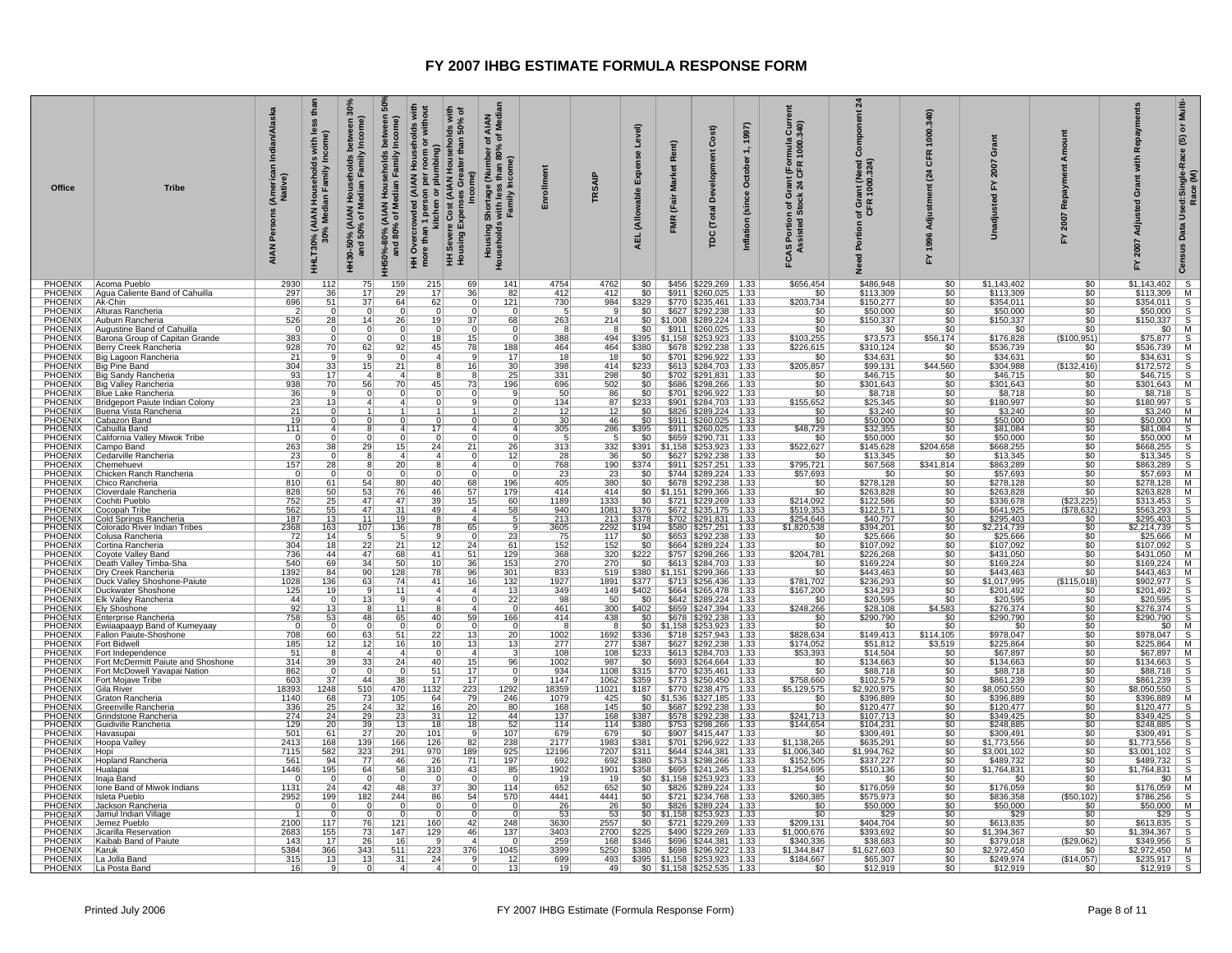| Office                           | Tribe                                                    | an/Alas<br>ja<br>(American<br>Native)<br>Persons<br><b>AIAN</b> | thār<br>less<br>with<br>l Households<br>dian Family Inc<br>HHLT30% (AIAN<br>30% Med | Income)<br>Median Family<br>오<br>HH30-50% (AIAN<br>and 50% of N | between<br>Income)<br>Households<br>HH50%-80% (AIAN Households<br>and 80% of Median Family | HH Overcrowded (AIAN Households with<br>more than 1 person per room or without<br>kitchen or plumbing)<br>HH Severe Cost (AIAN Households with<br>lds with<br>50% of<br>than<br>Greater<br>Income)<br>IS <sub>es</sub><br><b>HH Severe Cost</b><br>Housing Expens | AIAN<br>F Medi<br>৳<br>৳<br>ge (Number o <sup>.</sup><br>ss than 80% <b>o</b><br>' Income)<br>l Shortage (<br>s with less<br>Family In<br>Housing S<br>Plonseto<br>Househol | Enrollmen                      | <b>TRSAIP</b>          | Level)<br>Expe<br>(Allowable<br><b>AEL</b> | Rent)<br><b>Market</b><br>(Fair<br>FMR | Cost)<br>relopm<br>ٷ<br>त्त्व<br>Č<br>pc                                                         | 1997)<br>October<br>Inflation (since | rmula Curr<br>1000.340)<br>rant (For<br>24 CFR<br>ত হু<br>ចទី<br><b>FCAS Portion c</b><br>Assisted St | $\frac{24}{3}$<br>Component<br>ant (Need<br>1000.324)<br>of Gre<br>Portion<br>g<br>ž | 1000.340)<br><b>CFR</b><br>$\overline{a}$<br>Adju<br>1996<br>놊 | ö<br>2007<br>짒<br>adjust<br>å | ount<br>€ء<br>œ<br>2007<br>۲ŗ       | Repayme<br>with<br>ō<br>Adjusted<br>2007<br>놊                                                                                                                                                                                                                                                                                                                                     | Multi-<br>$\overline{\sigma}$<br>$\widehat{\mathfrak{G}}$<br>Used:Single-Race<br>Race (M)<br>Data |
|----------------------------------|----------------------------------------------------------|-----------------------------------------------------------------|-------------------------------------------------------------------------------------|-----------------------------------------------------------------|--------------------------------------------------------------------------------------------|-------------------------------------------------------------------------------------------------------------------------------------------------------------------------------------------------------------------------------------------------------------------|-----------------------------------------------------------------------------------------------------------------------------------------------------------------------------|--------------------------------|------------------------|--------------------------------------------|----------------------------------------|--------------------------------------------------------------------------------------------------|--------------------------------------|-------------------------------------------------------------------------------------------------------|--------------------------------------------------------------------------------------|----------------------------------------------------------------|-------------------------------|-------------------------------------|-----------------------------------------------------------------------------------------------------------------------------------------------------------------------------------------------------------------------------------------------------------------------------------------------------------------------------------------------------------------------------------|---------------------------------------------------------------------------------------------------|
| PHOENIX                          | PHOENIX   Acoma Pueblo<br>Agua Caliente Band of Cahuilla | 2930<br>297                                                     | 112                                                                                 | 75<br>17                                                        | 159                                                                                        | 215<br>69<br>36<br>17                                                                                                                                                                                                                                             | 141<br>82                                                                                                                                                                   | 4754<br>412                    | 4762<br>412            | \$0                                        |                                        | $$0$   \$456   \$229,269   1.33<br>\$911   \$260,025   1.33                                      |                                      | \$656,454                                                                                             | \$486,948<br>\$113,309                                                               | \$0                                                            | \$1,143,402<br>\$113,309      | \$0                                 | $$1,143,402$ S                                                                                                                                                                                                                                                                                                                                                                    |                                                                                                   |
| PHOENIX                          | Ak-Chin                                                  | 696                                                             | $\frac{36}{51}$<br>$\Omega$                                                         | $\overline{37}$<br>$\Omega$                                     | $\frac{29}{64}$                                                                            | 62                                                                                                                                                                                                                                                                | 121                                                                                                                                                                         | 730                            | 984                    | 3329                                       |                                        | \$770   \$235,461   1.33                                                                         |                                      | $\frac{$0}{203,734}$                                                                                  | \$150,277                                                                            | $rac{$0}{$0}$                                                  | \$354,011                     | $rac{$0}{$0}$                       | $\begin{array}{c cc}\n 1,145,462 & 0 \\  \hline\n $113,309 & M \\  $354,011 & S \\  $50,000 & S \\  $150,337 & S\n \end{array}$                                                                                                                                                                                                                                                   |                                                                                                   |
| <b>PHOENIX</b><br><b>PHOENIX</b> | Alturas Rancheria<br>Auburn Rancheria                    | 526                                                             | 28                                                                                  | 14                                                              | - 0<br>26                                                                                  | $\Omega$<br>19<br>37                                                                                                                                                                                                                                              | 68                                                                                                                                                                          | 263                            | -91<br>214             | \$0                                        |                                        | \$627   \$292,238   1.33<br>$$0 \mid $1,008 \mid $289,224 \mid 1.33$                             |                                      | $rac{1}{150}$                                                                                         | \$50,000<br>\$150,337                                                                | 50<br>\$0                                                      | \$50,000<br>\$150,337         | \$0<br>\$0                          |                                                                                                                                                                                                                                                                                                                                                                                   |                                                                                                   |
| <b>PHOENIX</b>                   | Augustine Band of Cahuilla                               | $\Omega$                                                        | $\overline{0}$                                                                      | $\overline{0}$                                                  | $\overline{0}$                                                                             |                                                                                                                                                                                                                                                                   | $\overline{0}$                                                                                                                                                              | $\overline{\mathbf{g}}$        |                        | 50                                         |                                        | \$911   \$260,025   1.33                                                                         |                                      | $\overline{50}$                                                                                       | \$0                                                                                  | \$0                                                            | \$0                           | \$0                                 |                                                                                                                                                                                                                                                                                                                                                                                   |                                                                                                   |
| PHOENIX<br>PHOENIX               | Barona Group of Capitan Grande<br>Berry Creek Rancheria  | 383<br>928                                                      | $\Omega$<br>70                                                                      | 0<br>62                                                         | $^{\circ}$<br>92                                                                           | 18<br>15<br>45<br>78                                                                                                                                                                                                                                              | $\Omega$<br>188                                                                                                                                                             | 388<br>464                     | 494<br>464             | \$380                                      |                                        | \$395   \$1,158   \$253,923   1.33<br>\$678 \$292,238 1.33                                       |                                      | \$103,255<br>\$226,615                                                                                | \$73,573<br>\$310,124                                                                | \$56,174<br>\$0                                                | \$176,828<br>\$536,739        | (\$100.951)<br>\$0                  | $\begin{array}{c c}\n\hline\n\text{$150,331}$ & \text{$\bullet$} \\ \hline\n\$0$ & \text{M} \\ \hline\n\$75,877$ & \text{S} \\ \$536,739$ & \text{M}\n\end{array}$                                                                                                                                                                                                                |                                                                                                   |
| PHOENIX                          | Big Lagoon Rancheria                                     | 21                                                              |                                                                                     | $\mathbf{Q}$                                                    | $\Omega$                                                                                   | $\vert$<br>$\mathbf{q}$                                                                                                                                                                                                                                           | 17                                                                                                                                                                          | 18                             | 18                     | \$0                                        |                                        | \$701 \$296,922 1.33                                                                             |                                      | \$0                                                                                                   | \$34,631                                                                             | \$0                                                            | \$34,631                      | \$0                                 | $\begin{array}{r l} \textbf{5536}, \textbf{739} & \textbf{M} & \textbf{S} \\ \textbf{534,631} & \textbf{S} & \textbf{S} \\ \textbf{84,631} & \textbf{S} & \textbf{S} \\ \textbf{854,77} & \textbf{572} & \textbf{S} \\ \textbf{8301,643} & \textbf{88,718} & \textbf{S} \\ \textbf{8301,643} & \textbf{88,718} & \textbf{S} \\ \textbf{851,097} & \textbf{835,200} & \textbf{MS}$ |                                                                                                   |
| PHOENIX                          | Big Pine Band                                            | 304                                                             | $\frac{33}{17}$                                                                     | 15                                                              | 21                                                                                         | 16                                                                                                                                                                                                                                                                | $\frac{30}{25}$                                                                                                                                                             | 398                            | 414                    | \$233                                      |                                        | \$613   \$284,703   1.33                                                                         |                                      | \$205,857                                                                                             | \$99,131                                                                             | \$44,560                                                       | \$304,988                     | (\$132,416)                         |                                                                                                                                                                                                                                                                                                                                                                                   |                                                                                                   |
| PHOENIX<br><b>PHOENIX</b>        | Big Sandy Rancheria<br>Big Valley Rancheria              | 93<br>938                                                       | 70                                                                                  | 56                                                              | 70                                                                                         | 45<br>73                                                                                                                                                                                                                                                          | <u> 196  </u>                                                                                                                                                               | 331<br>696                     | 298<br>502             | 50<br>\$0 <sub>1</sub>                     |                                        | \$702   \$291,831<br>\$686   \$298,266   1.33                                                    | 1.33                                 | \$0                                                                                                   | \$46,715<br>\$301,643                                                                | 50<br>\$0                                                      | \$46,715<br>\$301,643         | 50<br>\$0                           |                                                                                                                                                                                                                                                                                                                                                                                   |                                                                                                   |
| <b>PHOENIX</b>                   | <b>Blue Lake Rancheria</b>                               | 36                                                              |                                                                                     |                                                                 |                                                                                            |                                                                                                                                                                                                                                                                   |                                                                                                                                                                             | 50                             | 86                     | \$0                                        |                                        | \$701   \$296,922   1.33                                                                         |                                      | $rac{1}{150}$                                                                                         | $$8,718$<br>$$25,345$                                                                | \$0                                                            | \$8,718                       | \$0                                 |                                                                                                                                                                                                                                                                                                                                                                                   |                                                                                                   |
| <b>PHOENIX</b>                   | Bridgeport Paiute Indian Colony                          | 23                                                              | 13                                                                                  |                                                                 |                                                                                            |                                                                                                                                                                                                                                                                   |                                                                                                                                                                             | 134                            | 87                     | \$233                                      |                                        | \$901   \$284,703   1.33                                                                         |                                      | \$155,652                                                                                             |                                                                                      | \$0                                                            | \$180,997                     | \$0                                 |                                                                                                                                                                                                                                                                                                                                                                                   |                                                                                                   |
| <b>PHOENIX</b><br><b>PHOENIX</b> | Buena Vista Rancheria<br>Cabazon Band                    | 21<br>$\overline{19}$                                           | $\Omega$                                                                            | $^{\circ}$                                                      |                                                                                            | $\Omega$                                                                                                                                                                                                                                                          |                                                                                                                                                                             | $\frac{12}{30}$                | 12<br>46               | \$0<br>$\overline{\$0}$                    |                                        | \$826   \$289,224   1.33<br>$$911$ $$260,025$   1.33                                             |                                      | $\frac{$0}{$0}$                                                                                       | $$3,240$<br>$$50,000$<br>$$32,355$                                                   | \$0                                                            | \$3,240<br>\$50,000           | \$0<br>\$0                          |                                                                                                                                                                                                                                                                                                                                                                                   |                                                                                                   |
| PHOENIX                          | Cahuilla Band                                            | 111                                                             | $\Delta$                                                                            |                                                                 |                                                                                            | $\overline{17}$                                                                                                                                                                                                                                                   | $\Delta$<br>$\Delta$                                                                                                                                                        | 305                            | 286                    | \$395                                      |                                        | $$911$ $$260,025$   1.33                                                                         |                                      | \$48,729                                                                                              |                                                                                      | $rac{1}{100}$                                                  | \$81,084                      | 50                                  |                                                                                                                                                                                                                                                                                                                                                                                   |                                                                                                   |
| <b>PHOENIX</b>                   | California Valley Miwok Tribe                            | - 0<br>263                                                      | $\Omega$                                                                            | $\Omega$                                                        | n                                                                                          | $\Omega$<br>$\Omega$<br>$\overline{24}$                                                                                                                                                                                                                           | $\Omega$                                                                                                                                                                    | -5<br>313                      | 332                    | $\frac{$0}{\$391}$                         |                                        | \$659   \$290,731   1.33                                                                         |                                      | $\frac{$0}{\$522,627}$                                                                                | \$50,000                                                                             | $rac{1}{204,658}$                                              | \$50,000<br>\$668,255         | $\frac{$0}{$0}$                     |                                                                                                                                                                                                                                                                                                                                                                                   |                                                                                                   |
| PHOENIX<br>PHOENIX               | Campo Band<br>Cedarville Rancheria                       | 23                                                              | 38                                                                                  | 29                                                              | 15<br>$\overline{4}$                                                                       | 21<br>$\Delta$                                                                                                                                                                                                                                                    | 26<br>12                                                                                                                                                                    | 28                             | 36                     | \$0                                        |                                        | $$1,158$ $$253,923$ 1.33                                                                         |                                      | \$0                                                                                                   | \$145,628<br>\$13,345                                                                | \$0                                                            | \$13,345                      | \$0                                 |                                                                                                                                                                                                                                                                                                                                                                                   |                                                                                                   |
| PHOENIX                          | Chemehuevi                                               | 157                                                             | 28                                                                                  |                                                                 | 20                                                                                         |                                                                                                                                                                                                                                                                   | $\Delta$                                                                                                                                                                    | 768                            | 190                    | \$374                                      |                                        | \$627 \$292,238 1.33<br>\$911 \$257,251 1.33                                                     |                                      | \$795,721                                                                                             | \$67,568                                                                             | \$341,814                                                      | \$863,289                     | \$0                                 |                                                                                                                                                                                                                                                                                                                                                                                   |                                                                                                   |
| <b>PHOENIX</b>                   | Chicken Ranch Rancheria                                  | - 0                                                             |                                                                                     |                                                                 | $\Omega$                                                                                   |                                                                                                                                                                                                                                                                   |                                                                                                                                                                             | 23                             | 23                     | 50                                         |                                        | \$744   \$289,224   1.33                                                                         |                                      | \$57,693                                                                                              | \$0                                                                                  | 50                                                             | \$57,693                      | 50                                  |                                                                                                                                                                                                                                                                                                                                                                                   |                                                                                                   |
| PHOENIX<br><b>PHOENIX</b>        | Chico Rancheria<br>Cloverdale Rancheria                  | 810<br>828                                                      | 61                                                                                  | 54<br>53                                                        | 80<br>76                                                                                   | 40 <sup>1</sup><br>68<br>46<br>57                                                                                                                                                                                                                                 | <u> 196  </u><br>179                                                                                                                                                        | 405<br>414                     | 380<br>414             | \$0                                        |                                        | \$678   \$292,238   1.33<br>$$0 \mid $1,151 \mid $299,366 \mid 1.33$                             |                                      | $\frac{$0}{$0}$                                                                                       | \$278,128<br>\$263,828                                                               | \$0<br>\$0                                                     | \$278,128<br>\$263,828        | \$0<br>50                           | $\frac{$278,128}{263,828}$ M                                                                                                                                                                                                                                                                                                                                                      |                                                                                                   |
| PHOENIX                          | Cochiti Pueblo                                           | 752                                                             | $\frac{50}{25}$                                                                     | $\overline{47}$                                                 | 47                                                                                         | 15<br>39                                                                                                                                                                                                                                                          | 60                                                                                                                                                                          | 1189                           | 1333                   | 50                                         |                                        | $$721$ $$229,269$ 1.33                                                                           |                                      | \$214,092                                                                                             | \$122,586                                                                            | \$0                                                            | \$336,678                     | \$23,225                            |                                                                                                                                                                                                                                                                                                                                                                                   |                                                                                                   |
| PHOENIX<br>PHOENIX               | Cocopah Tribe<br>Cold Springs Rancheria                  | 562<br>187                                                      | $\frac{55}{13}$                                                                     | 47<br>11                                                        | $\frac{31}{19}$                                                                            | 49<br>$\vert$ 4                                                                                                                                                                                                                                                   | 58                                                                                                                                                                          | $\frac{940}{213}$              | $\frac{1081}{213}$     | \$376<br>\$378                             |                                        | \$672 \$235,175 1.33<br>\$702 \$291,831 1.33                                                     |                                      | \$519,353<br>\$254,646                                                                                | \$122,571<br>\$40,757                                                                | $rac{$0}{$0}$                                                  | \$641,925                     | (\$78,632)<br>\$0                   |                                                                                                                                                                                                                                                                                                                                                                                   |                                                                                                   |
| <b>PHOENIX</b>                   | Colorado River Indian Tribes                             | 2368                                                            | 163                                                                                 | 107                                                             | 136                                                                                        | 78<br>65                                                                                                                                                                                                                                                          |                                                                                                                                                                             | 3605                           | 2292                   | \$194                                      |                                        | \$580   \$257,251   1.33                                                                         |                                      | \$1,820,538                                                                                           | \$394,201                                                                            | 50                                                             | $\frac{$295,403}{$2,214,739}$ | \$0                                 | $\frac{$203,626}{$313,453}$ S<br>$$563,293$ S<br>$$295,403$ S<br>$$2,214,739$ S                                                                                                                                                                                                                                                                                                   |                                                                                                   |
| PHOENIX                          | Colusa Rancheria<br>Cortina Rancheria                    | 72                                                              | 14                                                                                  | $\frac{5}{22}$                                                  | -5                                                                                         | $\frac{9}{12}$                                                                                                                                                                                                                                                    | $\frac{23}{61}$                                                                                                                                                             | $\frac{75}{152}$               | 117                    | $\frac{$0}{$0}$                            |                                        | \$653 \$292,238 1.33<br>\$664 \$289,224 1.33                                                     |                                      | $\frac{$0}{$0}$                                                                                       | \$25,666<br>\$107,092                                                                | $rac{$0}{$0}$                                                  | $\frac{$25,666}{$107,092}$    | \$0                                 | $\begin{array}{c cc}\n\text{2,214,753} & \text{5} \\ \text{$25,666$} & \text{M} \\ \text{$3107,092$} & \text{S} \\ \text{$3431,050$} & \text{M} \\ \text{$3169,224$} & \text{M}\n\end{array}$                                                                                                                                                                                     |                                                                                                   |
| <b>PHOENIX</b><br>PHOENIX        |                                                          | 304<br>736                                                      | $\frac{1}{18}$<br>44                                                                | 47                                                              | $\overline{21}$<br>68                                                                      | 24<br>41<br>51                                                                                                                                                                                                                                                    |                                                                                                                                                                             | 368                            | 152<br>320             | \$222                                      |                                        |                                                                                                  |                                      | \$204,781                                                                                             | \$226,268                                                                            | \$0                                                            | \$431,050                     | 50<br>\$0                           |                                                                                                                                                                                                                                                                                                                                                                                   |                                                                                                   |
| PHOENIX                          | Coyote Valley Band<br>  Death Valley Timba-Sha           | 540                                                             | 69                                                                                  | 34                                                              | 50                                                                                         | 10 <sup>1</sup><br>36                                                                                                                                                                                                                                             | $\frac{129}{153}$                                                                                                                                                           | 270                            | 270                    | $$0$                                       |                                        | \$757 \$298,266 1.33<br>\$613 \$284,703 1.33                                                     |                                      | \$0                                                                                                   | \$169,224                                                                            | \$0                                                            | \$169,224                     | \$0                                 |                                                                                                                                                                                                                                                                                                                                                                                   |                                                                                                   |
| <b>PHOENIX</b>                   | Dry Creek Rancheria                                      | 1392                                                            | 84                                                                                  | 90                                                              | 128                                                                                        | 96<br>78                                                                                                                                                                                                                                                          | 301                                                                                                                                                                         | 833                            | 519                    | \$380                                      |                                        | \$1,151   \$299,366   1.33                                                                       |                                      | \$0                                                                                                   | \$443,463                                                                            | 50                                                             | \$443,463                     | 50                                  | $3443,463$ $8443,463$ $8902,977$ $8201,492$ $820,595$ $820,595$                                                                                                                                                                                                                                                                                                                   |                                                                                                   |
| <b>PHOENIX</b><br><b>PHOENIX</b> | Duck Valley Shoshone-Paiute<br>Duckwater Shoshone        | 1028<br>125                                                     | 136<br>19                                                                           | 63                                                              | 74<br>$\overline{11}$                                                                      | 41<br>16<br>$\overline{4}$                                                                                                                                                                                                                                        | 132<br>13                                                                                                                                                                   | 1927<br>349                    | 1891<br>149            | \$377<br>\$402                             |                                        | \$713 \$256,436 1.33<br>\$664 \$265,478 1.33                                                     |                                      | \$781,702<br>\$167,200                                                                                | \$236,293<br>\$34,293                                                                | \$0                                                            | \$1,017,995<br>\$201,492      | (\$115,018)<br>\$0                  |                                                                                                                                                                                                                                                                                                                                                                                   |                                                                                                   |
| PHOENIX                          | <b>Elk Valley Rancheria</b>                              | 44                                                              |                                                                                     | 13                                                              | <b>q</b>                                                                                   | $\vert$                                                                                                                                                                                                                                                           | $\overline{22}$                                                                                                                                                             | 98                             | 50                     | 50                                         |                                        | $$642$ $$289,224$ 1.33                                                                           |                                      | $\overline{50}$                                                                                       | \$20,595                                                                             | $rac{$0}{$0}$                                                  | \$20,595                      | \$0                                 |                                                                                                                                                                                                                                                                                                                                                                                   |                                                                                                   |
| PHOENIX                          | <b>Ely Shoshone</b>                                      | 92                                                              | $\frac{13}{53}$                                                                     | -8                                                              | 11                                                                                         |                                                                                                                                                                                                                                                                   | $\Omega$                                                                                                                                                                    | 461                            | 300                    | \$402                                      |                                        | \$659 \$247,394 1.33<br>\$678 \$292,238 1.33                                                     |                                      | \$248,266                                                                                             | \$28,108                                                                             | \$4,583                                                        | \$276,374                     | \$0                                 | $\begin{array}{r l}\n\hline\n $276,374 & S \\  $290,790 & S \\  \hline\n $60 & M\n \end{array}$                                                                                                                                                                                                                                                                                   |                                                                                                   |
| PHOENIX<br><b>PHOENIX</b>        | Enterprise Rancheria<br>Ewiiaapaayp Band of Kumeyaay     | 758<br>$\overline{0}$                                           |                                                                                     | 48                                                              | 65                                                                                         | 40<br>59                                                                                                                                                                                                                                                          | 166                                                                                                                                                                         | 414<br>$\overline{\mathbf{g}}$ | 438<br>$\overline{8}$  | $$0$                                       |                                        | $$0 \mid $1,158 \mid $253,923 \mid 1.33$                                                         |                                      | $\frac{$0}{$0}$                                                                                       | \$290,790<br>$\overline{50}$                                                         | \$0<br>50                                                      | \$290,790<br>$\overline{50}$  | \$0<br>50                           |                                                                                                                                                                                                                                                                                                                                                                                   |                                                                                                   |
| <b>PHOENIX</b>                   | Fallon Paiute-Shoshone                                   | 708                                                             | 60                                                                                  | 63                                                              | 51                                                                                         | 22 <br>13                                                                                                                                                                                                                                                         | 20 <sub>1</sub>                                                                                                                                                             | 1002                           | 1692                   | \$336                                      |                                        | \$718   \$257,943   1.33                                                                         |                                      | \$828,634                                                                                             | \$149,413                                                                            | \$114,105                                                      | \$978,047                     | \$0                                 |                                                                                                                                                                                                                                                                                                                                                                                   |                                                                                                   |
| PHOENIX<br><b>PHOENIX</b>        | <b>Fort Bidwell</b>                                      | 185<br>51                                                       | 12<br>$\overline{8}$                                                                | 12<br>$\overline{4}$                                            | 16<br>$\overline{a}$                                                                       | 10 <sub>1</sub><br>13<br>$\overline{0}$<br>$\vert$ 4                                                                                                                                                                                                              | 13                                                                                                                                                                          | 277<br>108                     | 277<br>108             | \$387<br>\$233                             | \$627                                  | \$292,238<br>\$613 \$284,703 1.33                                                                |                                      | \$174,052<br>\$53,393                                                                                 | \$51,812<br>\$14,504                                                                 | \$3,519<br>$\overline{50}$                                     | \$225,864<br>\$67,897         | \$0<br>50                           |                                                                                                                                                                                                                                                                                                                                                                                   |                                                                                                   |
| PHOENIX                          | Fort Independence<br>Fort McDermitt Paiute and Shoshone  | 314                                                             | 39                                                                                  | 33                                                              | 24                                                                                         | 40<br>15                                                                                                                                                                                                                                                          | 96                                                                                                                                                                          | 1002                           | 987                    | \$0                                        |                                        | \$693   \$264,664   1.33                                                                         |                                      |                                                                                                       | \$134,663                                                                            | \$0                                                            | \$134,663                     | \$0                                 | \$978.047 S<br>\$978.047 S<br>\$225,864 M<br>\$67,897 M<br>\$134,663 S<br>\$88,718 S<br>\$861,239 S<br>\$8,050,550 S<br>\$8,050,550 S                                                                                                                                                                                                                                             |                                                                                                   |
| <b>PHOENIX</b>                   | Fort McDowell Yavapai Nation                             | 862                                                             |                                                                                     | $\overline{0}$                                                  | $\Omega$                                                                                   | $\overline{17}$<br>51                                                                                                                                                                                                                                             |                                                                                                                                                                             | 934                            | 1108                   | \$315                                      |                                        | $$770$ $$235,461$ 1.33                                                                           |                                      | $\frac{$0}{$0}$                                                                                       | \$88,718                                                                             | \$0                                                            | \$88,718                      | 50                                  |                                                                                                                                                                                                                                                                                                                                                                                   |                                                                                                   |
| <b>PHOENIX</b><br><b>PHOENIX</b> | Fort Mojave Tribe<br>Gila River                          | 603<br>18393                                                    | 37<br>1248                                                                          | 44<br>510                                                       | 38<br>470                                                                                  | 17<br>17<br>1132<br>223                                                                                                                                                                                                                                           | 1292                                                                                                                                                                        | 1147<br>18359                  | 1062<br>11021          | \$359<br>\$187                             |                                        | $\frac{$773}{$770}$ $\frac{$250,450}{$238,475}$ 1.33                                             |                                      | \$758,660<br>\$5,129,575                                                                              | \$102,579<br>\$2,920,975                                                             | \$0<br>50                                                      | \$861,239<br>\$8,050,550      | \$0 <sub>1</sub><br>50 <sub>1</sub> |                                                                                                                                                                                                                                                                                                                                                                                   |                                                                                                   |
| <b>PHOENIX</b>                   | Graton Rancheria                                         | 1140                                                            | 68                                                                                  | 73                                                              | 105                                                                                        | 79<br>64                                                                                                                                                                                                                                                          | 246                                                                                                                                                                         | 1079                           | 425                    |                                            |                                        | $$0$ $$1,536$ $$327,185$ 1.33                                                                    |                                      | \$0                                                                                                   | \$396,889                                                                            | $\overline{50}$                                                | \$396,889                     | 50                                  | $$396,889$ M                                                                                                                                                                                                                                                                                                                                                                      |                                                                                                   |
| PHOENIX                          | Greenville Rancheria                                     | $\frac{336}{274}$                                               | $\frac{25}{24}$                                                                     | 24                                                              | 32                                                                                         | $\overline{16}$<br>20                                                                                                                                                                                                                                             | 80                                                                                                                                                                          | $\frac{168}{137}$              | 145                    | \$0                                        |                                        | \$687 \$292,238 1.33<br>\$578 \$292,238 1.33                                                     |                                      | $\frac{$0}{241,713}$                                                                                  | $\frac{$120,477}{$107,713}$ \$104,231                                                | $rac{1}{1}$                                                    | \$120,477                     | \$0                                 | $$120,477$ S<br>$$349,425$ S<br>$$248,885$ S                                                                                                                                                                                                                                                                                                                                      |                                                                                                   |
| PHOENIX<br>PHOENIX               | Grindstone Rancheria<br>Guidiville Rancheria             | 129                                                             | 20                                                                                  | 29<br>39                                                        | $\frac{23}{13}$                                                                            | 31<br>12<br>18<br>18                                                                                                                                                                                                                                              | 44<br>52                                                                                                                                                                    | 114                            | 168<br>114             | \$387<br>\$380                             |                                        | $$753$ $$298,266$ 1.33                                                                           |                                      | \$144,654                                                                                             |                                                                                      | 50                                                             | \$349,425<br>\$248,885        | \$0<br>50                           |                                                                                                                                                                                                                                                                                                                                                                                   |                                                                                                   |
| <b>PHOENIX</b>                   | Havasupai                                                | 501                                                             | 61                                                                                  | 27                                                              | 20                                                                                         | 101<br>-91                                                                                                                                                                                                                                                        | 107                                                                                                                                                                         | 679                            | 679                    | \$0                                        |                                        | $$907$   \$415,447   1.33                                                                        |                                      | $\overline{50}$                                                                                       | \$309,491                                                                            | \$0                                                            | \$309,491                     | \$0                                 |                                                                                                                                                                                                                                                                                                                                                                                   |                                                                                                   |
| PHOENIX                          | Hoopa Valley                                             | 2413                                                            | 168                                                                                 | 139                                                             | 166                                                                                        | 126<br>82                                                                                                                                                                                                                                                         | 238<br>925                                                                                                                                                                  | 2177<br>12196                  | 1983                   | \$381                                      |                                        | \$701   \$296,922   1.33                                                                         |                                      | \$1,138,265                                                                                           | \$635,291                                                                            | \$0                                                            | \$1,773,556                   | \$0                                 |                                                                                                                                                                                                                                                                                                                                                                                   |                                                                                                   |
| PHOENIX<br><b>PHOENIX</b>        | Hopi<br>Hopland Rancheria                                | 7115<br>561                                                     | 582<br>94                                                                           | 323<br>77                                                       | 291<br>46                                                                                  | 970<br>189<br>71<br>26                                                                                                                                                                                                                                            | 197                                                                                                                                                                         | 692                            | 7207<br>692            | 3311<br>\$380                              |                                        | \$644   \$244,381   1.33<br>\$753 \$298,266 1.33                                                 |                                      | \$1,006,340<br>\$152,505                                                                              | \$1,994,762<br>\$337,227                                                             | \$0<br>\$0                                                     | \$3,001,102<br>\$489,732      | 50<br>\$0                           |                                                                                                                                                                                                                                                                                                                                                                                   |                                                                                                   |
| PHOENIX Hualapai                 |                                                          | 1446                                                            | 195                                                                                 | 64                                                              | 58                                                                                         | $\overline{310}$<br>43                                                                                                                                                                                                                                            | 85                                                                                                                                                                          | 1902                           | 1901                   | \$358                                      |                                        | $$695$ $$241,245$ 1.33                                                                           |                                      | \$1,254,695                                                                                           | \$510,136                                                                            | \$0                                                            | \$1,764,831                   | \$0                                 | $\begin{array}{r l} \hline 3249,080 & 8 \\ \hline 3309,491 & 8 \\ \hline 51,773,556 & 8 \\ \hline 53,001,102 & 8 \\ \hline 5489,732 & 8 \\ \hline 51,764,830 & 8 \\ \hline 5176,059 & M \\ \hline 576,059 & 8 \\ \hline 576,059 & 8 \\ \hline 586,256 & 8 \\ \hline \end{array}$                                                                                                  |                                                                                                   |
| PHOENIX                          | Inaja Band                                               |                                                                 | $\mathbf 0$                                                                         | $\Omega$                                                        | $\Omega$                                                                                   |                                                                                                                                                                                                                                                                   |                                                                                                                                                                             | 19                             | 19                     | \$0                                        |                                        | $$1,158$ $$253,923$   1.33                                                                       |                                      | $\frac{$0}{$0}$                                                                                       | \$0                                                                                  | $rac{1}{100}$                                                  | \$0                           | \$0                                 |                                                                                                                                                                                                                                                                                                                                                                                   |                                                                                                   |
| <b>PHOENIX</b><br><b>PHOENIX</b> | Ione Band of Miwok Indians<br>Isleta Pueblo              | 1131<br>2952                                                    | 24<br>199                                                                           | 42<br>182                                                       | 48<br>244                                                                                  | 37<br>30<br>54<br>86                                                                                                                                                                                                                                              | 114<br>570                                                                                                                                                                  | 652<br>4441                    | 652<br>4441            | \$0<br>50                                  |                                        | \$826 \$289,224 1.33<br>$$721$ $$234,768$ 1.33                                                   |                                      | \$260,385                                                                                             | \$176,059<br>\$575,973                                                               |                                                                | \$176,059<br>\$836,358        | \$0<br>( \$50, 102)                 |                                                                                                                                                                                                                                                                                                                                                                                   |                                                                                                   |
| PHOENIX                          | Jackson Rancheria                                        | - 0                                                             | 0                                                                                   | $\mathbf{0}$                                                    | -0                                                                                         |                                                                                                                                                                                                                                                                   |                                                                                                                                                                             | $\frac{26}{53}$                | 26                     |                                            |                                        | \$826 \$289,224 1.33                                                                             |                                      | $\frac{$0}{$0}$                                                                                       | \$50,000                                                                             | \$0                                                            | $\frac{$50,000}{$29}$         | \$0                                 |                                                                                                                                                                                                                                                                                                                                                                                   |                                                                                                   |
| PHOENIX                          | Jamul Indian Village                                     | 2100                                                            | $\Omega$                                                                            |                                                                 |                                                                                            |                                                                                                                                                                                                                                                                   |                                                                                                                                                                             |                                | 53                     |                                            |                                        | $$0$   \$826   \$289,224   1.33<br>\$0   \$1,158   \$253,923   1.33                              |                                      |                                                                                                       | \$29                                                                                 | \$0                                                            |                               | \$0                                 |                                                                                                                                                                                                                                                                                                                                                                                   |                                                                                                   |
| <b>PHOENIX</b><br>PHOENIX        | Jemez Pueblo<br>Jicarilla Reservation                    | 2683                                                            | 117<br>155                                                                          | 76<br>73                                                        | 121<br>147                                                                                 | 160<br>42<br>129<br>46                                                                                                                                                                                                                                            | 248<br>137                                                                                                                                                                  | 3630<br>3403                   | 2557<br>2700           | \$225                                      |                                        | $$0$   \$721   \$229,269   1.33                                                                  |                                      | \$209,131<br>\$1,000,676                                                                              | \$404,704<br>\$393,692                                                               | 50 <sub>1</sub><br>\$0                                         | \$613,835<br>\$1,394,367      | 50 <sub>1</sub><br>\$0              |                                                                                                                                                                                                                                                                                                                                                                                   |                                                                                                   |
| PHOENIX                          | Kaibab Band of Paiute                                    | 143                                                             | 17                                                                                  | 26                                                              | 16                                                                                         |                                                                                                                                                                                                                                                                   |                                                                                                                                                                             | 259                            | 168                    | \$346                                      |                                        | \$490 \$229,269 1.33<br>\$696 \$244,381 1.33                                                     |                                      | \$340,336                                                                                             | \$38,683                                                                             | $rac{$0}{$0}$                                                  | \$379,018                     | (\$29,062)                          | $\frac{$786,256}{$50,000}$ M<br>$\frac{$29}{$29}$ S<br>$\frac{$613,835}{$1,394,367}$ S<br>$\frac{$349,956}{$2,972,450}$ M<br>$\frac{$235,917}{$12,919}$ S                                                                                                                                                                                                                         |                                                                                                   |
| PHOENIX Karuk                    |                                                          | 5384                                                            | 366                                                                                 | 343                                                             | 511                                                                                        | 223<br>376                                                                                                                                                                                                                                                        | 1045                                                                                                                                                                        | 3399                           | 5250                   | $$380$                                     |                                        | \$698 \$296,922 1.33                                                                             |                                      | \$1,344,847                                                                                           | \$1,627,603                                                                          |                                                                | \$2,972,450                   | $\underline{50}$                    |                                                                                                                                                                                                                                                                                                                                                                                   |                                                                                                   |
|                                  | PHOENIX   La Jolla Band<br>PHOENIX La Posta Band         | 315<br>16 <sup>1</sup>                                          | 13                                                                                  | 13                                                              | 31<br>4 <sub>1</sub>                                                                       | 24<br>$\overline{4}$                                                                                                                                                                                                                                              | 12<br>13 <sup>1</sup>                                                                                                                                                       | 699<br>19 <sup>1</sup>         | 493<br>49 <sup>1</sup> |                                            |                                        | $\frac{$395}{$0 \times $1,158 \times $253,923 \times $1.33}$<br>\$0 \ \$1,158 \ \$253,923 \ 1.33 |                                      | \$184,667<br>\$0                                                                                      | \$65,307<br>\$12,919                                                                 | $\frac{$0}{0}$                                                 | \$249,974<br>\$12,919         | (\$14,057)<br>\$0                   |                                                                                                                                                                                                                                                                                                                                                                                   |                                                                                                   |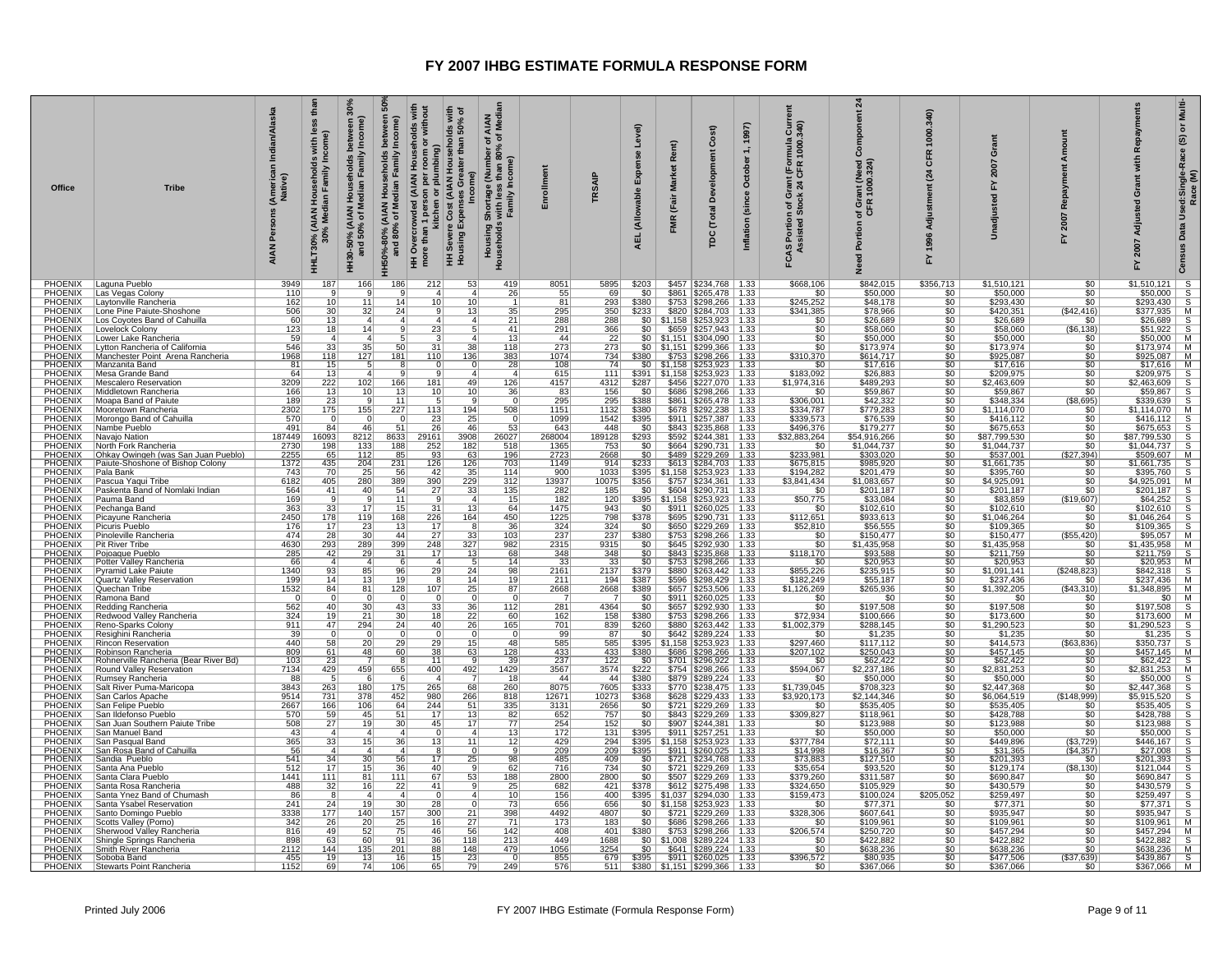| Office                           | <b>Tribe</b>                                                         | Indian/Alaska<br>(Americal)<br>Native)<br>Persons<br><b>AIAN</b> | E4<br>less<br>with<br>Households<br>Family I<br>$\overline{\mathbf{a}}$<br><b>D% (AIAN I</b><br>30% Medi<br><b>HHLT30%</b> | between 3<br>/ Income)<br>Family<br>N Househ<br>Median F<br>130-50% (AIAN I<br>and 50% of M<br>Ξ | ន<br>between<br>Income)<br>Households<br>edian Family<br>HH50%-80% (AIAN<br>and 80% of Me<br>80% of 1 | HH Overcrowded (AIAN Households with<br>more than 1 person per room or without<br>umbing)<br>효률<br>$\overline{5}$<br>n 1 persc<br>kitchen 1<br>Ξ | lds with<br>50% of<br>noids<br>than<br>Cost (AIAN Hous<br>Gre<br>Exper<br>Sever<br>using<br> 토 로 | AIAN<br>FMedia<br>৳<br>৳<br>ge (Number o<br>ss than 80%<br>≀Income)<br>Shortage<br>s with less<br>Family In<br>Housing S<br><b>Househol</b> | Enrollment          | TRSAIP             | Level)<br>Expense<br>(Allowable<br><b>AEL</b> | Rent)<br><b>Market</b><br>(Fair<br><b>FMR</b> | Cost)<br>loor<br>്ട്<br><b>Total</b><br>pc                              | 1997)<br>$\div$<br>October<br>Inflation (since | $rac{5}{340}$<br>mula<br>1000.<br>rant (For<br>24 CFR<br>ত স্ক<br>ق ۃ<br>FCAS Portion of | $\mathbf{z}$<br>ant (Need<br>1000.324)<br>of Gr<br>CFR<br>Porti<br>又 | 340<br>1000.<br><b>GFR</b><br>$\overline{a}$<br>1996<br>놊 | ō<br>2007<br>Y.<br>Jnadiu   | <b>Burt</b><br>Ě<br>œ<br>2007<br>놊  | Repayme<br>with<br>ō<br>Adjusted<br>2007<br>놊                                                                                                                                                  | Multi-<br>៰<br>$\widehat{\mathfrak{G}}$<br>Used:Single-Race<br>ŝ<br>$\alpha$<br>Data |
|----------------------------------|----------------------------------------------------------------------|------------------------------------------------------------------|----------------------------------------------------------------------------------------------------------------------------|--------------------------------------------------------------------------------------------------|-------------------------------------------------------------------------------------------------------|--------------------------------------------------------------------------------------------------------------------------------------------------|--------------------------------------------------------------------------------------------------|---------------------------------------------------------------------------------------------------------------------------------------------|---------------------|--------------------|-----------------------------------------------|-----------------------------------------------|-------------------------------------------------------------------------|------------------------------------------------|------------------------------------------------------------------------------------------|----------------------------------------------------------------------|-----------------------------------------------------------|-----------------------------|-------------------------------------|------------------------------------------------------------------------------------------------------------------------------------------------------------------------------------------------|--------------------------------------------------------------------------------------|
| <b>PHOENIX</b>                   | PHOENIX Laguna Pueblo<br>Las Vegas Colony                            | 3949<br>110                                                      | 187                                                                                                                        | 166                                                                                              | 186                                                                                                   | 212<br>4                                                                                                                                         | 53<br>4                                                                                          | 419<br>26                                                                                                                                   | 8051<br>55          | 5895<br>69         | \$203<br>\$0                                  |                                               | $$457$ $$234,768$   1.33<br>\$861   \$265,478   1.33                    |                                                | \$668,106<br>\$0                                                                         | \$842,015<br>\$50,000                                                | \$356,713<br>\$0                                          | \$1,510,121<br>\$50,000     | \$0<br>\$0                          | $$1,510,121$ S<br>$$50,000$ S<br>$$293,430$ S<br>$$377,935$ M<br>$$26,689$ S                                                                                                                   |                                                                                      |
| <b>PHOENIX</b>                   | Laytonville Rancheria                                                | 162                                                              | 10                                                                                                                         | $\overline{11}$                                                                                  | 14                                                                                                    | 10                                                                                                                                               | 10                                                                                               |                                                                                                                                             | 81                  | 293                | \$380                                         | \$753                                         | $$298,266$   1.33                                                       |                                                | \$245,252                                                                                | \$48,178                                                             | 50                                                        | \$293,430                   | \$0                                 |                                                                                                                                                                                                |                                                                                      |
| PHOENIX<br><b>PHOENIX</b>        | Lone Pine Paiute-Shoshone<br>Los Coyotes Band of Cahuilla            | 506<br>60                                                        | 30<br>13                                                                                                                   | 32                                                                                               | 24                                                                                                    | 9 <br>$\overline{4}$                                                                                                                             | 13                                                                                               | 35<br>21                                                                                                                                    | <u>295</u><br>288   | 350<br>288         | \$233                                         | $$0 \mid $1,158$                              | \$820   \$284,703   1.33<br>$$253,923$ 1.33                             |                                                | \$341,385<br>\$0                                                                         | \$78,966<br>\$26,689                                                 | \$0<br>\$0                                                | \$420,351<br>\$26,689       | (S42, 416)<br>\$0                   |                                                                                                                                                                                                |                                                                                      |
| <b>PHOENIX</b>                   | Lovelock Colony                                                      | 123                                                              | 18                                                                                                                         | 14                                                                                               |                                                                                                       | $\overline{23}$                                                                                                                                  |                                                                                                  | 41                                                                                                                                          | 291                 | 366                | 50 <sub>1</sub>                               |                                               | $$659$ $$257,943$ 1.33                                                  |                                                | $\overline{\$0}$                                                                         | \$58,060                                                             | \$0                                                       | \$58,060                    | (\$6,138)                           |                                                                                                                                                                                                | $$51,922$ S                                                                          |
| <b>PHOENIX</b>                   | Lower Lake Rancheria<br>PHOENIX   Lytton Rancheria of California     | 59<br>546                                                        | $\overline{a}$<br>33                                                                                                       | $\overline{4}$<br>35                                                                             | 50                                                                                                    | 3<br>31                                                                                                                                          | 38                                                                                               | 13<br>118                                                                                                                                   | 44<br>273           | 22<br>273          | \$0                                           |                                               | $$1,151$ $$304,090$   1.33                                              |                                                | $\frac{$0}{$0}$                                                                          | \$50,000                                                             | \$0                                                       | \$50,000<br>\$173,974       | \$0<br>\$0                          | $$50,000$ M<br>$$173,974$ M                                                                                                                                                                    |                                                                                      |
| <b>PHOENIX</b>                   | Manchester Point Arena Rancheria                                     | 1968                                                             | 118                                                                                                                        | 127                                                                                              | 181                                                                                                   | 110                                                                                                                                              | 136                                                                                              | 383                                                                                                                                         | 1074                | 734                |                                               |                                               | $\frac{$0}{$380}$ $\frac{$1,151}{$753}$ $\frac{$299,366}{298,266}$ 1.33 |                                                | \$310,370                                                                                | \$173,974                                                            | $rac{1}{100}$                                             | \$925,087                   | 50                                  | $$925,087$ M                                                                                                                                                                                   |                                                                                      |
| <b>PHOENIX</b>                   | Manzanita Band                                                       | 81                                                               | 15                                                                                                                         |                                                                                                  |                                                                                                       |                                                                                                                                                  |                                                                                                  | 28                                                                                                                                          | $\frac{108}{615}$   | 74                 |                                               |                                               | $$0$   \$1,158   \$253,923   1.33                                       |                                                | \$0                                                                                      | \$17,616                                                             | $rac{1}{100}$                                             | \$17,616                    | \$0                                 | $\begin{array}{c cc}\n\text{9525,067} & \text{W} \\ \hline\n\$17,616 & \text{M} \\ \$209,975 & \text{S} \\ \$2,463,609 & \text{S} \\ \$59,867 & \text{S} \\ \$339,639 & \text{S}\n\end{array}$ |                                                                                      |
| PHOENIX<br><b>PHOENIX</b>        | Mesa Grande Band<br>Mescalero Reservation                            | 64<br>3209                                                       | 13<br>222                                                                                                                  | 102                                                                                              | 166                                                                                                   | 181                                                                                                                                              | $\boldsymbol{\Lambda}$<br>49                                                                     | $\mathbf{A}$<br>126                                                                                                                         | 4157                | 111<br>4312        | \$391<br>\$287                                | \$1,158                                       | $$253,923$   1.33<br>\$456   \$227,070   1.33                           |                                                | \$183,092<br>\$1,974,316                                                                 | \$26,883<br>\$489,293                                                | 50                                                        | \$209,975<br>\$2,463,609    | \$0<br>50                           |                                                                                                                                                                                                |                                                                                      |
| <b>PHOENIX</b>                   | Middletown Rancheria                                                 | 166                                                              | 13                                                                                                                         | 10                                                                                               | 13                                                                                                    | 10                                                                                                                                               | 10                                                                                               | 36                                                                                                                                          | 83                  | 156                | \$0                                           |                                               | \$686   \$298,266   1.33                                                |                                                | $rac{$0}{1}$<br>\$306,001                                                                | \$59,867                                                             | $rac{$0}{$0}$                                             | \$59,867                    | \$0                                 |                                                                                                                                                                                                |                                                                                      |
| <b>PHOENIX</b><br>PHOENIX        | Moapa Band of Paiute<br>Mooretown Rancheria                          | 189<br>2302                                                      | 23<br>175                                                                                                                  | 155                                                                                              | 11<br>227                                                                                             | 113                                                                                                                                              | 194                                                                                              | $\Omega$                                                                                                                                    | 295<br>1151         | 295<br>1132        | \$388<br>\$380                                |                                               | \$861   \$265,478   1.33<br>\$678   \$292,238   1.33                    |                                                | \$334,787                                                                                | \$42,332<br>\$779,283                                                | \$0                                                       | \$348,334<br>\$1,114,070    | ( \$8,695)<br>\$0                   |                                                                                                                                                                                                |                                                                                      |
| <b>PHOENIX</b>                   | Morongo Band of Cahuilla                                             | 570                                                              |                                                                                                                            |                                                                                                  | $\Omega$                                                                                              | 23                                                                                                                                               | 25                                                                                               | 508<br>$\Omega$                                                                                                                             | 1099                | 1542               | \$395                                         | \$911                                         | $$257.387$   1.33                                                       |                                                | \$339,573                                                                                | \$76,539                                                             | 50                                                        | \$416,112                   | \$0                                 | $\frac{$1,114,070}{$1,114,070}$ M<br>\$416,112 S                                                                                                                                               |                                                                                      |
| PHOENIX                          | Nambe Pueblo                                                         | 491                                                              | 84                                                                                                                         | 46                                                                                               | 51                                                                                                    | 26                                                                                                                                               | 46                                                                                               | 53                                                                                                                                          | 643                 | 448                | \$0                                           |                                               | \$843   \$235,868   1.33                                                |                                                | \$496,376                                                                                | \$179,277                                                            | \$0                                                       | \$675,653                   | 50                                  | \$675,653                                                                                                                                                                                      | $\overline{s}$                                                                       |
| PHOENIX<br><b>PHOENIX</b>        | Navajo Nation<br>North Fork Rancheria                                | 187449<br>2730                                                   | 16093<br>198                                                                                                               | $\frac{8212}{133}$                                                                               | 8633<br>188                                                                                           | 29161<br>252                                                                                                                                     | 3908<br>182                                                                                      | 26027<br>$\frac{-221}{518}$                                                                                                                 | 268004              | 189128             | \$293<br>$\overline{50}$                      | \$592                                         | \$244,381 1.33<br>$$664$ $$290,731$   1.33                              |                                                | \$32,883,264<br>\$ſ                                                                      | 554,916,266<br>\$1,044,737                                           | $rac{1}{100}$                                             | \$87,799,530<br>\$1,044,737 | \$0<br>\$0                          |                                                                                                                                                                                                |                                                                                      |
| <b>PHOENIX</b>                   | Ohkay Owingeh (was San Juan Pueblo)                                  | 2255                                                             | 65                                                                                                                         | 112                                                                                              | 85                                                                                                    | 93                                                                                                                                               | 63                                                                                               | 196                                                                                                                                         | $\frac{1365}{2723}$ | 2668               | \$0                                           |                                               | \$489   \$229,269   1.33                                                |                                                | \$233,981                                                                                | \$303,020                                                            | 50                                                        | \$537,001                   | (\$27,394)                          | $\frac{$87,799,530}{$1,044,737$}$ $\frac{$1,044,737$}{$8,609,607$}$ $\frac{$509,607$}{$1,664,757$}$                                                                                            |                                                                                      |
| <b>PHOENIX</b>                   | Paiute-Shoshone of Bishop Colony                                     | 1372                                                             | 435                                                                                                                        | 204                                                                                              | 231                                                                                                   | $126$                                                                                                                                            | 126                                                                                              | 703                                                                                                                                         | 1149                | 914                | \$233                                         |                                               | \$613   \$284,703   1.33                                                |                                                | \$675,815                                                                                | \$985,920                                                            | $rac{$0}{$0}$                                             | \$1,661,735                 | \$0                                 | $$1,661,735$ S<br>$$395,760$ S<br>$$4,925,091$ M                                                                                                                                               |                                                                                      |
| PHOENIX                          | Pala Bank<br>PHOENIX Pascua Yaqui Tribe                              | 743<br>6182                                                      | 70<br>405                                                                                                                  | 25<br>280                                                                                        | 56<br>389                                                                                             | 42<br>390                                                                                                                                        | 35<br>229                                                                                        | 114<br>312                                                                                                                                  | 900<br>13937        | 1033<br>10075      | \$395<br>\$356                                | \$1,158                                       | \$253,923   1.33<br>\$757 \$234,361 1.33                                |                                                | \$194,282<br>\$3,841,434                                                                 | \$201,479<br>\$1,083,657                                             | 50                                                        | \$395,760<br>\$4,925,091    | \$0<br>50                           |                                                                                                                                                                                                |                                                                                      |
| PHOENIX                          | Paskenta Band of Nomlaki Indian                                      | 564                                                              | 41                                                                                                                         | 40                                                                                               | 54                                                                                                    | 27                                                                                                                                               | 33                                                                                               | 135                                                                                                                                         | 282                 | 185                | \$0                                           |                                               | $$604$ $$290,731$ 1.33                                                  |                                                | \$0                                                                                      | \$201,187                                                            | \$0                                                       | \$201,187                   | \$0 <sub>1</sub>                    | \$4,925,091 M<br>\$201,187 S<br>\$64,252 S<br>\$102,610 S<br>\$1,046,264 S<br>\$109,365 S                                                                                                      |                                                                                      |
| <b>PHOENIX</b><br><b>PHOENIX</b> | Pauma Band<br>Pechanga Band                                          | 169<br>363                                                       | 33                                                                                                                         | $\overline{17}$                                                                                  | 11<br>$\overline{15}$                                                                                 | 9<br>$\overline{31}$                                                                                                                             | 13                                                                                               | 15<br>64                                                                                                                                    | 182<br>1475         | 120<br>943         | \$395<br>$\overline{50}$                      |                                               | $$1.158$ $$253.923$ 1.33<br>\$911   \$260,025   1.33                    |                                                | \$50,775<br>\$0                                                                          | \$33,084<br>\$102,610                                                | $rac{$0}{$0}$                                             | \$83,859<br>\$102,610       | (\$19,607)<br>\$0                   |                                                                                                                                                                                                |                                                                                      |
| <b>PHOENIX</b>                   | Picayune Rancheria                                                   | 2450                                                             | 178                                                                                                                        | 119                                                                                              | 168                                                                                                   | 226                                                                                                                                              | 164                                                                                              | 450                                                                                                                                         | 1225                | 798                | \$378                                         |                                               | \$695   \$290.731   1.33                                                |                                                | \$112.651                                                                                | \$933,613                                                            | \$0                                                       | \$1.046.264                 | \$0                                 |                                                                                                                                                                                                |                                                                                      |
| PHOENIX                          | Picuris Pueblo                                                       | 176                                                              | 17                                                                                                                         | 23                                                                                               | 13                                                                                                    | 17                                                                                                                                               | -8                                                                                               | 36                                                                                                                                          | 324                 | 324                | 50                                            |                                               | \$650   \$229,269   1.33                                                |                                                | \$52,810                                                                                 | \$56,555                                                             | $\overline{50}$                                           | \$109,365                   | \$0                                 |                                                                                                                                                                                                |                                                                                      |
| <b>PHOENIX</b><br><b>PHOENIX</b> | Pinoleville Rancheria<br>Pit River Tribe                             | 474<br>4630                                                      | $\frac{28}{293}$                                                                                                           | $\frac{30}{289}$                                                                                 | 44<br>399                                                                                             | $\frac{27}{248}$                                                                                                                                 | $\frac{33}{327}$                                                                                 | $\frac{103}{982}$                                                                                                                           | $\frac{237}{2315}$  | $\frac{237}{9315}$ | $\frac{$380}{$0}$                             |                                               | \$753 \$298,266 1.33<br>\$645   \$292,930   1.33                        |                                                | $\frac{$0}{$0}$                                                                          | \$150,477<br>\$1,435,958                                             | $rac{$0}{$0}$                                             | \$150,477<br>\$1,435,958    | (\$55,420)<br>\$0                   | $\begin{array}{c cc}\n\hline\n\text{$95,057} & \text{M} \\ \hline\n\text{$81,435,958} & \text{M} \\ \hline\n\text{$8211,759} & \text{S}\n\end{array}$                                          |                                                                                      |
| <b>PHOENIX</b>                   | Pojoaque Pueblo                                                      | 285                                                              | 42                                                                                                                         | 29                                                                                               | 31                                                                                                    | 17                                                                                                                                               | 13                                                                                               | 68                                                                                                                                          | 348                 | 348                | 50                                            |                                               | \$843   \$235,868   1.33                                                |                                                | \$118,170                                                                                | \$93,588                                                             | 50                                                        | \$211,759                   | 50                                  |                                                                                                                                                                                                |                                                                                      |
| <b>PHOENIX</b><br>PHOENIX        | Potter Valley Rancheria<br>Pyramid Lake Paiute                       | 66<br>1340                                                       | $\vert$ 4<br>93                                                                                                            | $\overline{4}$                                                                                   | 6<br>96                                                                                               | $\left 4\right $<br>29                                                                                                                           | -5<br>24                                                                                         | 14<br>98                                                                                                                                    | <u>33</u>           | 33<br>2137         | \$0<br>\$379                                  | \$880                                         | $$753$ $$298,266$   1.33<br>$$263,442$   1.33                           |                                                | \$0<br>\$855,226                                                                         | \$20,953<br>\$235,915                                                | \$0<br>\$0                                                | \$20,953<br>\$1,091,141     | \$0<br>(\$248,823)                  | $\frac{$20,953}{$842,318}$ S<br>$\frac{$842,318}{$237,436}$ M                                                                                                                                  |                                                                                      |
|                                  | <b>PHOENIX</b> Quartz Valley Reservation                             | 199                                                              | $\overline{14}$                                                                                                            | $\frac{85}{13}$                                                                                  | 19                                                                                                    | $\overline{R}$                                                                                                                                   | $\overline{14}$                                                                                  | $\overline{19}$                                                                                                                             | $\frac{2161}{211}$  | 194                | \$387                                         |                                               | \$596   \$298,429   1.33                                                |                                                | \$182,249                                                                                | \$55,187                                                             | $\overline{50}$                                           | \$237,436                   | \$0                                 |                                                                                                                                                                                                |                                                                                      |
| <b>PHOENIX</b>                   | PHOENIX Quechan Tribe                                                | 1532                                                             | 84                                                                                                                         | 81                                                                                               | 128                                                                                                   | 107                                                                                                                                              | 25                                                                                               | 87                                                                                                                                          | 2668                | 2668               | \$389                                         |                                               | \$657 \$253,506 1.33                                                    |                                                | \$1,126,269                                                                              | $\frac{$265,936}{$90}$                                               | $rac{$0}{0}$<br>$rac{$0}{0}$                              | \$1,392,205                 | (\$43,310)                          | \$237,438<br>\$1,348,895 M<br>\$0 M<br>\$197,508 S<br>\$173,600 M<br>\$1,236<br>\$1,235 S<br>\$350,737 S<br>\$457,145 M                                                                        |                                                                                      |
| <b>PHOENIX</b>                   | Ramona Band<br>Redding Rancheria                                     | $\Omega$<br>562                                                  | $\Omega$<br>40                                                                                                             | 30                                                                                               | 43                                                                                                    | $^{\circ}$<br>33                                                                                                                                 | 36                                                                                               | $\Omega$<br>112                                                                                                                             | 281                 | 4364               | \$0<br>50                                     |                                               | $$911$ $$260,025$   1.33<br>\$657   \$292,930   1.33                    |                                                | $\frac{$0}{$0}$                                                                          |                                                                      |                                                           | \$0<br>\$197,508            | <u>\$0</u><br>50                    |                                                                                                                                                                                                |                                                                                      |
| <b>PHOENIX</b>                   | Redwood Valley Rancheria                                             | 324                                                              | 19                                                                                                                         | $\overline{21}$                                                                                  | 30                                                                                                    | 18                                                                                                                                               | $\overline{22}$                                                                                  | 60                                                                                                                                          | 162                 | 158                | \$380                                         |                                               | \$753   \$298,266   1.33                                                |                                                | \$72,934<br>\$1,002,379                                                                  | \$100,666                                                            | $rac{$0}{60}$                                             | \$173,600                   | \$0                                 |                                                                                                                                                                                                |                                                                                      |
| <b>PHOENIX</b><br><b>PHOENIX</b> | Reno-Sparks Colony<br>Resighini Rancheria                            | 911<br>39                                                        | 47                                                                                                                         | 294                                                                                              | 24                                                                                                    | 40<br>0                                                                                                                                          | 26                                                                                               | 165<br>0                                                                                                                                    | 701<br>99           | 839<br>87          | \$260<br>\$0                                  |                                               | $\frac{1}{2880}$ $\frac{1}{263,442}$ 1.33<br>$$642$   \$289,224   1.33  |                                                | \$0                                                                                      | \$288,145<br>\$1,235                                                 |                                                           | \$1,290,523<br>\$1,235      | 50<br>\$0                           |                                                                                                                                                                                                |                                                                                      |
| PHOENIX                          | <b>Rincon Reservation</b>                                            | 440                                                              | 58                                                                                                                         | 20                                                                                               | 29                                                                                                    | 29                                                                                                                                               | 15                                                                                               | 48                                                                                                                                          | 585                 | 585                | \$395                                         | \$1,158                                       | $$253,923$   1.33                                                       |                                                | \$297,460                                                                                | \$117,112                                                            | $rac{1}{100}$                                             | \$414,573                   | ( \$63, 836)                        |                                                                                                                                                                                                |                                                                                      |
| <b>PHOENIX</b><br>PHOENIX        | Robinson Rancheria                                                   | 809<br>103                                                       | 61                                                                                                                         | 48                                                                                               | 60                                                                                                    | 38<br>11                                                                                                                                         | 63<br>-9                                                                                         | 128                                                                                                                                         | 433                 | 433                | \$380                                         |                                               | \$686   \$298,266   1.33                                                |                                                | \$207,102                                                                                | \$250,043                                                            | 50                                                        | \$457,145                   | 50                                  |                                                                                                                                                                                                |                                                                                      |
| <b>PHOENIX</b>                   | Rohnerville Rancheria (Bear River Bd)<br>Round Valley Reservation    | 7134                                                             | 23<br>429                                                                                                                  | 459                                                                                              | 655                                                                                                   | 400                                                                                                                                              | 492                                                                                              | 39<br>1429                                                                                                                                  | 237<br>3567         | 122<br>3574        | \$0<br>\$222                                  |                                               | $$701$ $$296,922$   1.33<br>\$754   \$298,266   1.33                    |                                                | \$0<br>\$594,067                                                                         | \$62,422<br>\$2,237,186                                              | \$0                                                       | \$62,422<br>\$2,831,253     | \$0 <sub>1</sub><br>$\overline{50}$ | $\frac{$62,422}{$331,253}$ M<br>$\frac{$50,000}{$50,000}$ S                                                                                                                                    |                                                                                      |
| PHOENIX                          | Rumsey Rancheria                                                     | 88                                                               |                                                                                                                            |                                                                                                  |                                                                                                       | $\overline{a}$                                                                                                                                   |                                                                                                  | $\overline{18}$                                                                                                                             | 44                  | 44                 | \$380                                         |                                               | \$879   \$289,224   1.33                                                |                                                | \$0                                                                                      | \$50,000                                                             | $rac{$0}{$0}$                                             | \$50,000                    | 50                                  | $$2,831,253$<br>$$50,000$                                                                                                                                                                      |                                                                                      |
|                                  | PHOENIX Salt River Puma-Maricopa<br>PHOENIX San Carlos Apache        | 3843<br>9514                                                     | 263<br>731                                                                                                                 | 180<br>378                                                                                       | 175<br>452                                                                                            | 265<br>980                                                                                                                                       | 68<br>266                                                                                        | 260<br>818                                                                                                                                  | 8075<br>12671       | 7605<br>10273      | \$333<br>\$368                                |                                               | \$770   \$238,475   1.33<br>\$628   \$229,433   1.33                    |                                                | \$1,739,045<br>\$3,920,173                                                               | $\frac{$708,323}{2,144,346}$                                         | $rac{$0}{$0}$                                             | \$2,447,368<br>\$6,064,519  | 50<br>(\$148,999)                   | \$2,447,368<br>\$5,915,520                                                                                                                                                                     | $\overline{\mathsf{s}}$<br>s                                                         |
|                                  | PHOENIX San Felipe Pueblo<br>PHOENIX San Ildefonso Pueblo            | 2667                                                             | 166                                                                                                                        | 106                                                                                              | 64                                                                                                    | 244                                                                                                                                              | 51                                                                                               | 335                                                                                                                                         | 3131                | 2656               | \$0                                           |                                               | \$721   \$229,269   1.33                                                |                                                | \$0                                                                                      | \$535,405                                                            | \$0                                                       | \$535,405                   | \$0                                 | \$535,405                                                                                                                                                                                      |                                                                                      |
| <b>PHOENIX</b>                   | San Juan Southern Paiute Tribe                                       | 570<br>508                                                       | 59<br>27                                                                                                                   | 45<br>19                                                                                         | 51<br>30 <sub>1</sub>                                                                                 | 17<br>45                                                                                                                                         | 13<br>17                                                                                         | 82<br>77                                                                                                                                    | 652<br>254          | 757<br>152         | 50<br>\$0                                     |                                               | \$843   \$229,269   1.33<br>\$907   \$244,381   1.33                    |                                                | \$309,827                                                                                | \$118,961<br>\$123,988                                               | \$0<br>\$0                                                | \$428,788<br>\$123,988      | \$0<br>\$0                          | \$428,788<br>\$123,988                                                                                                                                                                         | $\frac{s}{s}$                                                                        |
|                                  | PHOENIX   San Manuel Band                                            | 43                                                               | -41                                                                                                                        | -4                                                                                               | $\mathbf{A}$                                                                                          | $\overline{0}$                                                                                                                                   | $\overline{4}$                                                                                   | 13                                                                                                                                          | 172                 | 131                | \$395                                         |                                               | $$911$ $$257,251$ 1.33                                                  |                                                | $\frac{$0}{$0}$                                                                          | \$50,000                                                             | \$0                                                       | \$50,000                    | 50                                  | \$50,000                                                                                                                                                                                       | $\overline{\mathbf{s}}$                                                              |
|                                  | PHOENIX San Pasqual Band<br>PHOENIX San Rosa Band of Cahuilla        | 365                                                              | 33                                                                                                                         | 15                                                                                               | 36                                                                                                    | 13                                                                                                                                               | 11                                                                                               | 12                                                                                                                                          | 429                 | 294                | \$395                                         |                                               | $$1,158$ $$253,923$ 1.33                                                |                                                | \$377,784                                                                                | \$72,111                                                             | \$0                                                       | \$449,896                   | $\frac{(\$3,729)}{(\$4,357)}$       | $\frac{6446,167}{27,008}$ S<br>\$446,167                                                                                                                                                       |                                                                                      |
|                                  | PHOENIX Sandia Pueblo                                                | 56<br>541                                                        | $\overline{4}$<br>34                                                                                                       | $\overline{4}$<br>30                                                                             | $\overline{a}$<br>56                                                                                  | $\overline{\mathbf{g}}$<br>17                                                                                                                    | $\Omega$<br><u>25</u>                                                                            | नु<br>98                                                                                                                                    | 209<br>485          | 209<br>409         | \$395<br>\$0                                  |                                               | \$911 \$260,025 1.33<br>\$721   \$234,768   1.33                        |                                                | \$14,998<br>\$73,883                                                                     | \$16,367<br>\$127,510                                                | \$0<br>\$0                                                | 331,365<br>\$201,393        | \$0                                 | \$201,393                                                                                                                                                                                      |                                                                                      |
|                                  | PHOENIX Santa Ana Pueblo                                             | 512                                                              | 17                                                                                                                         | 15                                                                                               | 36                                                                                                    | $\frac{40}{67}$                                                                                                                                  |                                                                                                  | 62                                                                                                                                          | 716                 | 734                | 50                                            |                                               | $$721$ $$229,269$ 1.33                                                  |                                                | \$35,654                                                                                 | \$93,520                                                             | $rac{$0}{$0}$                                             | \$129,174                   | (\$8,130)                           | \$121,044                                                                                                                                                                                      | $rac{s}{s}$                                                                          |
| PHOENIX                          | Santa Clara Pueblo                                                   | 1441<br>488                                                      | 111                                                                                                                        | 81<br>16                                                                                         | 111<br>22                                                                                             | 41                                                                                                                                               | 53<br>-9                                                                                         | 188                                                                                                                                         | 2800                | 2800<br>421        | 50<br>\$378                                   |                                               | \$507   \$229,269   1.33                                                |                                                | \$379,260                                                                                | \$311,587                                                            |                                                           | \$690,847                   | \$0                                 | \$690,847<br>\$430,579                                                                                                                                                                         |                                                                                      |
|                                  | PHOENIX Santa Rosa Rancheria<br>PHOENIX   Santa Ynez Band of Chumash | 86                                                               | 32<br>-8                                                                                                                   | $\boldsymbol{\Lambda}$                                                                           | $\boldsymbol{\Lambda}$                                                                                | 0                                                                                                                                                | $\boldsymbol{\Lambda}$                                                                           | 25<br>10                                                                                                                                    | 682<br>156          | 400                |                                               |                                               | \$612 \$275,498 1.33<br>\$395   \$1,037   \$294,030   1.33              |                                                | \$324,650<br>\$159,473                                                                   | \$105,929<br>\$100,024                                               | \$0<br>\$205,052                                          | \$430,579<br>\$259,497      | \$0<br>\$0                          | \$259,497                                                                                                                                                                                      | $\frac{s}{s}$                                                                        |
|                                  | PHOENIX   Santa Ysabel Reservation                                   | 241                                                              | 24                                                                                                                         | 19                                                                                               | 30                                                                                                    | 28                                                                                                                                               |                                                                                                  | 73                                                                                                                                          | 656                 | 656                | \$0                                           |                                               | $$1,158$ $$253,923$   1.33                                              |                                                | \$0                                                                                      | \$77,371                                                             | 50                                                        | \$77,371                    | 50                                  | \$77,371                                                                                                                                                                                       |                                                                                      |
| PHOENIX<br><b>PHOENIX</b>        | Santo Domingo Pueblo<br>Scotts Valley (Pomo)                         | 3338<br>342                                                      | 177<br>26                                                                                                                  | 140<br>20                                                                                        | 157<br>25                                                                                             | 300<br>16                                                                                                                                        | 21<br>27                                                                                         | $\frac{398}{71}$                                                                                                                            | 4492<br>173         | 4807<br>183        | \$0<br>50                                     | \$686                                         | \$721   \$229,269   1.33<br>$$298,266$ 1.33                             |                                                | \$328,306<br>\$C                                                                         | \$607,641<br>\$109,961                                               | \$0<br>50                                                 | \$935,947<br>\$109,961      | \$0<br>\$0                          | $\frac{$935,947}{$109,961}$ M                                                                                                                                                                  |                                                                                      |
|                                  | PHOENIX Sherwood Valley Rancheria                                    | 816                                                              | 49                                                                                                                         | 52                                                                                               | 75                                                                                                    | 46                                                                                                                                               | 56                                                                                               | 142                                                                                                                                         | 408                 | 401                | \$380                                         |                                               | \$753   \$298,266   1.33                                                |                                                | \$206,574                                                                                | \$250,720                                                            | \$0                                                       | \$457,294                   | 50                                  | $$457,294$ M                                                                                                                                                                                   |                                                                                      |
|                                  | PHOENIX Shingle Springs Rancheria<br>PHOENIX Smith River Rancheria   | 898<br>2112                                                      | 63<br>144                                                                                                                  | 60<br>135                                                                                        | 91<br>201                                                                                             | 36<br>88                                                                                                                                         | 118<br>148                                                                                       | 213<br>479                                                                                                                                  | 449<br>1056         | 1688<br>3254       | \$0<br>50 <sub>1</sub>                        |                                               | $$1,008$ $$289,224$   1.33<br>\$641 \$289,224 1.33                      |                                                | \$0<br>\$0                                                                               | \$422,882<br>\$638,236                                               | \$0<br>$\overline{50}$                                    | \$422,882<br>\$638,236      | \$0<br>$\overline{50}$              | $$422,882$ S<br>$$638,236$ M                                                                                                                                                                   |                                                                                      |
|                                  | <b>PHOENIX</b> Soboba Band<br>PHOENIX Stewarts Point Rancheria       | 455                                                              | 19                                                                                                                         | 13                                                                                               | 16                                                                                                    | $\overline{15}$                                                                                                                                  | <u>23</u>                                                                                        |                                                                                                                                             | 855                 | 679                |                                               |                                               | \$395   \$911   \$260,025   1.33                                        |                                                | \$396,572                                                                                | \$80,935                                                             | \$0                                                       | \$477,506                   | (\$37,639)                          | $$439.867$ S<br>$$367,066$ M                                                                                                                                                                   |                                                                                      |
|                                  |                                                                      | 1152                                                             | 69                                                                                                                         | $\overline{74}$                                                                                  | 106                                                                                                   | 65                                                                                                                                               | 79                                                                                               | 249                                                                                                                                         | 576                 | 511                |                                               |                                               | \$380   \$1.151   \$299.366   1.33                                      |                                                | \$0                                                                                      | \$367.066                                                            | 50                                                        | \$367.066                   | \$0                                 |                                                                                                                                                                                                |                                                                                      |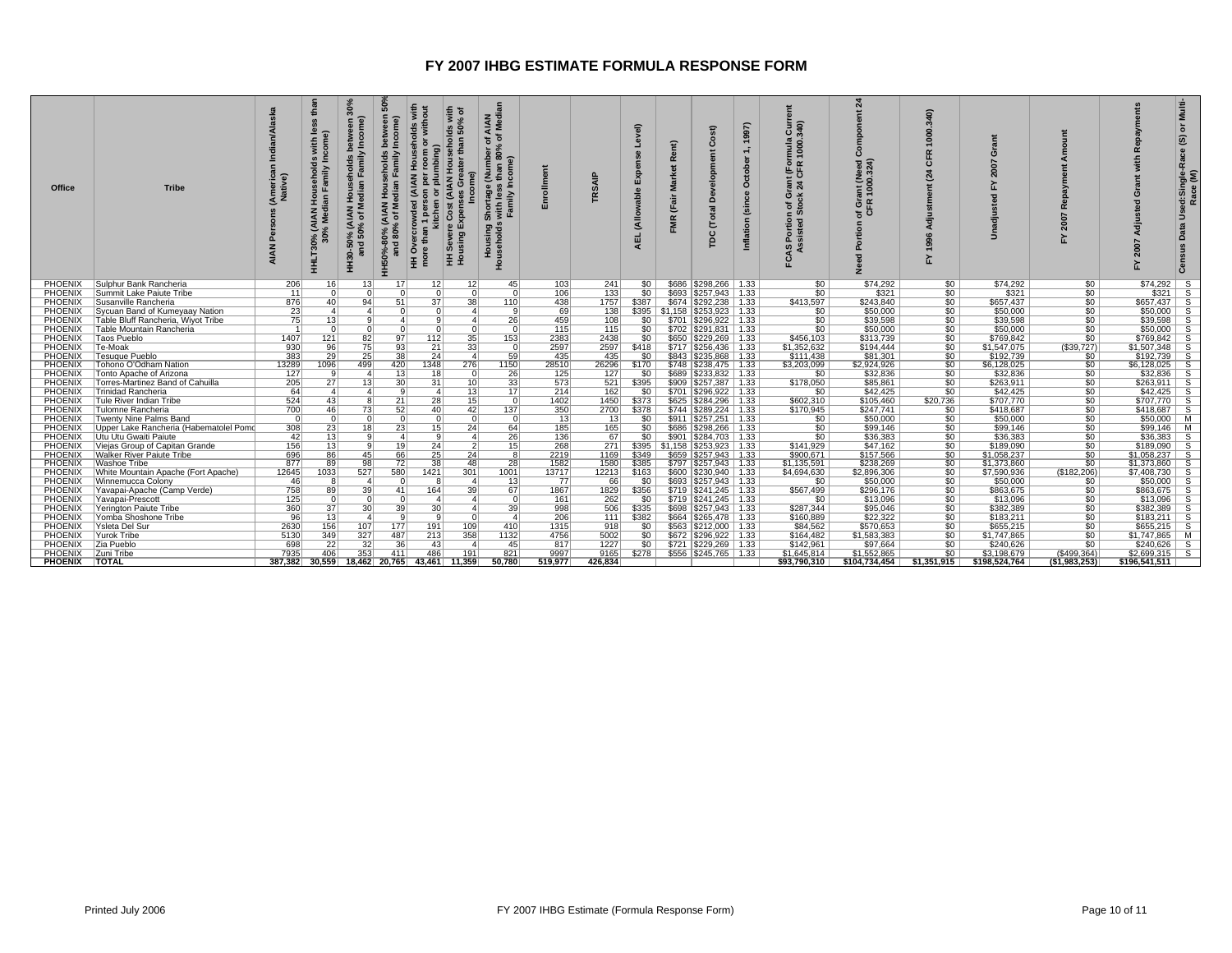| <b>Office</b>      | <b>Tribe</b>                                            | (Americal<br>Native) | than<br>$\frac{9}{2}$<br>with<br>ollds<br>amily<br>Househe<br>ian Fami<br>(AIAN<br>% Medi<br>нн <b>LT30%</b><br>30° | 30%<br>ome)<br>$\epsilon$<br>ᅙ<br>ৰ "চ<br>% (AI<br>50% (<br>in-50°<br>and<br>$rac{6}{1}$ | S<br>eholds<br>৳<br>ತಿ ಜ<br>HH50%- | ä<br>plumbing)<br>៍<br>kitchen<br>tha<br>HH Ove<br>more t<br>Ŧ | with<br>% of<br>និ<br>흥<br>$\mathbf{r}$<br><b>AIAN HOL</b><br>O<br>Exper<br>ŭ<br>Sever<br>using<br>토 로 | AIAN<br>Median<br>đ<br>ā<br>(Numbe<br>Shortage (<br>s with less<br>Family In<br>Housing S<br>Households<br>Four<br>Experts | 틍                       | RSAIP                  | $\widehat{\mathbf{a}}$<br>$\overline{\mathbf{c}}$<br>ड<br>AEL | Rent)<br>Market<br>(Fair<br><b>FMR</b> | ā<br>്<br>Total<br>pc                            | 997)<br>$\circ$<br>(sin<br>nflation | $rac{5}{340}$<br>mula<br>1000.<br>$t$ (For<br>ត្តិ ង<br>ō×<br>ចទី<br>Portion<br>sisted<br>CAS<br>As | শ্ৰ<br>힖<br>ā<br>ت<br>ant (Need<br>1000.324)<br>of Gra<br>둥<br>Porti<br>ě | 340)<br>1000.<br>CFR<br>24<br>Adjus<br>996<br>$\ddot{ }$<br>놊 | ċ<br>2007<br>없<br>$\overline{\mathbf{c}}$<br>adiu<br>Ŝ | œ<br>2007<br>걊  | $\circ$<br>$\overline{\mathbf{c}}$<br>Adiu | Multi-<br>៰<br>©<br>Used:Single-Race<br>Race (M)<br>Data |
|--------------------|---------------------------------------------------------|----------------------|---------------------------------------------------------------------------------------------------------------------|------------------------------------------------------------------------------------------|------------------------------------|----------------------------------------------------------------|--------------------------------------------------------------------------------------------------------|----------------------------------------------------------------------------------------------------------------------------|-------------------------|------------------------|---------------------------------------------------------------|----------------------------------------|--------------------------------------------------|-------------------------------------|-----------------------------------------------------------------------------------------------------|---------------------------------------------------------------------------|---------------------------------------------------------------|--------------------------------------------------------|-----------------|--------------------------------------------|----------------------------------------------------------|
|                    | PHOENIX Sulphur Bank Rancheria                          | 206                  | 16                                                                                                                  | 13                                                                                       | <b>17</b>                          | 12                                                             | 12                                                                                                     | 45                                                                                                                         | 103                     | 241                    | 50                                                            |                                        | \$686   \$298,266   1.33                         |                                     | \$0                                                                                                 | \$74,292                                                                  | \$0                                                           | \$74,292                                               | 50              | $$74,292$ S                                |                                                          |
| PHOENIX            | Summit Lake Paiute Tribe                                | 11                   | $\Omega$                                                                                                            | $\Omega$                                                                                 | $\sqrt{ }$                         | $\overline{0}$                                                 | $\Omega$                                                                                               | $\Omega$                                                                                                                   | 106                     | 133                    | 50                                                            |                                        | \$693   \$257.943   1.33                         |                                     | $\overline{50}$                                                                                     | \$321                                                                     | \$0                                                           | \$321                                                  | \$0             | $$321$ S                                   |                                                          |
| PHOENIX            | Susanville Rancheria                                    | 876                  | 40 <sup>1</sup>                                                                                                     | 94                                                                                       | 51                                 | 37                                                             | 38                                                                                                     | 110                                                                                                                        | 438                     | 1757                   | \$387                                                         |                                        | \$674 \$292,238 1.33                             |                                     | \$413,597                                                                                           | \$243,840                                                                 | \$0                                                           | \$657,437                                              | 50              | $$657,437$ S                               |                                                          |
| <b>PHOENIX</b>     | Sycuan Band of Kumeyaay Nation                          | 23                   | 4 <sup>1</sup>                                                                                                      | $\vert$ 4                                                                                | $\sqrt{ }$                         | $\overline{0}$                                                 | $\vert$                                                                                                | 9 <sup>1</sup>                                                                                                             | 69                      | 138                    |                                                               |                                        | \$395   \$1,158   \$253,923   1.33               |                                     | \$0                                                                                                 | \$50,000                                                                  | \$0                                                           | \$50,000                                               | \$0             | $$50,000$ S                                |                                                          |
| PHOENIX            | Table Bluff Rancheria, Wiyot Tribe                      | 75                   | 13 <sup>1</sup>                                                                                                     | 9                                                                                        | $\overline{a}$                     | 9                                                              | $\overline{a}$                                                                                         | 26                                                                                                                         | 459                     | 108                    | \$0 <sub>1</sub>                                              |                                        | \$701   \$296,922   1.33                         |                                     | \$0                                                                                                 | \$39,598                                                                  | \$0 <sub>1</sub>                                              | \$39.598                                               | \$0             | \$39.598                                   | - S                                                      |
| <b>PHOENIX</b>     | Table Mountain Rancheria                                | $\overline{1}$       | $\overline{0}$                                                                                                      | $\Omega$                                                                                 |                                    | $\overline{0}$                                                 | $\overline{0}$                                                                                         | $\overline{0}$                                                                                                             | 115                     | 115                    | \$0                                                           |                                        | \$702   \$291,831   1.33                         |                                     | 50                                                                                                  | \$50,000                                                                  | \$0                                                           | \$50,000                                               | 50              | $$50,000$ S                                |                                                          |
| PHOENIX            | Taos Pueblo                                             | 1407                 | 121                                                                                                                 | 82                                                                                       | 97                                 | 112                                                            | 35                                                                                                     | 153                                                                                                                        | 2383                    | 2438                   | \$0                                                           |                                        | \$650 \$229,269 1.33                             |                                     | \$456,103                                                                                           | \$313,739                                                                 | \$0                                                           | \$769,842                                              | 50              | $$769,842$ S                               |                                                          |
| <b>PHOENIX</b>     | Te-Moak                                                 | 930                  | 96                                                                                                                  | 75                                                                                       | 93                                 | 21                                                             | 33                                                                                                     | $\Omega$                                                                                                                   | 2597                    | 2597                   | \$418                                                         |                                        | \$717   \$256.436   1.33                         |                                     | \$1,352,632                                                                                         | \$194,444                                                                 | \$0                                                           | \$1,547,075                                            | (\$39,727)      | $$1,507,348$ S                             |                                                          |
| PHOENIX            | <b>Tesuque Pueblo</b>                                   | 383                  | $\overline{29}$                                                                                                     | 25                                                                                       | 38                                 | 24                                                             | $\vert$ 4                                                                                              | 59                                                                                                                         | 435                     | 435                    | 50                                                            |                                        | \$843   \$235,868   1.33                         |                                     | \$111,438                                                                                           | \$81,301                                                                  | 50                                                            | \$192,739                                              | \$0             | $$192,739$ S                               |                                                          |
| PHOENIX            | Tohono O'Odham Nation                                   | 13289                | 1096                                                                                                                | 499                                                                                      | 420                                | 1348                                                           | 276                                                                                                    | 1150                                                                                                                       | 28510                   | 26296                  | \$170                                                         |                                        | $$748$ $$238,475$ 1.33                           |                                     | \$3,203,099                                                                                         | \$2,924,926                                                               | \$0                                                           | \$6,128,025                                            | 50              | \$6,128,025                                | -S                                                       |
| PHOENIX            | Tonto Apache of Arizona                                 | 127                  | 9                                                                                                                   | $\overline{4}$                                                                           | 13                                 | 18                                                             | $\Omega$                                                                                               | 26                                                                                                                         | 125                     | 127                    | \$0                                                           |                                        | \$689   \$233.832   1.33                         |                                     | \$0                                                                                                 | \$32,836                                                                  | \$0 <sub>1</sub>                                              | \$32,836                                               | \$0             | $$32,836$ S                                |                                                          |
| <b>PHOENIX</b>     | Torres-Martinez Band of Cahuilla                        | 205                  | 27                                                                                                                  | 13                                                                                       | 30                                 | 31                                                             | 10                                                                                                     | 33                                                                                                                         | 573                     | 521                    | \$395                                                         |                                        | \$909   \$257,387   1.33                         |                                     | \$178,050                                                                                           | \$85,861                                                                  | 50                                                            | \$263,911                                              | 50              | $$263,911$ S                               |                                                          |
| PHOENIX            | Trinidad Rancheria                                      | 64                   | $\vert$ 4                                                                                                           | $\overline{a}$                                                                           | a                                  | $\vert$                                                        | 13                                                                                                     | 17 <sup>1</sup>                                                                                                            | 214                     | 162                    | $\overline{50}$                                               |                                        | \$701   \$296,922   1.33                         |                                     | \$0                                                                                                 | \$42,425                                                                  | \$0                                                           | \$42,425                                               | 50              | $$42,425$ S                                |                                                          |
| PHOENIX            | Tule River Indian Tribe                                 | 524                  | 43                                                                                                                  |                                                                                          | $\overline{21}$                    | $\overline{28}$                                                | 15                                                                                                     | $\overline{0}$                                                                                                             | 1402                    | 1450                   | \$373                                                         |                                        | \$625   \$284,296   1.33                         |                                     | \$602,310                                                                                           | \$105,460                                                                 | \$20,736                                                      | \$707,770                                              | 50              | $$707,770$ S                               |                                                          |
| PHOENIX            | Tulomne Rancheria                                       | 700                  | 46                                                                                                                  | 73                                                                                       | 52                                 | 40                                                             | 42                                                                                                     | 137                                                                                                                        | 350                     | 2700                   | \$378                                                         |                                        | \$744   \$289.224   1.33                         |                                     | \$170,945                                                                                           | \$247.741                                                                 | \$0                                                           | \$418,687                                              | 50              | $$418,687$ S                               |                                                          |
| PHOENIX            | Twenty Nine Palms Band                                  | $\Omega$<br>308      | $\Omega$                                                                                                            | $\Omega$                                                                                 | $\Omega$                           | $\Omega$                                                       | $\Omega$<br>24                                                                                         | $\Omega$<br>64                                                                                                             | 13                      | 13 <sup>1</sup><br>165 | \$0                                                           |                                        | \$911   \$257,251   1.33<br>\$686 \$298,266 1.33 |                                     | \$0                                                                                                 | \$50,000                                                                  | \$0<br>50                                                     | \$50.000<br>\$99,146                                   | \$0             | \$50,000   M                               |                                                          |
| <b>PHOENIX</b>     | Upper Lake Rancheria (Habematolel Pomo                  | 42                   | 23                                                                                                                  | 18<br>۰Q                                                                                 | 23<br>$\overline{A}$               | 15<br>9                                                        | $\vert$                                                                                                |                                                                                                                            | 185<br>$\overline{136}$ |                        | 50 <sub>1</sub><br>SO <sub>1</sub>                            |                                        | \$901   \$284,703   1.33                         |                                     | 50                                                                                                  | \$99,146                                                                  |                                                               | \$36,383                                               | 50              | $$99,146$ M<br>$$36,383$ S                 |                                                          |
| PHOENIX<br>PHOENIX | Utu Utu Gwaiti Paiute<br>Viejas Group of Capitan Grande | 156                  | 13<br>13                                                                                                            | - 9                                                                                      | 19                                 | 24                                                             | $\overline{2}$                                                                                         | 26<br>15                                                                                                                   | 268                     | 67<br>271              |                                                               |                                        | $$395 \mid $1,158 \mid $253,923 \mid 1.33$       |                                     | \$0<br>\$141,929                                                                                    | \$36,383<br>\$47,162                                                      | \$0<br>\$0                                                    | \$189,090                                              | 50<br>\$0       | $$189,090$ S                               |                                                          |
| PHOENIX            | <b>Walker River Paiute Tribe</b>                        | 696                  | 86                                                                                                                  | 45                                                                                       | 66                                 | $\overline{25}$                                                | 24                                                                                                     | 8                                                                                                                          | 2219                    | 1169                   | \$349                                                         |                                        | $$659$ $$257,943$ 1.33                           |                                     | \$900,671                                                                                           | \$157,566                                                                 | 50                                                            | \$1,058,237                                            | 50 <sub>1</sub> | $$1,058,237$ S                             |                                                          |
| <b>PHOENIX</b>     | Washoe Tribe                                            | 877                  | 89                                                                                                                  | 98                                                                                       | 72                                 | 38                                                             | 48                                                                                                     | 28                                                                                                                         | 1582                    | 1580                   | \$385                                                         |                                        | \$797   \$257.943   1.33                         |                                     | \$1,135,591                                                                                         | \$238,269                                                                 | \$0                                                           | \$1,373,860                                            | \$0             | $$1.373.860$ S                             |                                                          |
| PHOENIX            | White Mountain Apache (Fort Apache)                     | 12645                | 1033                                                                                                                | 527                                                                                      | 580                                | 1421                                                           | 301                                                                                                    | 1001                                                                                                                       | 13717                   | 12213                  | \$163                                                         |                                        | $$600$ $$230,940$   1.33                         |                                     | \$4,694,630                                                                                         | \$2,896,306                                                               | 50                                                            | \$7,590,936                                            | (\$182,206)     | \$7,408,730                                | - S                                                      |
| <b>PHOENIX</b>     | Winnemucca Colony                                       | 46                   | 8                                                                                                                   | $\overline{4}$                                                                           |                                    | 8                                                              | $\overline{4}$                                                                                         | 13                                                                                                                         | 77                      | 66                     | 50                                                            |                                        | $$693$ $$257,943$ 1.33                           |                                     | \$0                                                                                                 | \$50,000                                                                  | 50                                                            | \$50,000                                               | \$0             | $$50,000$ S                                |                                                          |
| PHOENIX            | Yavapai-Apache (Camp Verde)                             | 758                  | 89                                                                                                                  | 39                                                                                       | 41                                 | 164                                                            | 39                                                                                                     | 67                                                                                                                         | 1867                    | 1829                   | \$356                                                         |                                        | \$719 \$241,245   1.33                           |                                     | \$567,499                                                                                           | \$296,176                                                                 | \$0                                                           | \$863,675                                              | \$0             | $$863,675$ S                               |                                                          |
| <b>PHOENIX</b>     | Yavapai-Prescott                                        | 125                  | $\Omega$                                                                                                            | $\Omega$                                                                                 | $\Omega$                           | $\vert$                                                        | $\mathbf{A}$                                                                                           | 0                                                                                                                          | 161                     | 262                    | \$0                                                           |                                        | $$719$ $$241,245$ 1.33                           |                                     | \$0                                                                                                 | \$13,096                                                                  | \$0                                                           | \$13,096                                               | 50              | $$13,096$ S                                |                                                          |
| <b>PHOENIX</b>     | Yerington Paiute Tribe                                  | 360                  | 37                                                                                                                  | 30                                                                                       | 39                                 | 30                                                             | $\vert$ 4                                                                                              | 39                                                                                                                         | 998                     | 506                    | \$335                                                         |                                        | $$698$ $$257,943$   1.33                         |                                     | \$287,344                                                                                           | \$95,046                                                                  | 50                                                            | \$382,389                                              | 50              | $$382,389$ S                               |                                                          |
| PHOENIX            | Yomba Shoshone Tribe                                    | 96                   | 13                                                                                                                  | $\overline{a}$                                                                           | $\mathbf{q}$                       | 9                                                              | $\Omega$                                                                                               | 4 <sup>1</sup>                                                                                                             | 206                     | 111                    | \$382                                                         |                                        | \$664   \$265.478   1.33                         |                                     | \$160,889                                                                                           | \$22,322                                                                  | \$0                                                           | \$183,211                                              | \$0             | $$183,211$ S                               |                                                          |
| PHOENIX            | Ysleta Del Sur                                          | 2630                 | 156                                                                                                                 | 107                                                                                      | 177                                | 191                                                            | 109                                                                                                    | 410                                                                                                                        | 1315                    | 918                    | 50                                                            |                                        | \$563   \$212,000   1.33                         |                                     | \$84,562                                                                                            | \$570,653                                                                 | 50                                                            | \$655,215                                              | 50              | $$655,215$ S                               |                                                          |
| PHOENIX            | Yurok Tribe                                             | 5130                 | 349                                                                                                                 | 327                                                                                      | 487                                | 213                                                            | 358                                                                                                    | 1132                                                                                                                       | 4756                    | 5002                   | \$0 <sub>1</sub>                                              |                                        | \$672   \$296,922   1.33                         |                                     | \$164,482                                                                                           | \$1,583,383                                                               | \$0                                                           | \$1,747,865                                            | \$0             | $$1,747,865$ M                             |                                                          |
| PHOENIX            | Zia Pueblo                                              | 698                  | 22                                                                                                                  | 32                                                                                       | 36                                 | 43                                                             | $\boldsymbol{\Lambda}$                                                                                 | 45                                                                                                                         | 817                     | 1227                   | \$0 <sub>1</sub>                                              |                                        | $$721$ $$229.269$   1.33                         |                                     | \$142.961                                                                                           | \$97.664                                                                  | \$0                                                           | \$240,626                                              | SO <sub>1</sub> | $$240.626$ S                               |                                                          |
| PHOENIX            | Zuni Tribe                                              | 7935                 | 406                                                                                                                 | 353                                                                                      | 411                                | 486                                                            | 191                                                                                                    | 821                                                                                                                        | 9997                    | 9165                   | \$278                                                         |                                        | $$556$ $$245,765$ 1.33                           |                                     | \$1,645,814                                                                                         | \$1,552,865                                                               | 50                                                            | \$3,198,679                                            | $($ \$499,364)  | $$2,699,315$ S                             |                                                          |
| PHOENIX   TOTAL    |                                                         |                      | 387.382 30.559                                                                                                      |                                                                                          | 18.462 20.765                      |                                                                | 43.461 11.359                                                                                          | 50.780                                                                                                                     | 519.977                 | 426.834                |                                                               |                                        |                                                  |                                     | \$93,790,310                                                                                        | \$104.734.454                                                             | \$1.351.915                                                   | \$198.524.764                                          | (\$1,983,253)   | \$196.541.511                              |                                                          |